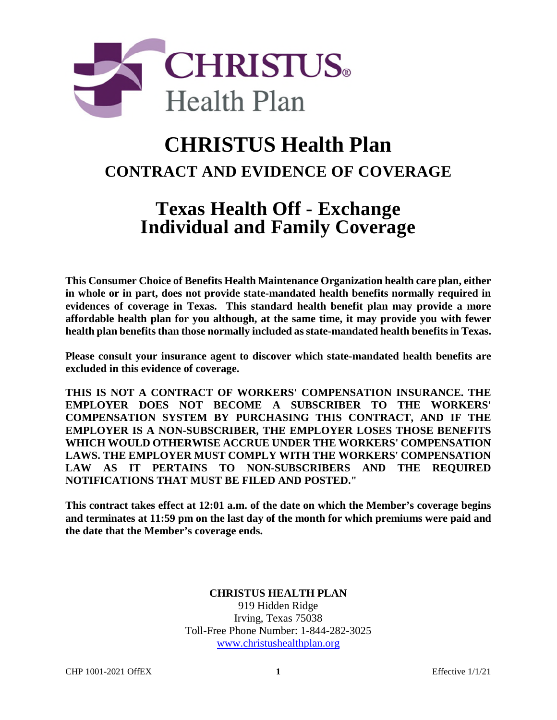

# **CHRISTUS Health Plan CONTRACT AND EVIDENCE OF COVERAGE**

# **Texas Health Off - Exchange Individual and Family Coverage**

**This Consumer Choice of Benefits Health Maintenance Organization health care plan, either in whole or in part, does not provide state-mandated health benefits normally required in evidences of coverage in Texas. This standard health benefit plan may provide a more affordable health plan for you although, at the same time, it may provide you with fewer health plan benefits than those normally included as state-mandated health benefits in Texas.** 

**Please consult your insurance agent to discover which state-mandated health benefits are excluded in this evidence of coverage.**

**THIS IS NOT A CONTRACT OF WORKERS' COMPENSATION INSURANCE. THE EMPLOYER DOES NOT BECOME A SUBSCRIBER TO THE WORKERS' COMPENSATION SYSTEM BY PURCHASING THIS CONTRACT, AND IF THE EMPLOYER IS A NON-SUBSCRIBER, THE EMPLOYER LOSES THOSE BENEFITS WHICH WOULD OTHERWISE ACCRUE UNDER THE WORKERS' COMPENSATION LAWS. THE EMPLOYER MUST COMPLY WITH THE WORKERS' COMPENSATION LAW AS IT PERTAINS TO NON-SUBSCRIBERS AND THE REQUIRED NOTIFICATIONS THAT MUST BE FILED AND POSTED."** 

**This contract takes effect at 12:01 a.m. of the date on which the Member's coverage begins and terminates at 11:59 pm on the last day of the month for which premiums were paid and the date that the Member's coverage ends.** 

## **CHRISTUS HEALTH PLAN**

919 Hidden Ridge Irving, Texas 75038 Toll-Free Phone Number: 1-844-282-3025 www.christushealthplan.org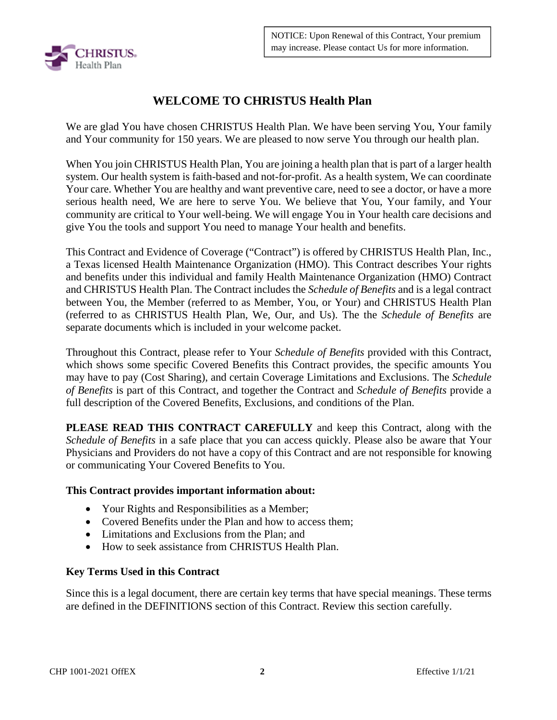

# **WELCOME TO CHRISTUS Health Plan**

We are glad You have chosen CHRISTUS Health Plan. We have been serving You, Your family and Your community for 150 years. We are pleased to now serve You through our health plan.

When You join CHRISTUS Health Plan, You are joining a health plan that is part of a larger health system. Our health system is faith-based and not-for-profit. As a health system, We can coordinate Your care. Whether You are healthy and want preventive care, need to see a doctor, or have a more serious health need, We are here to serve You. We believe that You, Your family, and Your community are critical to Your well-being. We will engage You in Your health care decisions and give You the tools and support You need to manage Your health and benefits.

This Contract and Evidence of Coverage ("Contract") is offered by CHRISTUS Health Plan, Inc., a Texas licensed Health Maintenance Organization (HMO). This Contract describes Your rights and benefits under this individual and family Health Maintenance Organization (HMO) Contract and CHRISTUS Health Plan. The Contract includes the *Schedule of Benefits* and is a legal contract between You, the Member (referred to as Member, You, or Your) and CHRISTUS Health Plan (referred to as CHRISTUS Health Plan, We, Our, and Us). The the *Schedule of Benefits* are separate documents which is included in your welcome packet.

Throughout this Contract, please refer to Your *Schedule of Benefits* provided with this Contract, which shows some specific Covered Benefits this Contract provides, the specific amounts You may have to pay (Cost Sharing), and certain Coverage Limitations and Exclusions. The *Schedule of Benefits* is part of this Contract, and together the Contract and *Schedule of Benefits* provide a full description of the Covered Benefits, Exclusions, and conditions of the Plan.

**PLEASE READ THIS CONTRACT CAREFULLY** and keep this Contract, along with the *Schedule of Benefits* in a safe place that you can access quickly. Please also be aware that Your Physicians and Providers do not have a copy of this Contract and are not responsible for knowing or communicating Your Covered Benefits to You.

#### **This Contract provides important information about:**

- Your Rights and Responsibilities as a Member;
- Covered Benefits under the Plan and how to access them:
- Limitations and Exclusions from the Plan: and
- How to seek assistance from CHRISTUS Health Plan.

## **Key Terms Used in this Contract**

Since this is a legal document, there are certain key terms that have special meanings. These terms are defined in the DEFINITIONS section of this Contract. Review this section carefully.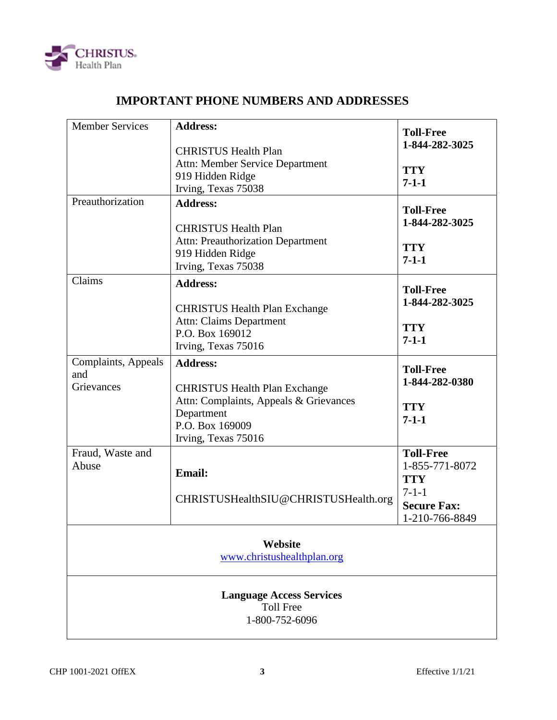

# **IMPORTANT PHONE NUMBERS AND ADDRESSES**

| <b>Member Services</b>                                                | <b>Address:</b><br><b>CHRISTUS Health Plan</b><br>Attn: Member Service Department<br>919 Hidden Ridge<br>Irving, Texas 75038                              | <b>Toll-Free</b><br>1-844-282-3025<br><b>TTY</b><br>$7 - 1 - 1$                                         |  |  |
|-----------------------------------------------------------------------|-----------------------------------------------------------------------------------------------------------------------------------------------------------|---------------------------------------------------------------------------------------------------------|--|--|
| Preauthorization                                                      | <b>Address:</b><br><b>CHRISTUS Health Plan</b><br><b>Attn: Preauthorization Department</b><br>919 Hidden Ridge<br>Irving, Texas 75038                     | <b>Toll-Free</b><br>1-844-282-3025<br><b>TTY</b><br>$7 - 1 - 1$                                         |  |  |
| Claims                                                                | <b>Address:</b><br><b>CHRISTUS Health Plan Exchange</b><br><b>Attn: Claims Department</b><br>P.O. Box 169012<br>Irving, Texas 75016                       | <b>Toll-Free</b><br>1-844-282-3025<br><b>TTY</b><br>$7 - 1 - 1$                                         |  |  |
| Complaints, Appeals<br>and<br>Grievances                              | <b>Address:</b><br><b>CHRISTUS Health Plan Exchange</b><br>Attn: Complaints, Appeals & Grievances<br>Department<br>P.O. Box 169009<br>Irving, Texas 75016 | <b>Toll-Free</b><br>1-844-282-0380<br><b>TTY</b><br>$7 - 1 - 1$                                         |  |  |
| Fraud, Waste and<br>Abuse                                             | <b>Email:</b><br>CHRISTUSHealthSIU@CHRISTUSHealth.org                                                                                                     | <b>Toll-Free</b><br>1-855-771-8072<br><b>TTY</b><br>$7 - 1 - 1$<br><b>Secure Fax:</b><br>1-210-766-8849 |  |  |
| Website<br>www.christushealthplan.org                                 |                                                                                                                                                           |                                                                                                         |  |  |
| <b>Language Access Services</b><br><b>Toll Free</b><br>1-800-752-6096 |                                                                                                                                                           |                                                                                                         |  |  |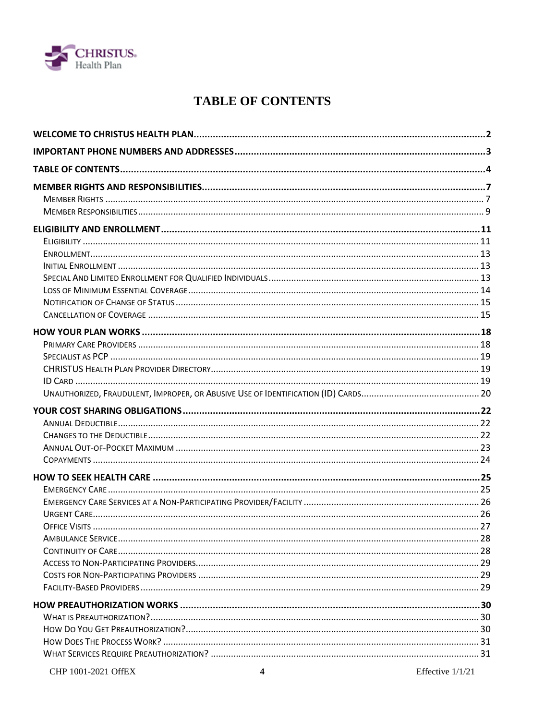

# **TABLE OF CONTENTS**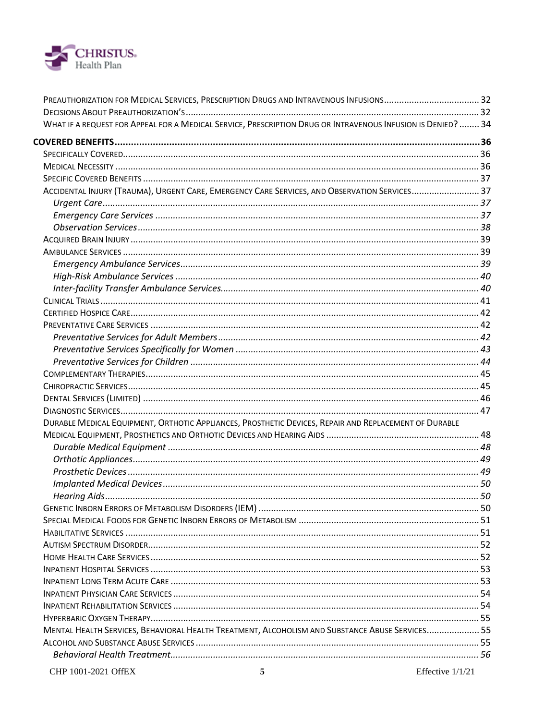

|                     | WHAT IF A REQUEST FOR APPEAL FOR A MEDICAL SERVICE, PRESCRIPTION DRUG OR INTRAVENOUS INFUSION IS DENIED?  34 |                  |
|---------------------|--------------------------------------------------------------------------------------------------------------|------------------|
|                     |                                                                                                              |                  |
|                     |                                                                                                              |                  |
|                     |                                                                                                              |                  |
|                     |                                                                                                              |                  |
|                     | ACCIDENTAL INJURY (TRAUMA), URGENT CARE, EMERGENCY CARE SERVICES, AND OBSERVATION SERVICES 37                |                  |
|                     |                                                                                                              |                  |
|                     |                                                                                                              |                  |
|                     |                                                                                                              |                  |
|                     |                                                                                                              |                  |
|                     |                                                                                                              |                  |
|                     |                                                                                                              |                  |
|                     |                                                                                                              |                  |
|                     |                                                                                                              |                  |
|                     |                                                                                                              |                  |
|                     |                                                                                                              |                  |
|                     |                                                                                                              |                  |
|                     |                                                                                                              |                  |
|                     |                                                                                                              |                  |
|                     |                                                                                                              |                  |
|                     |                                                                                                              |                  |
|                     |                                                                                                              |                  |
|                     |                                                                                                              |                  |
|                     |                                                                                                              |                  |
|                     |                                                                                                              |                  |
|                     | DURABLE MEDICAL EQUIPMENT, ORTHOTIC APPLIANCES, PROSTHETIC DEVICES, REPAIR AND REPLACEMENT OF DURABLE        |                  |
|                     |                                                                                                              |                  |
|                     |                                                                                                              |                  |
|                     |                                                                                                              |                  |
|                     |                                                                                                              |                  |
|                     |                                                                                                              |                  |
|                     |                                                                                                              |                  |
|                     |                                                                                                              |                  |
|                     |                                                                                                              |                  |
|                     |                                                                                                              |                  |
|                     |                                                                                                              |                  |
|                     |                                                                                                              |                  |
|                     |                                                                                                              |                  |
|                     |                                                                                                              |                  |
|                     |                                                                                                              |                  |
|                     |                                                                                                              |                  |
|                     |                                                                                                              |                  |
|                     | MENTAL HEALTH SERVICES, BEHAVIORAL HEALTH TREATMENT, ALCOHOLISM AND SUBSTANCE ABUSE SERVICES 55              |                  |
|                     |                                                                                                              |                  |
|                     |                                                                                                              |                  |
| CHP 1001-2021 OffEX | 5                                                                                                            | Effective 1/1/21 |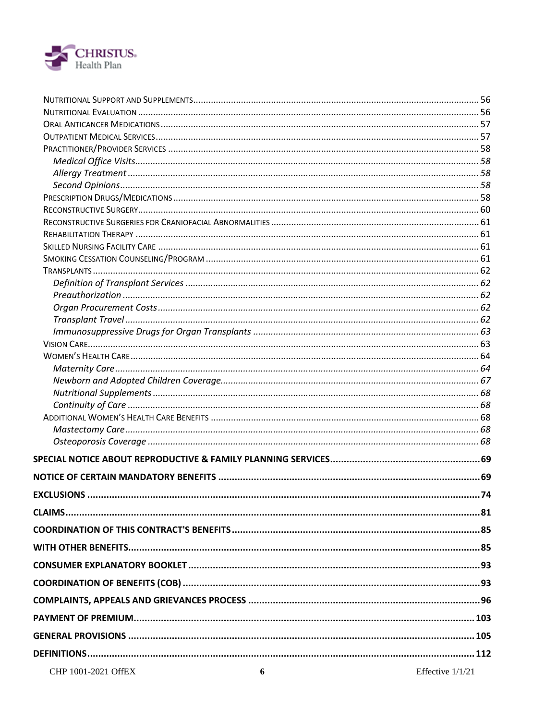

| $\mathcal{L} = \mathcal{L}$ |  |
|-----------------------------|--|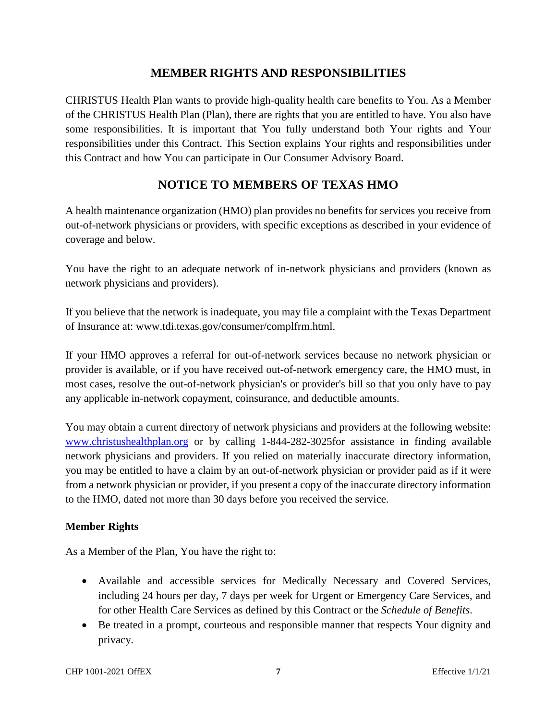# **MEMBER RIGHTS AND RESPONSIBILITIES**

CHRISTUS Health Plan wants to provide high-quality health care benefits to You. As a Member of the CHRISTUS Health Plan (Plan), there are rights that you are entitled to have. You also have some responsibilities. It is important that You fully understand both Your rights and Your responsibilities under this Contract. This Section explains Your rights and responsibilities under this Contract and how You can participate in Our Consumer Advisory Board.

# **NOTICE TO MEMBERS OF TEXAS HMO**

A health maintenance organization (HMO) plan provides no benefits for services you receive from out-of-network physicians or providers, with specific exceptions as described in your evidence of coverage and below.

You have the right to an adequate network of in-network physicians and providers (known as network physicians and providers).

If you believe that the network is inadequate, you may file a complaint with the Texas Department of Insurance at: www.tdi.texas.gov/consumer/complfrm.html.

If your HMO approves a referral for out-of-network services because no network physician or provider is available, or if you have received out-of-network emergency care, the HMO must, in most cases, resolve the out-of-network physician's or provider's bill so that you only have to pay any applicable in-network copayment, coinsurance, and deductible amounts.

You may obtain a current directory of network physicians and providers at the following website: www.christushealthplan.org or by calling 1-844-282-3025for assistance in finding available network physicians and providers. If you relied on materially inaccurate directory information, you may be entitled to have a claim by an out-of-network physician or provider paid as if it were from a network physician or provider, if you present a copy of the inaccurate directory information to the HMO, dated not more than 30 days before you received the service.

## **Member Rights**

As a Member of the Plan, You have the right to:

- Available and accessible services for Medically Necessary and Covered Services, including 24 hours per day, 7 days per week for Urgent or Emergency Care Services, and for other Health Care Services as defined by this Contract or the *Schedule of Benefits*.
- Be treated in a prompt, courteous and responsible manner that respects Your dignity and privacy.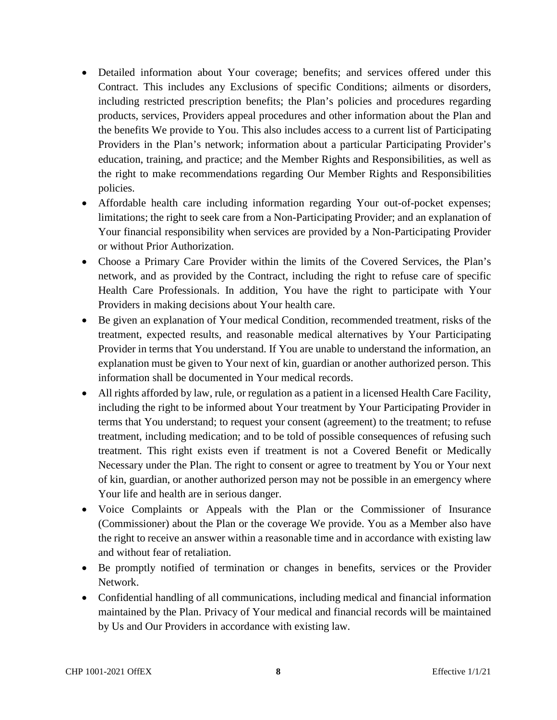- Detailed information about Your coverage; benefits; and services offered under this Contract. This includes any Exclusions of specific Conditions; ailments or disorders, including restricted prescription benefits; the Plan's policies and procedures regarding products, services, Providers appeal procedures and other information about the Plan and the benefits We provide to You. This also includes access to a current list of Participating Providers in the Plan's network; information about a particular Participating Provider's education, training, and practice; and the Member Rights and Responsibilities, as well as the right to make recommendations regarding Our Member Rights and Responsibilities policies.
- Affordable health care including information regarding Your out-of-pocket expenses; limitations; the right to seek care from a Non-Participating Provider; and an explanation of Your financial responsibility when services are provided by a Non-Participating Provider or without Prior Authorization.
- Choose a Primary Care Provider within the limits of the Covered Services, the Plan's network, and as provided by the Contract, including the right to refuse care of specific Health Care Professionals. In addition, You have the right to participate with Your Providers in making decisions about Your health care.
- Be given an explanation of Your medical Condition, recommended treatment, risks of the treatment, expected results, and reasonable medical alternatives by Your Participating Provider in terms that You understand. If You are unable to understand the information, an explanation must be given to Your next of kin, guardian or another authorized person. This information shall be documented in Your medical records.
- All rights afforded by law, rule, or regulation as a patient in a licensed Health Care Facility, including the right to be informed about Your treatment by Your Participating Provider in terms that You understand; to request your consent (agreement) to the treatment; to refuse treatment, including medication; and to be told of possible consequences of refusing such treatment. This right exists even if treatment is not a Covered Benefit or Medically Necessary under the Plan. The right to consent or agree to treatment by You or Your next of kin, guardian, or another authorized person may not be possible in an emergency where Your life and health are in serious danger.
- Voice Complaints or Appeals with the Plan or the Commissioner of Insurance (Commissioner) about the Plan or the coverage We provide. You as a Member also have the right to receive an answer within a reasonable time and in accordance with existing law and without fear of retaliation.
- Be promptly notified of termination or changes in benefits, services or the Provider Network.
- Confidential handling of all communications, including medical and financial information maintained by the Plan. Privacy of Your medical and financial records will be maintained by Us and Our Providers in accordance with existing law.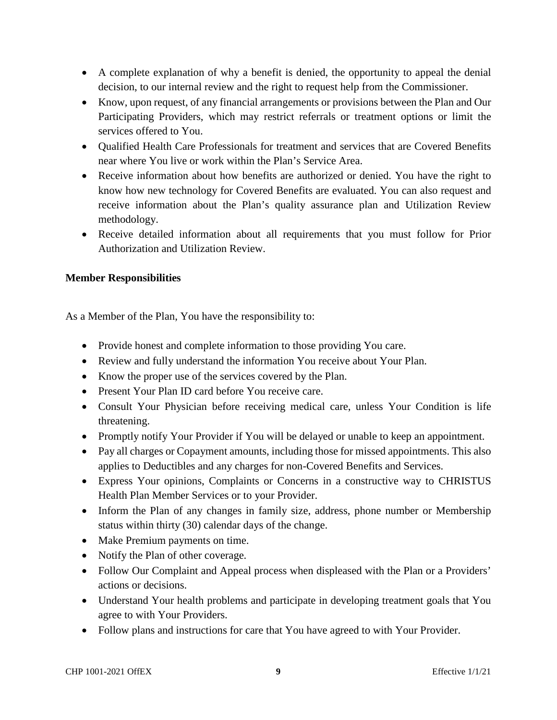- A complete explanation of why a benefit is denied, the opportunity to appeal the denial decision, to our internal review and the right to request help from the Commissioner.
- Know, upon request, of any financial arrangements or provisions between the Plan and Our Participating Providers, which may restrict referrals or treatment options or limit the services offered to You.
- Oualified Health Care Professionals for treatment and services that are Covered Benefits near where You live or work within the Plan's Service Area.
- Receive information about how benefits are authorized or denied. You have the right to know how new technology for Covered Benefits are evaluated. You can also request and receive information about the Plan's quality assurance plan and Utilization Review methodology.
- Receive detailed information about all requirements that you must follow for Prior Authorization and Utilization Review.

# **Member Responsibilities**

As a Member of the Plan, You have the responsibility to:

- Provide honest and complete information to those providing You care.
- Review and fully understand the information You receive about Your Plan.
- Know the proper use of the services covered by the Plan.
- Present Your Plan ID card before You receive care.
- Consult Your Physician before receiving medical care, unless Your Condition is life threatening.
- Promptly notify Your Provider if You will be delayed or unable to keep an appointment.
- Pay all charges or Copayment amounts, including those for missed appointments. This also applies to Deductibles and any charges for non-Covered Benefits and Services.
- Express Your opinions, Complaints or Concerns in a constructive way to CHRISTUS Health Plan Member Services or to your Provider.
- Inform the Plan of any changes in family size, address, phone number or Membership status within thirty (30) calendar days of the change.
- Make Premium payments on time.
- Notify the Plan of other coverage.
- Follow Our Complaint and Appeal process when displeased with the Plan or a Providers' actions or decisions.
- Understand Your health problems and participate in developing treatment goals that You agree to with Your Providers.
- Follow plans and instructions for care that You have agreed to with Your Provider.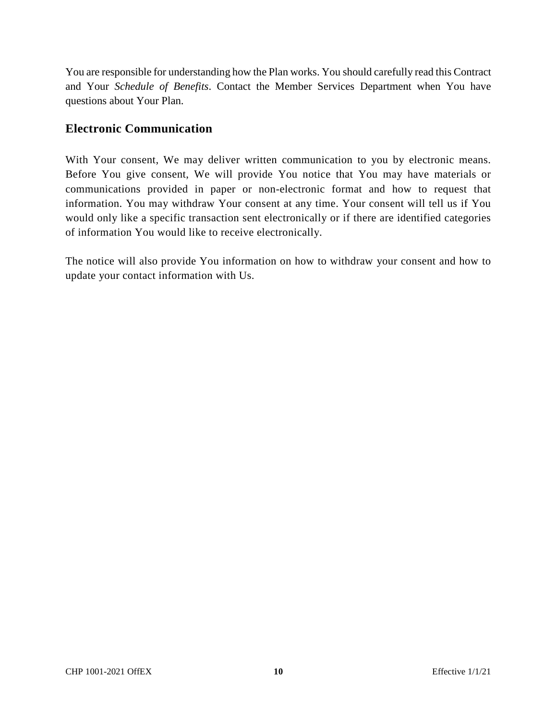You are responsible for understanding how the Plan works. You should carefully read this Contract and Your *Schedule of Benefits*. Contact the Member Services Department when You have questions about Your Plan.

# **Electronic Communication**

With Your consent, We may deliver written communication to you by electronic means. Before You give consent, We will provide You notice that You may have materials or communications provided in paper or non-electronic format and how to request that information. You may withdraw Your consent at any time. Your consent will tell us if You would only like a specific transaction sent electronically or if there are identified categories of information You would like to receive electronically.

The notice will also provide You information on how to withdraw your consent and how to update your contact information with Us.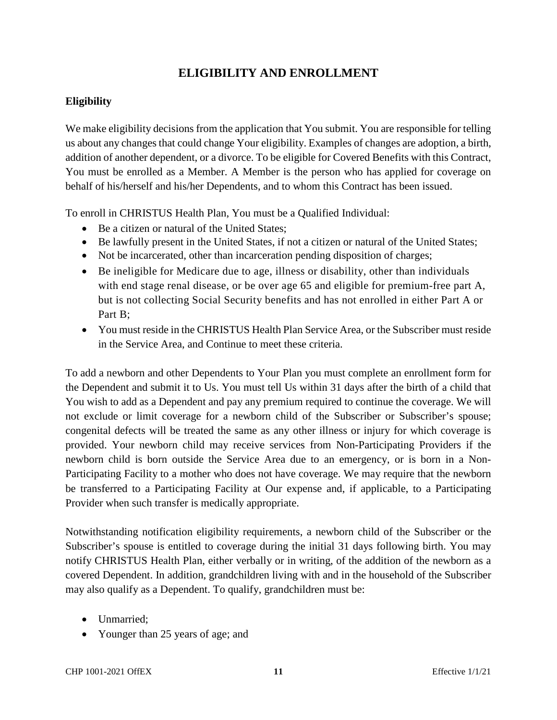# **ELIGIBILITY AND ENROLLMENT**

# **Eligibility**

We make eligibility decisions from the application that You submit. You are responsible for telling us about any changes that could change Your eligibility. Examples of changes are adoption, a birth, addition of another dependent, or a divorce. To be eligible for Covered Benefits with this Contract, You must be enrolled as a Member. A Member is the person who has applied for coverage on behalf of his/herself and his/her Dependents, and to whom this Contract has been issued.

To enroll in CHRISTUS Health Plan, You must be a Qualified Individual:

- Be a citizen or natural of the United States:
- Be lawfully present in the United States, if not a citizen or natural of the United States;
- Not be incarcerated, other than incarceration pending disposition of charges;
- Be ineligible for Medicare due to age, illness or disability, other than individuals with end stage renal disease, or be over age 65 and eligible for premium-free part A, but is not collecting Social Security benefits and has not enrolled in either Part A or Part B;
- You must reside in the CHRISTUS Health Plan Service Area, or the Subscriber must reside in the Service Area, and Continue to meet these criteria.

To add a newborn and other Dependents to Your Plan you must complete an enrollment form for the Dependent and submit it to Us. You must tell Us within 31 days after the birth of a child that You wish to add as a Dependent and pay any premium required to continue the coverage. We will not exclude or limit coverage for a newborn child of the Subscriber or Subscriber's spouse; congenital defects will be treated the same as any other illness or injury for which coverage is provided. Your newborn child may receive services from Non-Participating Providers if the newborn child is born outside the Service Area due to an emergency, or is born in a Non-Participating Facility to a mother who does not have coverage. We may require that the newborn be transferred to a Participating Facility at Our expense and, if applicable, to a Participating Provider when such transfer is medically appropriate.

Notwithstanding notification eligibility requirements, a newborn child of the Subscriber or the Subscriber's spouse is entitled to coverage during the initial 31 days following birth. You may notify CHRISTUS Health Plan, either verbally or in writing, of the addition of the newborn as a covered Dependent. In addition, grandchildren living with and in the household of the Subscriber may also qualify as a Dependent. To qualify, grandchildren must be:

- Unmarried:
- Younger than 25 years of age; and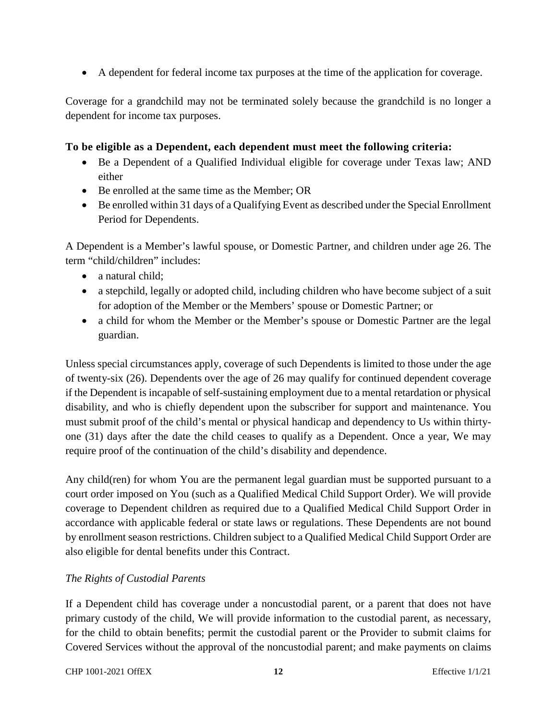A dependent for federal income tax purposes at the time of the application for coverage.

Coverage for a grandchild may not be terminated solely because the grandchild is no longer a dependent for income tax purposes.

## **To be eligible as a Dependent, each dependent must meet the following criteria:**

- Be a Dependent of a Qualified Individual eligible for coverage under Texas law; AND either
- Be enrolled at the same time as the Member; OR
- Be enrolled within 31 days of a Qualifying Event as described under the Special Enrollment Period for Dependents.

A Dependent is a Member's lawful spouse, or Domestic Partner, and children under age 26. The term "child/children" includes:

- a natural child:
- a stepchild, legally or adopted child, including children who have become subject of a suit for adoption of the Member or the Members' spouse or Domestic Partner; or
- a child for whom the Member or the Member's spouse or Domestic Partner are the legal guardian.

Unless special circumstances apply, coverage of such Dependents is limited to those under the age of twenty-six (26). Dependents over the age of 26 may qualify for continued dependent coverage if the Dependent is incapable of self-sustaining employment due to a mental retardation or physical disability, and who is chiefly dependent upon the subscriber for support and maintenance. You must submit proof of the child's mental or physical handicap and dependency to Us within thirtyone (31) days after the date the child ceases to qualify as a Dependent. Once a year, We may require proof of the continuation of the child's disability and dependence.

Any child(ren) for whom You are the permanent legal guardian must be supported pursuant to a court order imposed on You (such as a Qualified Medical Child Support Order). We will provide coverage to Dependent children as required due to a Qualified Medical Child Support Order in accordance with applicable federal or state laws or regulations. These Dependents are not bound by enrollment season restrictions. Children subject to a Qualified Medical Child Support Order are also eligible for dental benefits under this Contract.

## *The Rights of Custodial Parents*

If a Dependent child has coverage under a noncustodial parent, or a parent that does not have primary custody of the child, We will provide information to the custodial parent, as necessary, for the child to obtain benefits; permit the custodial parent or the Provider to submit claims for Covered Services without the approval of the noncustodial parent; and make payments on claims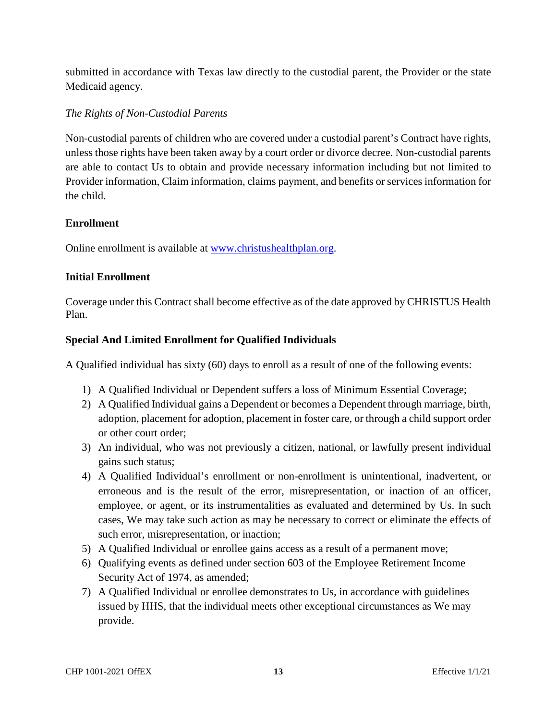submitted in accordance with Texas law directly to the custodial parent, the Provider or the state Medicaid agency.

# *The Rights of Non-Custodial Parents*

Non-custodial parents of children who are covered under a custodial parent's Contract have rights, unless those rights have been taken away by a court order or divorce decree. Non-custodial parents are able to contact Us to obtain and provide necessary information including but not limited to Provider information, Claim information, claims payment, and benefits or services information for the child.

## **Enrollment**

Online enrollment is available at www.christushealthplan.org.

# **Initial Enrollment**

Coverage under this Contract shall become effective as of the date approved by CHRISTUS Health Plan.

# **Special And Limited Enrollment for Qualified Individuals**

A Qualified individual has sixty (60) days to enroll as a result of one of the following events:

- 1) A Qualified Individual or Dependent suffers a loss of Minimum Essential Coverage;
- 2) A Qualified Individual gains a Dependent or becomes a Dependent through marriage, birth, adoption, placement for adoption, placement in foster care, or through a child support order or other court order;
- 3) An individual, who was not previously a citizen, national, or lawfully present individual gains such status;
- 4) A Qualified Individual's enrollment or non-enrollment is unintentional, inadvertent, or erroneous and is the result of the error, misrepresentation, or inaction of an officer, employee, or agent, or its instrumentalities as evaluated and determined by Us. In such cases, We may take such action as may be necessary to correct or eliminate the effects of such error, misrepresentation, or inaction;
- 5) A Qualified Individual or enrollee gains access as a result of a permanent move;
- 6) Qualifying events as defined under section 603 of the Employee Retirement Income Security Act of 1974, as amended;
- 7) A Qualified Individual or enrollee demonstrates to Us, in accordance with guidelines issued by HHS, that the individual meets other exceptional circumstances as We may provide.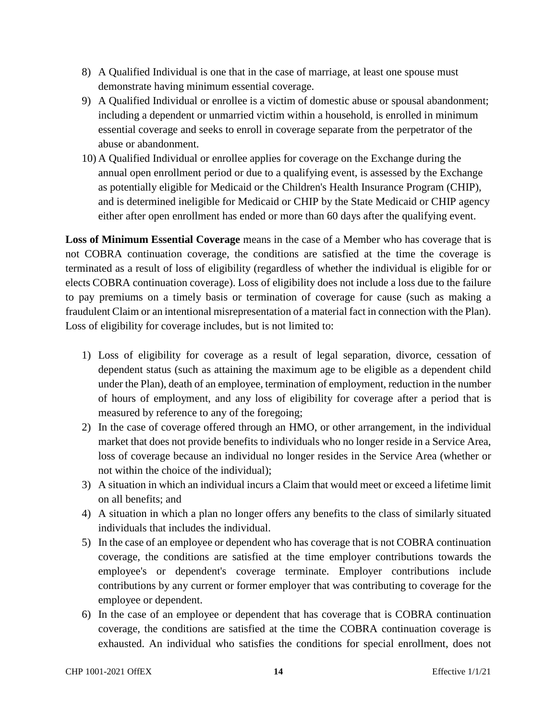- 8) A Qualified Individual is one that in the case of marriage, at least one spouse must demonstrate having minimum essential coverage.
- 9) A Qualified Individual or enrollee is a victim of domestic abuse or spousal abandonment; including a dependent or unmarried victim within a household, is enrolled in minimum essential coverage and seeks to enroll in coverage separate from the perpetrator of the abuse or abandonment.
- 10) A Qualified Individual or enrollee applies for coverage on the Exchange during the annual open enrollment period or due to a qualifying event, is assessed by the Exchange as potentially eligible for Medicaid or the Children's Health Insurance Program (CHIP), and is determined ineligible for Medicaid or CHIP by the State Medicaid or CHIP agency either after open enrollment has ended or more than 60 days after the qualifying event.

**Loss of Minimum Essential Coverage** means in the case of a Member who has coverage that is not COBRA continuation coverage, the conditions are satisfied at the time the coverage is terminated as a result of loss of eligibility (regardless of whether the individual is eligible for or elects COBRA continuation coverage). Loss of eligibility does not include a loss due to the failure to pay premiums on a timely basis or termination of coverage for cause (such as making a fraudulent Claim or an intentional misrepresentation of a material fact in connection with the Plan). Loss of eligibility for coverage includes, but is not limited to:

- 1) Loss of eligibility for coverage as a result of legal separation, divorce, cessation of dependent status (such as attaining the maximum age to be eligible as a dependent child under the Plan), death of an employee, termination of employment, reduction in the number of hours of employment, and any loss of eligibility for coverage after a period that is measured by reference to any of the foregoing;
- 2) In the case of coverage offered through an HMO, or other arrangement, in the individual market that does not provide benefits to individuals who no longer reside in a Service Area, loss of coverage because an individual no longer resides in the Service Area (whether or not within the choice of the individual);
- 3) A situation in which an individual incurs a Claim that would meet or exceed a lifetime limit on all benefits; and
- 4) A situation in which a plan no longer offers any benefits to the class of similarly situated individuals that includes the individual.
- 5) In the case of an employee or dependent who has coverage that is not COBRA continuation coverage, the conditions are satisfied at the time employer contributions towards the employee's or dependent's coverage terminate. Employer contributions include contributions by any current or former employer that was contributing to coverage for the employee or dependent.
- 6) In the case of an employee or dependent that has coverage that is COBRA continuation coverage, the conditions are satisfied at the time the COBRA continuation coverage is exhausted. An individual who satisfies the conditions for special enrollment, does not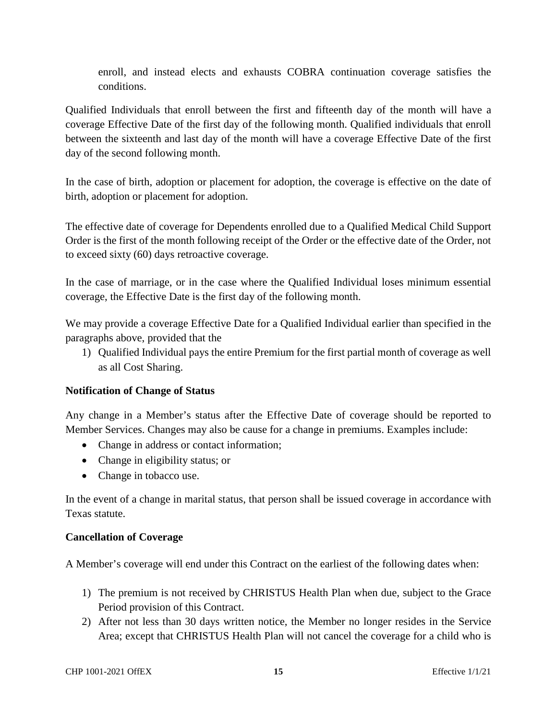enroll, and instead elects and exhausts COBRA continuation coverage satisfies the conditions.

Qualified Individuals that enroll between the first and fifteenth day of the month will have a coverage Effective Date of the first day of the following month. Qualified individuals that enroll between the sixteenth and last day of the month will have a coverage Effective Date of the first day of the second following month.

In the case of birth, adoption or placement for adoption, the coverage is effective on the date of birth, adoption or placement for adoption.

The effective date of coverage for Dependents enrolled due to a Qualified Medical Child Support Order is the first of the month following receipt of the Order or the effective date of the Order, not to exceed sixty (60) days retroactive coverage.

In the case of marriage, or in the case where the Qualified Individual loses minimum essential coverage, the Effective Date is the first day of the following month.

We may provide a coverage Effective Date for a Qualified Individual earlier than specified in the paragraphs above, provided that the

1) Qualified Individual pays the entire Premium for the first partial month of coverage as well as all Cost Sharing.

## **Notification of Change of Status**

Any change in a Member's status after the Effective Date of coverage should be reported to Member Services. Changes may also be cause for a change in premiums. Examples include:

- Change in address or contact information;
- Change in eligibility status; or
- Change in tobacco use.

In the event of a change in marital status, that person shall be issued coverage in accordance with Texas statute.

## **Cancellation of Coverage**

A Member's coverage will end under this Contract on the earliest of the following dates when:

- 1) The premium is not received by CHRISTUS Health Plan when due, subject to the Grace Period provision of this Contract.
- 2) After not less than 30 days written notice, the Member no longer resides in the Service Area; except that CHRISTUS Health Plan will not cancel the coverage for a child who is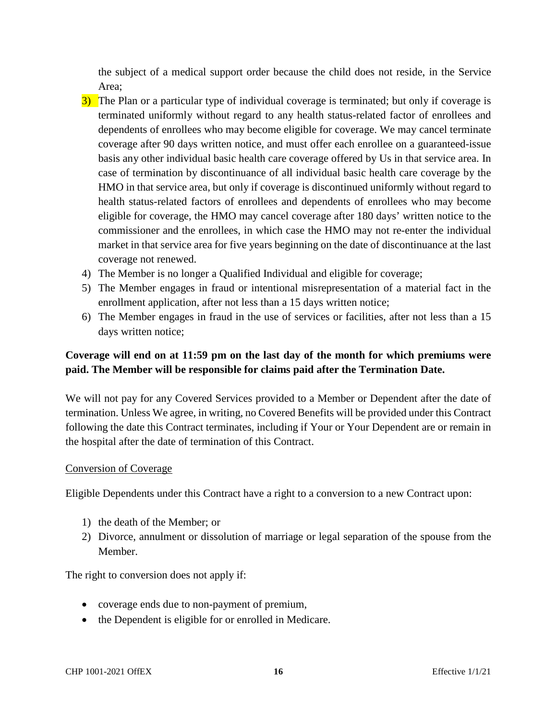the subject of a medical support order because the child does not reside, in the Service Area;

- 3) The Plan or a particular type of individual coverage is terminated; but only if coverage is terminated uniformly without regard to any health status-related factor of enrollees and dependents of enrollees who may become eligible for coverage. We may cancel terminate coverage after 90 days written notice, and must offer each enrollee on a guaranteed-issue basis any other individual basic health care coverage offered by Us in that service area. In case of termination by discontinuance of all individual basic health care coverage by the HMO in that service area, but only if coverage is discontinued uniformly without regard to health status-related factors of enrollees and dependents of enrollees who may become eligible for coverage, the HMO may cancel coverage after 180 days' written notice to the commissioner and the enrollees, in which case the HMO may not re-enter the individual market in that service area for five years beginning on the date of discontinuance at the last coverage not renewed.
- 4) The Member is no longer a Qualified Individual and eligible for coverage;
- 5) The Member engages in fraud or intentional misrepresentation of a material fact in the enrollment application, after not less than a 15 days written notice;
- 6) The Member engages in fraud in the use of services or facilities, after not less than a 15 days written notice;

# **Coverage will end on at 11:59 pm on the last day of the month for which premiums were paid. The Member will be responsible for claims paid after the Termination Date.**

We will not pay for any Covered Services provided to a Member or Dependent after the date of termination. Unless We agree, in writing, no Covered Benefits will be provided under this Contract following the date this Contract terminates, including if Your or Your Dependent are or remain in the hospital after the date of termination of this Contract.

#### Conversion of Coverage

Eligible Dependents under this Contract have a right to a conversion to a new Contract upon:

- 1) the death of the Member; or
- 2) Divorce, annulment or dissolution of marriage or legal separation of the spouse from the Member.

The right to conversion does not apply if:

- coverage ends due to non-payment of premium,
- the Dependent is eligible for or enrolled in Medicare.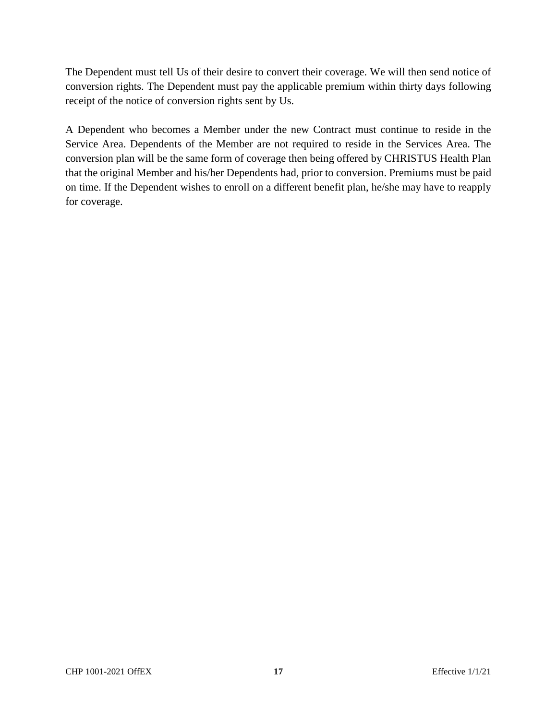The Dependent must tell Us of their desire to convert their coverage. We will then send notice of conversion rights. The Dependent must pay the applicable premium within thirty days following receipt of the notice of conversion rights sent by Us.

A Dependent who becomes a Member under the new Contract must continue to reside in the Service Area. Dependents of the Member are not required to reside in the Services Area. The conversion plan will be the same form of coverage then being offered by CHRISTUS Health Plan that the original Member and his/her Dependents had, prior to conversion. Premiums must be paid on time. If the Dependent wishes to enroll on a different benefit plan, he/she may have to reapply for coverage.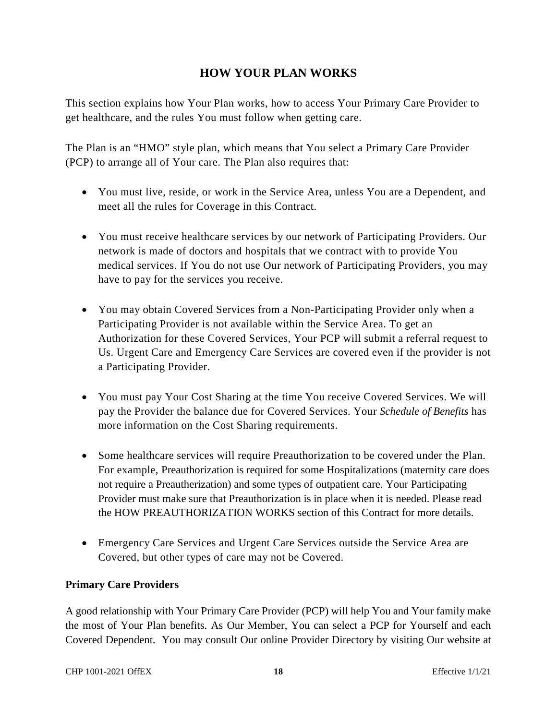# **HOW YOUR PLAN WORKS**

This section explains how Your Plan works, how to access Your Primary Care Provider to get healthcare, and the rules You must follow when getting care.

The Plan is an "HMO" style plan, which means that You select a Primary Care Provider (PCP) to arrange all of Your care. The Plan also requires that:

- You must live, reside, or work in the Service Area, unless You are a Dependent, and meet all the rules for Coverage in this Contract.
- You must receive healthcare services by our network of Participating Providers. Our network is made of doctors and hospitals that we contract with to provide You medical services. If You do not use Our network of Participating Providers, you may have to pay for the services you receive.
- You may obtain Covered Services from a Non-Participating Provider only when a Participating Provider is not available within the Service Area. To get an Authorization for these Covered Services, Your PCP will submit a referral request to Us. Urgent Care and Emergency Care Services are covered even if the provider is not a Participating Provider.
- You must pay Your Cost Sharing at the time You receive Covered Services. We will pay the Provider the balance due for Covered Services. Your *Schedule of Benefits* has more information on the Cost Sharing requirements.
- Some healthcare services will require Preauthorization to be covered under the Plan. For example, Preauthorization is required for some Hospitalizations (maternity care does not require a Preautherization) and some types of outpatient care. Your Participating Provider must make sure that Preauthorization is in place when it is needed. Please read the HOW PREAUTHORIZATION WORKS section of this Contract for more details.
- Emergency Care Services and Urgent Care Services outside the Service Area are Covered, but other types of care may not be Covered.

## **Primary Care Providers**

A good relationship with Your Primary Care Provider (PCP) will help You and Your family make the most of Your Plan benefits. As Our Member, You can select a PCP for Yourself and each Covered Dependent. You may consult Our online Provider Directory by visiting Our website at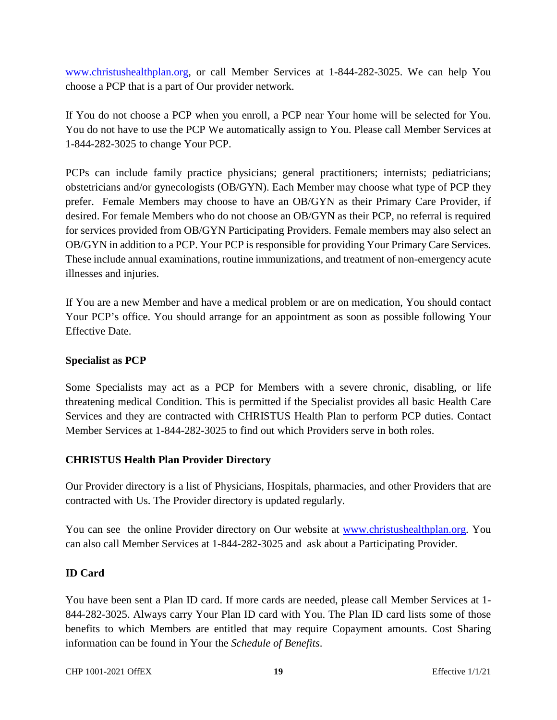www.christushealthplan.org, or call Member Services at 1-844-282-3025. We can help You choose a PCP that is a part of Our provider network.

If You do not choose a PCP when you enroll, a PCP near Your home will be selected for You. You do not have to use the PCP We automatically assign to You. Please call Member Services at 1-844-282-3025 to change Your PCP.

PCPs can include family practice physicians; general practitioners; internists; pediatricians; obstetricians and/or gynecologists (OB/GYN). Each Member may choose what type of PCP they prefer. Female Members may choose to have an OB/GYN as their Primary Care Provider, if desired. For female Members who do not choose an OB/GYN as their PCP, no referral is required for services provided from OB/GYN Participating Providers. Female members may also select an OB/GYN in addition to a PCP. Your PCP is responsible for providing Your Primary Care Services. These include annual examinations, routine immunizations, and treatment of non-emergency acute illnesses and injuries.

If You are a new Member and have a medical problem or are on medication, You should contact Your PCP's office. You should arrange for an appointment as soon as possible following Your Effective Date.

#### **Specialist as PCP**

Some Specialists may act as a PCP for Members with a severe chronic, disabling, or life threatening medical Condition. This is permitted if the Specialist provides all basic Health Care Services and they are contracted with CHRISTUS Health Plan to perform PCP duties. Contact Member Services at 1-844-282-3025 to find out which Providers serve in both roles.

#### **CHRISTUS Health Plan Provider Directory**

Our Provider directory is a list of Physicians, Hospitals, pharmacies, and other Providers that are contracted with Us. The Provider directory is updated regularly.

You can see the online Provider directory on Our website at www.christushealthplan.org. You can also call Member Services at 1-844-282-3025 and ask about a Participating Provider.

## **ID Card**

You have been sent a Plan ID card. If more cards are needed, please call Member Services at 1- 844-282-3025. Always carry Your Plan ID card with You. The Plan ID card lists some of those benefits to which Members are entitled that may require Copayment amounts. Cost Sharing information can be found in Your the *Schedule of Benefits*.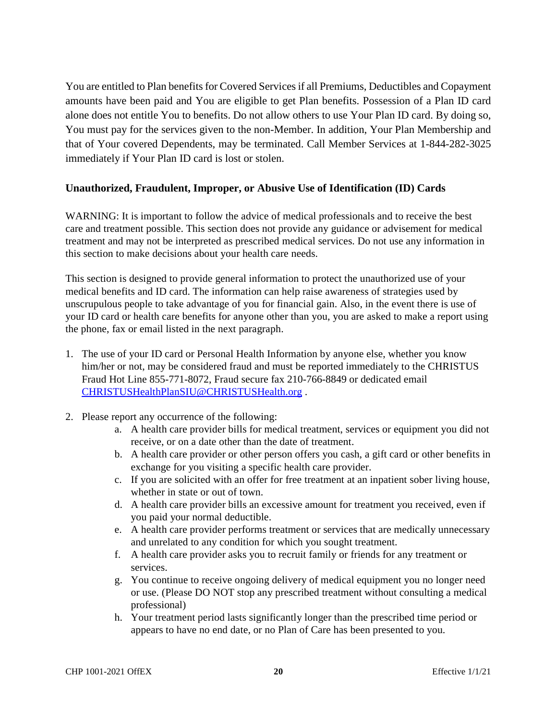You are entitled to Plan benefits for Covered Services if all Premiums, Deductibles and Copayment amounts have been paid and You are eligible to get Plan benefits. Possession of a Plan ID card alone does not entitle You to benefits. Do not allow others to use Your Plan ID card. By doing so, You must pay for the services given to the non-Member. In addition, Your Plan Membership and that of Your covered Dependents, may be terminated. Call Member Services at 1-844-282-3025 immediately if Your Plan ID card is lost or stolen.

#### **Unauthorized, Fraudulent, Improper, or Abusive Use of Identification (ID) Cards**

WARNING: It is important to follow the advice of medical professionals and to receive the best care and treatment possible. This section does not provide any guidance or advisement for medical treatment and may not be interpreted as prescribed medical services. Do not use any information in this section to make decisions about your health care needs.

This section is designed to provide general information to protect the unauthorized use of your medical benefits and ID card. The information can help raise awareness of strategies used by unscrupulous people to take advantage of you for financial gain. Also, in the event there is use of your ID card or health care benefits for anyone other than you, you are asked to make a report using the phone, fax or email listed in the next paragraph.

- 1. The use of your ID card or Personal Health Information by anyone else, whether you know him/her or not, may be considered fraud and must be reported immediately to the CHRISTUS Fraud Hot Line 855-771-8072, Fraud secure fax 210-766-8849 or dedicated email CHRISTUSHealthPlanSIU@CHRISTUSHealth.org .
- 2. Please report any occurrence of the following:
	- a. A health care provider bills for medical treatment, services or equipment you did not receive, or on a date other than the date of treatment.
	- b. A health care provider or other person offers you cash, a gift card or other benefits in exchange for you visiting a specific health care provider.
	- c. If you are solicited with an offer for free treatment at an inpatient sober living house, whether in state or out of town.
	- d. A health care provider bills an excessive amount for treatment you received, even if you paid your normal deductible.
	- e. A health care provider performs treatment or services that are medically unnecessary and unrelated to any condition for which you sought treatment.
	- f. A health care provider asks you to recruit family or friends for any treatment or services.
	- g. You continue to receive ongoing delivery of medical equipment you no longer need or use. (Please DO NOT stop any prescribed treatment without consulting a medical professional)
	- h. Your treatment period lasts significantly longer than the prescribed time period or appears to have no end date, or no Plan of Care has been presented to you.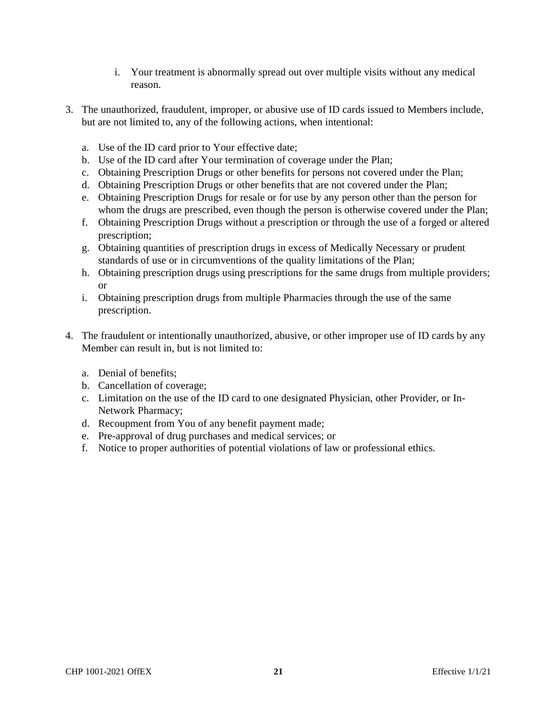- i. Your treatment is abnormally spread out over multiple visits without any medical reason.
- 3. The unauthorized, fraudulent, improper, or abusive use of ID cards issued to Members include, but are not limited to, any of the following actions, when intentional:
	- a. Use of the ID card prior to Your effective date;
	- b. Use of the ID card after Your termination of coverage under the Plan;
	- c. Obtaining Prescription Drugs or other benefits for persons not covered under the Plan;
	- d. Obtaining Prescription Drugs or other benefits that are not covered under the Plan;
	- e. Obtaining Prescription Drugs for resale or for use by any person other than the person for whom the drugs are prescribed, even though the person is otherwise covered under the Plan;
	- f. Obtaining Prescription Drugs without a prescription or through the use of a forged or altered prescription;
	- g. Obtaining quantities of prescription drugs in excess of Medically Necessary or prudent standards of use or in circumventions of the quality limitations of the Plan;
	- h. Obtaining prescription drugs using prescriptions for the same drugs from multiple providers; or
	- i. Obtaining prescription drugs from multiple Pharmacies through the use of the same prescription.
- 4. The fraudulent or intentionally unauthorized, abusive, or other improper use of ID cards by any Member can result in, but is not limited to:
	- a. Denial of benefits;
	- b. Cancellation of coverage;
	- c. Limitation on the use of the ID card to one designated Physician, other Provider, or In-Network Pharmacy;
	- d. Recoupment from You of any benefit payment made;
	- e. Pre-approval of drug purchases and medical services; or
	- f. Notice to proper authorities of potential violations of law or professional ethics.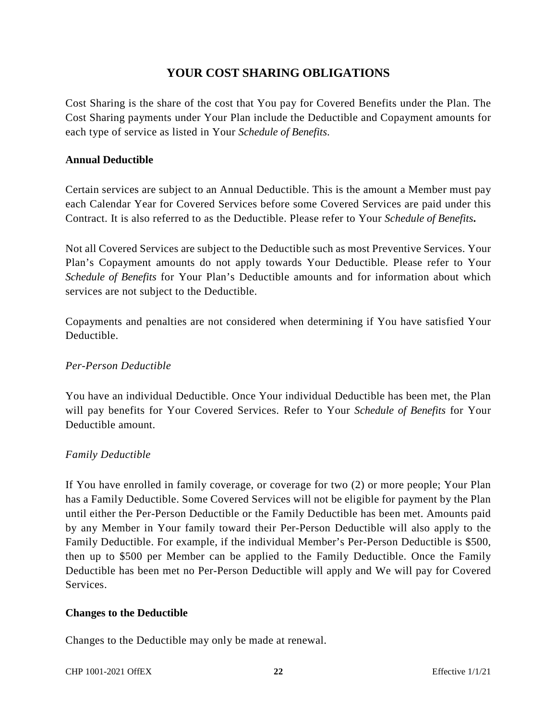# **YOUR COST SHARING OBLIGATIONS**

Cost Sharing is the share of the cost that You pay for Covered Benefits under the Plan. The Cost Sharing payments under Your Plan include the Deductible and Copayment amounts for each type of service as listed in Your *Schedule of Benefits*.

#### **Annual Deductible**

Certain services are subject to an Annual Deductible. This is the amount a Member must pay each Calendar Year for Covered Services before some Covered Services are paid under this Contract. It is also referred to as the Deductible. Please refer to Your *Schedule of Benefits***.**

Not all Covered Services are subject to the Deductible such as most Preventive Services. Your Plan's Copayment amounts do not apply towards Your Deductible. Please refer to Your *Schedule of Benefits* for Your Plan's Deductible amounts and for information about which services are not subject to the Deductible.

Copayments and penalties are not considered when determining if You have satisfied Your Deductible.

#### *Per-Person Deductible*

You have an individual Deductible. Once Your individual Deductible has been met, the Plan will pay benefits for Your Covered Services. Refer to Your *Schedule of Benefits* for Your Deductible amount.

## *Family Deductible*

If You have enrolled in family coverage, or coverage for two (2) or more people; Your Plan has a Family Deductible. Some Covered Services will not be eligible for payment by the Plan until either the Per-Person Deductible or the Family Deductible has been met. Amounts paid by any Member in Your family toward their Per-Person Deductible will also apply to the Family Deductible. For example, if the individual Member's Per-Person Deductible is \$500, then up to \$500 per Member can be applied to the Family Deductible. Once the Family Deductible has been met no Per-Person Deductible will apply and We will pay for Covered Services.

#### **Changes to the Deductible**

Changes to the Deductible may only be made at renewal.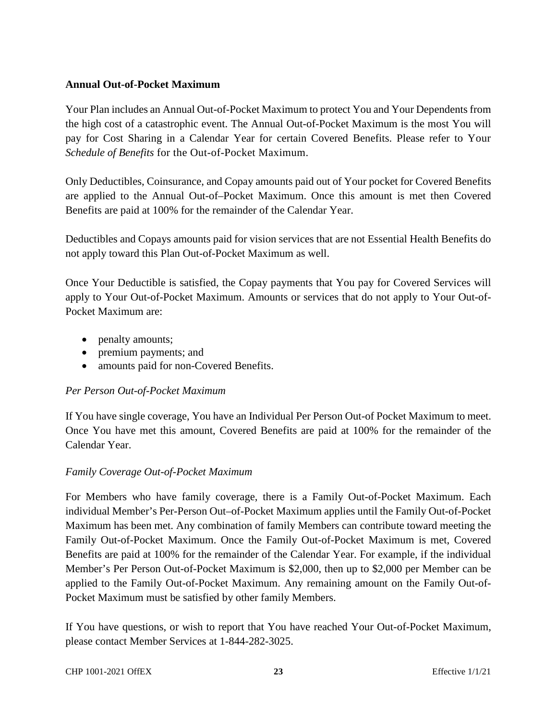#### **Annual Out-of-Pocket Maximum**

Your Plan includes an Annual Out-of-Pocket Maximum to protect You and Your Dependents from the high cost of a catastrophic event. The Annual Out-of-Pocket Maximum is the most You will pay for Cost Sharing in a Calendar Year for certain Covered Benefits. Please refer to Your *Schedule of Benefits* for the Out-of-Pocket Maximum.

Only Deductibles, Coinsurance, and Copay amounts paid out of Your pocket for Covered Benefits are applied to the Annual Out-of–Pocket Maximum. Once this amount is met then Covered Benefits are paid at 100% for the remainder of the Calendar Year.

Deductibles and Copays amounts paid for vision services that are not Essential Health Benefits do not apply toward this Plan Out-of-Pocket Maximum as well.

Once Your Deductible is satisfied, the Copay payments that You pay for Covered Services will apply to Your Out-of-Pocket Maximum. Amounts or services that do not apply to Your Out-of-Pocket Maximum are:

- penalty amounts;
- premium payments; and
- amounts paid for non-Covered Benefits.

## *Per Person Out-of-Pocket Maximum*

If You have single coverage, You have an Individual Per Person Out-of Pocket Maximum to meet. Once You have met this amount, Covered Benefits are paid at 100% for the remainder of the Calendar Year.

## *Family Coverage Out-of-Pocket Maximum*

For Members who have family coverage, there is a Family Out-of-Pocket Maximum. Each individual Member's Per-Person Out–of-Pocket Maximum applies until the Family Out-of-Pocket Maximum has been met. Any combination of family Members can contribute toward meeting the Family Out-of-Pocket Maximum. Once the Family Out-of-Pocket Maximum is met, Covered Benefits are paid at 100% for the remainder of the Calendar Year. For example, if the individual Member's Per Person Out-of-Pocket Maximum is \$2,000, then up to \$2,000 per Member can be applied to the Family Out-of-Pocket Maximum. Any remaining amount on the Family Out-of-Pocket Maximum must be satisfied by other family Members.

If You have questions, or wish to report that You have reached Your Out-of-Pocket Maximum, please contact Member Services at 1-844-282-3025.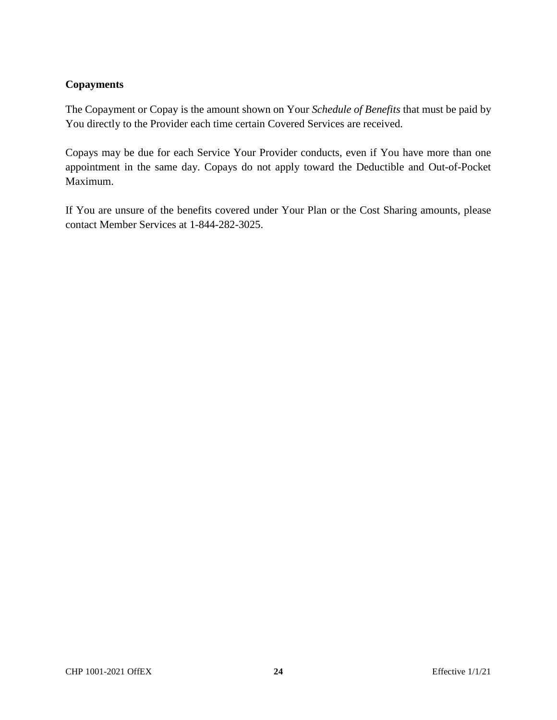# **Copayments**

The Copayment or Copay is the amount shown on Your *Schedule of Benefits* that must be paid by You directly to the Provider each time certain Covered Services are received.

Copays may be due for each Service Your Provider conducts, even if You have more than one appointment in the same day. Copays do not apply toward the Deductible and Out-of-Pocket Maximum.

If You are unsure of the benefits covered under Your Plan or the Cost Sharing amounts, please contact Member Services at 1-844-282-3025.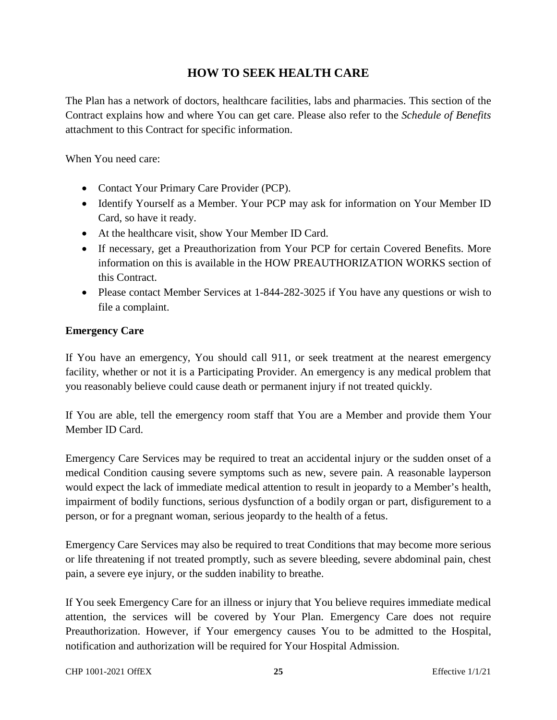# **HOW TO SEEK HEALTH CARE**

The Plan has a network of doctors, healthcare facilities, labs and pharmacies. This section of the Contract explains how and where You can get care. Please also refer to the *Schedule of Benefits* attachment to this Contract for specific information.

When You need care:

- Contact Your Primary Care Provider (PCP).
- Identify Yourself as a Member. Your PCP may ask for information on Your Member ID Card, so have it ready.
- At the healthcare visit, show Your Member ID Card.
- If necessary, get a Preauthorization from Your PCP for certain Covered Benefits. More information on this is available in the HOW PREAUTHORIZATION WORKS section of this Contract.
- Please contact Member Services at 1-844-282-3025 if You have any questions or wish to file a complaint.

## **Emergency Care**

If You have an emergency, You should call 911, or seek treatment at the nearest emergency facility, whether or not it is a Participating Provider. An emergency is any medical problem that you reasonably believe could cause death or permanent injury if not treated quickly.

If You are able, tell the emergency room staff that You are a Member and provide them Your Member ID Card.

Emergency Care Services may be required to treat an accidental injury or the sudden onset of a medical Condition causing severe symptoms such as new, severe pain. A reasonable layperson would expect the lack of immediate medical attention to result in jeopardy to a Member's health, impairment of bodily functions, serious dysfunction of a bodily organ or part, disfigurement to a person, or for a pregnant woman, serious jeopardy to the health of a fetus.

Emergency Care Services may also be required to treat Conditions that may become more serious or life threatening if not treated promptly, such as severe bleeding, severe abdominal pain, chest pain, a severe eye injury, or the sudden inability to breathe.

If You seek Emergency Care for an illness or injury that You believe requires immediate medical attention, the services will be covered by Your Plan. Emergency Care does not require Preauthorization. However, if Your emergency causes You to be admitted to the Hospital, notification and authorization will be required for Your Hospital Admission.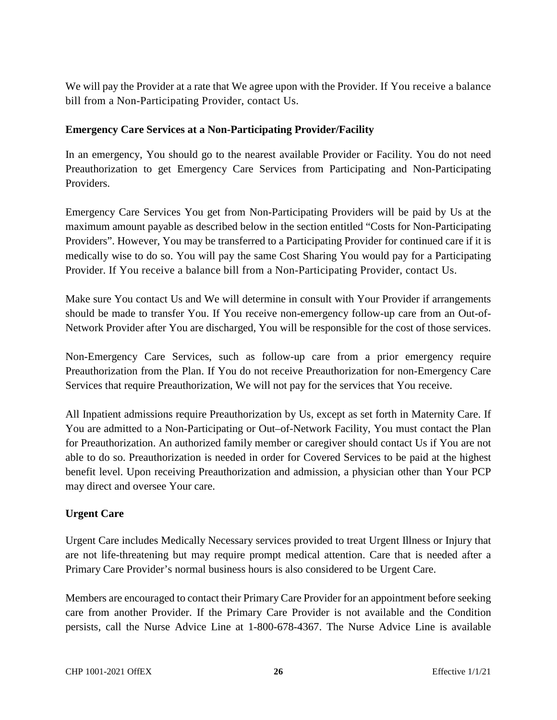We will pay the Provider at a rate that We agree upon with the Provider. If You receive a balance bill from a Non-Participating Provider, contact Us.

#### **Emergency Care Services at a Non-Participating Provider/Facility**

In an emergency, You should go to the nearest available Provider or Facility. You do not need Preauthorization to get Emergency Care Services from Participating and Non-Participating Providers.

Emergency Care Services You get from Non-Participating Providers will be paid by Us at the maximum amount payable as described below in the section entitled "Costs for Non-Participating Providers". However, You may be transferred to a Participating Provider for continued care if it is medically wise to do so. You will pay the same Cost Sharing You would pay for a Participating Provider. If You receive a balance bill from a Non-Participating Provider, contact Us.

Make sure You contact Us and We will determine in consult with Your Provider if arrangements should be made to transfer You. If You receive non-emergency follow-up care from an Out-of-Network Provider after You are discharged, You will be responsible for the cost of those services.

Non-Emergency Care Services, such as follow-up care from a prior emergency require Preauthorization from the Plan. If You do not receive Preauthorization for non-Emergency Care Services that require Preauthorization, We will not pay for the services that You receive.

All Inpatient admissions require Preauthorization by Us, except as set forth in Maternity Care. If You are admitted to a Non-Participating or Out–of-Network Facility, You must contact the Plan for Preauthorization. An authorized family member or caregiver should contact Us if You are not able to do so. Preauthorization is needed in order for Covered Services to be paid at the highest benefit level. Upon receiving Preauthorization and admission, a physician other than Your PCP may direct and oversee Your care.

## **Urgent Care**

Urgent Care includes Medically Necessary services provided to treat Urgent Illness or Injury that are not life-threatening but may require prompt medical attention. Care that is needed after a Primary Care Provider's normal business hours is also considered to be Urgent Care.

Members are encouraged to contact their Primary Care Provider for an appointment before seeking care from another Provider. If the Primary Care Provider is not available and the Condition persists, call the Nurse Advice Line at 1-800-678-4367. The Nurse Advice Line is available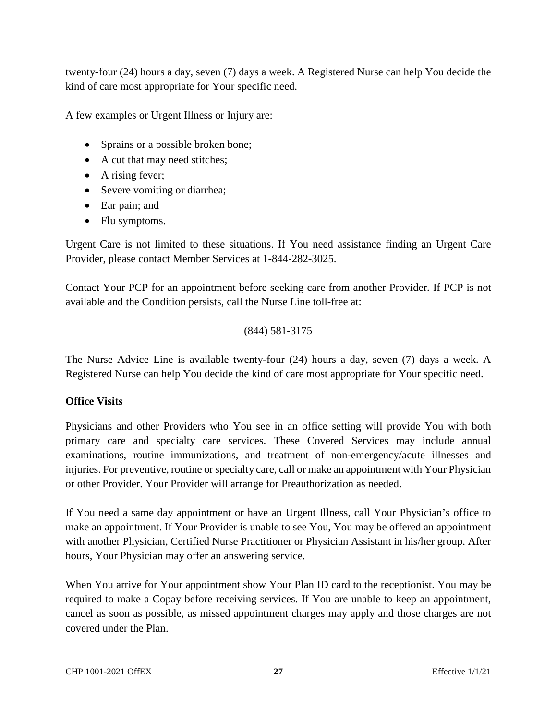twenty-four (24) hours a day, seven (7) days a week. A Registered Nurse can help You decide the kind of care most appropriate for Your specific need.

A few examples or Urgent Illness or Injury are:

- Sprains or a possible broken bone;
- A cut that may need stitches;
- A rising fever;
- Severe vomiting or diarrhea;
- Ear pain; and
- Flu symptoms.

Urgent Care is not limited to these situations. If You need assistance finding an Urgent Care Provider, please contact Member Services at 1-844-282-3025.

Contact Your PCP for an appointment before seeking care from another Provider. If PCP is not available and the Condition persists, call the Nurse Line toll-free at:

(844) 581-3175

The Nurse Advice Line is available twenty-four (24) hours a day, seven (7) days a week. A Registered Nurse can help You decide the kind of care most appropriate for Your specific need.

## **Office Visits**

Physicians and other Providers who You see in an office setting will provide You with both primary care and specialty care services. These Covered Services may include annual examinations, routine immunizations, and treatment of non-emergency/acute illnesses and injuries. For preventive, routine or specialty care, call or make an appointment with Your Physician or other Provider. Your Provider will arrange for Preauthorization as needed.

If You need a same day appointment or have an Urgent Illness, call Your Physician's office to make an appointment. If Your Provider is unable to see You, You may be offered an appointment with another Physician, Certified Nurse Practitioner or Physician Assistant in his/her group. After hours, Your Physician may offer an answering service.

When You arrive for Your appointment show Your Plan ID card to the receptionist. You may be required to make a Copay before receiving services. If You are unable to keep an appointment, cancel as soon as possible, as missed appointment charges may apply and those charges are not covered under the Plan.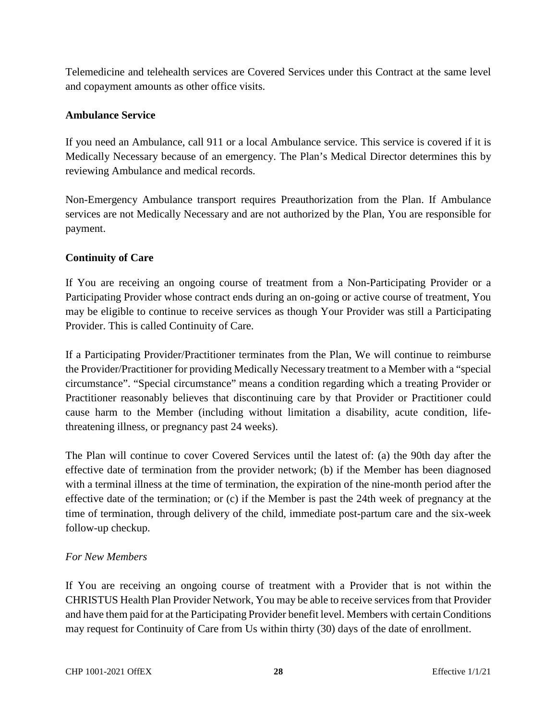Telemedicine and telehealth services are Covered Services under this Contract at the same level and copayment amounts as other office visits.

## **Ambulance Service**

If you need an Ambulance, call 911 or a local Ambulance service. This service is covered if it is Medically Necessary because of an emergency. The Plan's Medical Director determines this by reviewing Ambulance and medical records.

Non-Emergency Ambulance transport requires Preauthorization from the Plan. If Ambulance services are not Medically Necessary and are not authorized by the Plan, You are responsible for payment.

#### **Continuity of Care**

If You are receiving an ongoing course of treatment from a Non-Participating Provider or a Participating Provider whose contract ends during an on-going or active course of treatment, You may be eligible to continue to receive services as though Your Provider was still a Participating Provider. This is called Continuity of Care.

If a Participating Provider/Practitioner terminates from the Plan, We will continue to reimburse the Provider/Practitioner for providing Medically Necessary treatment to a Member with a "special circumstance". "Special circumstance" means a condition regarding which a treating Provider or Practitioner reasonably believes that discontinuing care by that Provider or Practitioner could cause harm to the Member (including without limitation a disability, acute condition, lifethreatening illness, or pregnancy past 24 weeks).

The Plan will continue to cover Covered Services until the latest of: (a) the 90th day after the effective date of termination from the provider network; (b) if the Member has been diagnosed with a terminal illness at the time of termination, the expiration of the nine-month period after the effective date of the termination; or (c) if the Member is past the 24th week of pregnancy at the time of termination, through delivery of the child, immediate post-partum care and the six-week follow-up checkup.

#### *For New Members*

If You are receiving an ongoing course of treatment with a Provider that is not within the CHRISTUS Health Plan Provider Network, You may be able to receive services from that Provider and have them paid for at the Participating Provider benefit level. Members with certain Conditions may request for Continuity of Care from Us within thirty (30) days of the date of enrollment.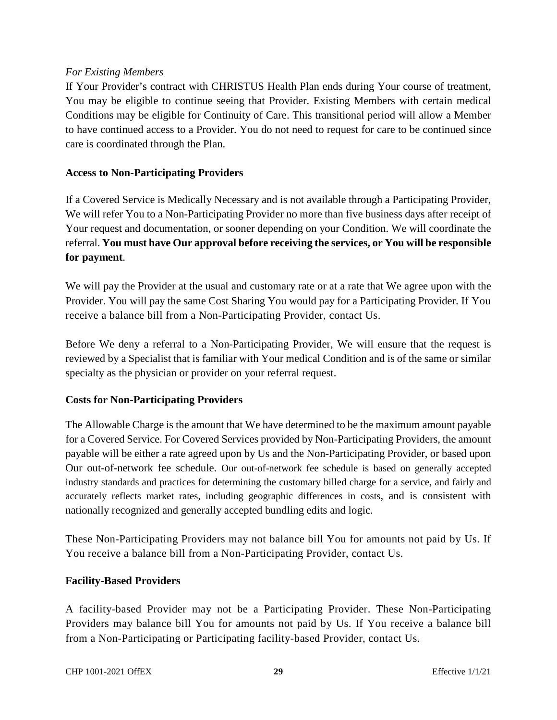#### *For Existing Members*

If Your Provider's contract with CHRISTUS Health Plan ends during Your course of treatment, You may be eligible to continue seeing that Provider. Existing Members with certain medical Conditions may be eligible for Continuity of Care. This transitional period will allow a Member to have continued access to a Provider. You do not need to request for care to be continued since care is coordinated through the Plan.

#### **Access to Non-Participating Providers**

If a Covered Service is Medically Necessary and is not available through a Participating Provider, We will refer You to a Non-Participating Provider no more than five business days after receipt of Your request and documentation, or sooner depending on your Condition. We will coordinate the referral. **You must have Our approval before receiving the services, or You will be responsible for payment**.

We will pay the Provider at the usual and customary rate or at a rate that We agree upon with the Provider. You will pay the same Cost Sharing You would pay for a Participating Provider. If You receive a balance bill from a Non-Participating Provider, contact Us.

Before We deny a referral to a Non-Participating Provider, We will ensure that the request is reviewed by a Specialist that is familiar with Your medical Condition and is of the same or similar specialty as the physician or provider on your referral request.

#### **Costs for Non-Participating Providers**

The Allowable Charge is the amount that We have determined to be the maximum amount payable for a Covered Service. For Covered Services provided by Non-Participating Providers, the amount payable will be either a rate agreed upon by Us and the Non-Participating Provider, or based upon Our out-of-network fee schedule. Our out-of-network fee schedule is based on generally accepted industry standards and practices for determining the customary billed charge for a service, and fairly and accurately reflects market rates, including geographic differences in costs, and is consistent with nationally recognized and generally accepted bundling edits and logic.

These Non-Participating Providers may not balance bill You for amounts not paid by Us. If You receive a balance bill from a Non-Participating Provider, contact Us.

#### **Facility-Based Providers**

A facility-based Provider may not be a Participating Provider. These Non-Participating Providers may balance bill You for amounts not paid by Us. If You receive a balance bill from a Non-Participating or Participating facility-based Provider, contact Us.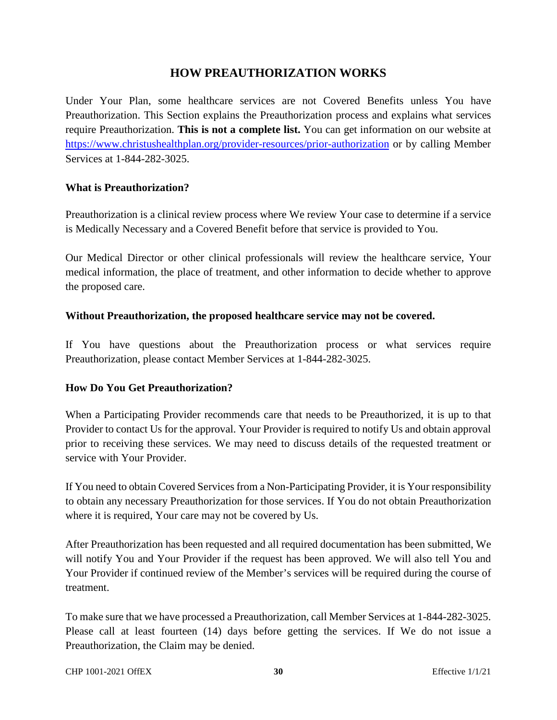# **HOW PREAUTHORIZATION WORKS**

Under Your Plan, some healthcare services are not Covered Benefits unless You have Preauthorization. This Section explains the Preauthorization process and explains what services require Preauthorization. **This is not a complete list.** You can get information on our website at https://www.christushealthplan.org/provider-resources/prior-authorization or by calling Member Services at 1-844-282-3025.

#### **What is Preauthorization?**

Preauthorization is a clinical review process where We review Your case to determine if a service is Medically Necessary and a Covered Benefit before that service is provided to You.

Our Medical Director or other clinical professionals will review the healthcare service, Your medical information, the place of treatment, and other information to decide whether to approve the proposed care.

#### **Without Preauthorization, the proposed healthcare service may not be covered.**

If You have questions about the Preauthorization process or what services require Preauthorization, please contact Member Services at 1-844-282-3025.

#### **How Do You Get Preauthorization?**

When a Participating Provider recommends care that needs to be Preauthorized, it is up to that Provider to contact Us for the approval. Your Provider is required to notify Us and obtain approval prior to receiving these services. We may need to discuss details of the requested treatment or service with Your Provider.

If You need to obtain Covered Services from a Non-Participating Provider, it is Your responsibility to obtain any necessary Preauthorization for those services. If You do not obtain Preauthorization where it is required, Your care may not be covered by Us.

After Preauthorization has been requested and all required documentation has been submitted, We will notify You and Your Provider if the request has been approved. We will also tell You and Your Provider if continued review of the Member's services will be required during the course of treatment.

To make sure that we have processed a Preauthorization, call Member Services at 1-844-282-3025. Please call at least fourteen (14) days before getting the services. If We do not issue a Preauthorization, the Claim may be denied.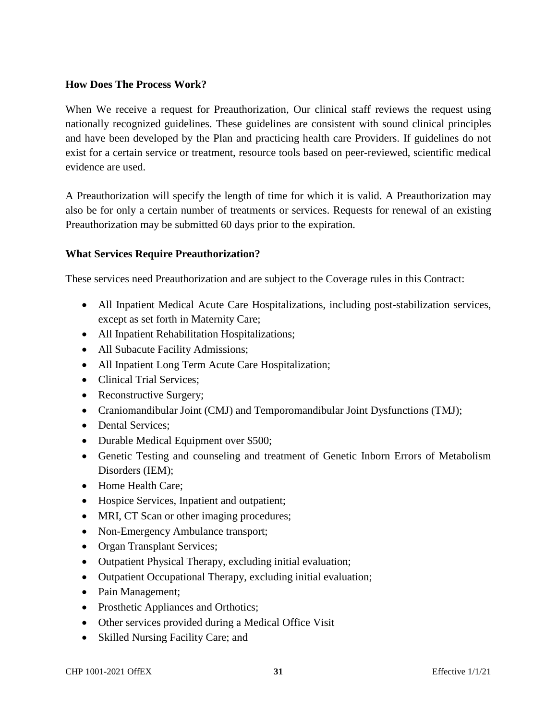#### **How Does The Process Work?**

When We receive a request for Preauthorization, Our clinical staff reviews the request using nationally recognized guidelines. These guidelines are consistent with sound clinical principles and have been developed by the Plan and practicing health care Providers. If guidelines do not exist for a certain service or treatment, resource tools based on peer-reviewed, scientific medical evidence are used.

A Preauthorization will specify the length of time for which it is valid. A Preauthorization may also be for only a certain number of treatments or services. Requests for renewal of an existing Preauthorization may be submitted 60 days prior to the expiration.

#### **What Services Require Preauthorization?**

These services need Preauthorization and are subject to the Coverage rules in this Contract:

- All Inpatient Medical Acute Care Hospitalizations, including post-stabilization services, except as set forth in Maternity Care;
- All Inpatient Rehabilitation Hospitalizations;
- All Subacute Facility Admissions;
- All Inpatient Long Term Acute Care Hospitalization;
- Clinical Trial Services;
- Reconstructive Surgery;
- Craniomandibular Joint (CMJ) and Temporomandibular Joint Dysfunctions (TMJ);
- Dental Services:
- Durable Medical Equipment over \$500;
- Genetic Testing and counseling and treatment of Genetic Inborn Errors of Metabolism Disorders (IEM);
- Home Health Care:
- Hospice Services, Inpatient and outpatient;
- MRI, CT Scan or other imaging procedures;
- Non-Emergency Ambulance transport;
- Organ Transplant Services;
- Outpatient Physical Therapy, excluding initial evaluation;
- Outpatient Occupational Therapy, excluding initial evaluation;
- Pain Management;
- Prosthetic Appliances and Orthotics;
- Other services provided during a Medical Office Visit
- Skilled Nursing Facility Care; and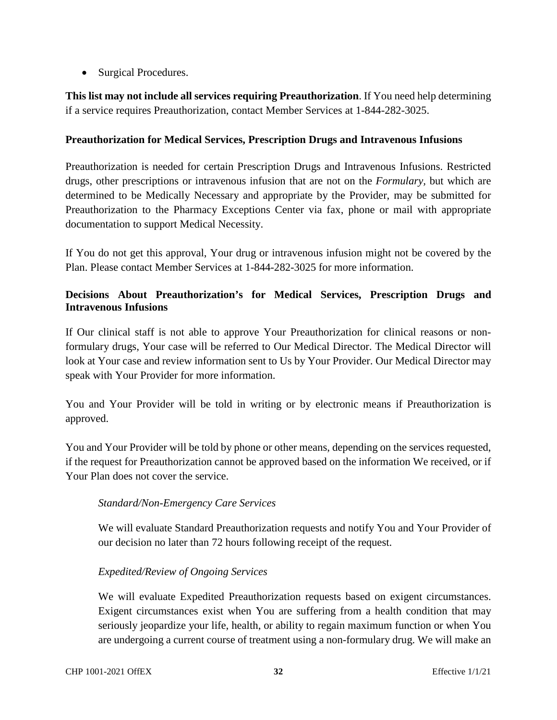• Surgical Procedures.

**This list may not include all services requiring Preauthorization**. If You need help determining if a service requires Preauthorization, contact Member Services at 1-844-282-3025.

#### **Preauthorization for Medical Services, Prescription Drugs and Intravenous Infusions**

Preauthorization is needed for certain Prescription Drugs and Intravenous Infusions. Restricted drugs, other prescriptions or intravenous infusion that are not on the *Formulary,* but which are determined to be Medically Necessary and appropriate by the Provider, may be submitted for Preauthorization to the Pharmacy Exceptions Center via fax, phone or mail with appropriate documentation to support Medical Necessity.

If You do not get this approval, Your drug or intravenous infusion might not be covered by the Plan. Please contact Member Services at 1-844-282-3025 for more information.

# **Decisions About Preauthorization's for Medical Services, Prescription Drugs and Intravenous Infusions**

If Our clinical staff is not able to approve Your Preauthorization for clinical reasons or nonformulary drugs, Your case will be referred to Our Medical Director. The Medical Director will look at Your case and review information sent to Us by Your Provider. Our Medical Director may speak with Your Provider for more information.

You and Your Provider will be told in writing or by electronic means if Preauthorization is approved.

You and Your Provider will be told by phone or other means, depending on the services requested, if the request for Preauthorization cannot be approved based on the information We received, or if Your Plan does not cover the service.

## *Standard/Non-Emergency Care Services*

We will evaluate Standard Preauthorization requests and notify You and Your Provider of our decision no later than 72 hours following receipt of the request.

## *Expedited/Review of Ongoing Services*

We will evaluate Expedited Preauthorization requests based on exigent circumstances. Exigent circumstances exist when You are suffering from a health condition that may seriously jeopardize your life, health, or ability to regain maximum function or when You are undergoing a current course of treatment using a non-formulary drug. We will make an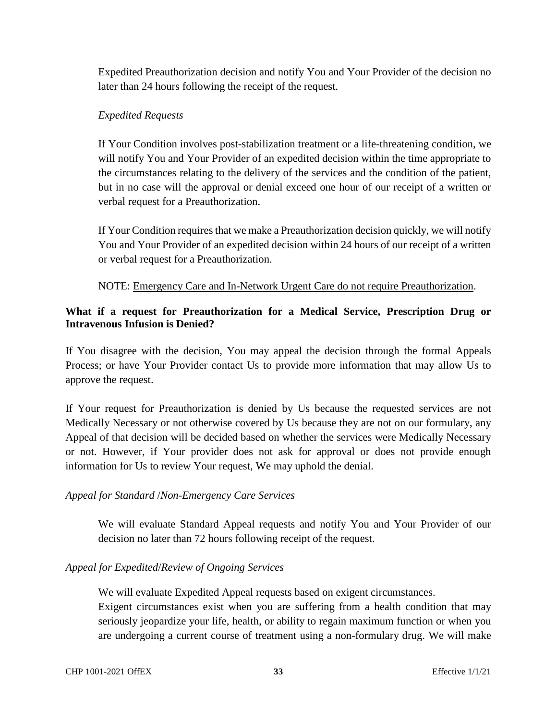Expedited Preauthorization decision and notify You and Your Provider of the decision no later than 24 hours following the receipt of the request.

#### *Expedited Requests*

If Your Condition involves post-stabilization treatment or a life-threatening condition, we will notify You and Your Provider of an expedited decision within the time appropriate to the circumstances relating to the delivery of the services and the condition of the patient, but in no case will the approval or denial exceed one hour of our receipt of a written or verbal request for a Preauthorization.

If Your Condition requires that we make a Preauthorization decision quickly, we will notify You and Your Provider of an expedited decision within 24 hours of our receipt of a written or verbal request for a Preauthorization.

NOTE: Emergency Care and In-Network Urgent Care do not require Preauthorization.

# **What if a request for Preauthorization for a Medical Service, Prescription Drug or Intravenous Infusion is Denied?**

If You disagree with the decision, You may appeal the decision through the formal Appeals Process; or have Your Provider contact Us to provide more information that may allow Us to approve the request.

If Your request for Preauthorization is denied by Us because the requested services are not Medically Necessary or not otherwise covered by Us because they are not on our formulary, any Appeal of that decision will be decided based on whether the services were Medically Necessary or not. However, if Your provider does not ask for approval or does not provide enough information for Us to review Your request, We may uphold the denial.

## *Appeal for Standard* /*Non-Emergency Care Services*

We will evaluate Standard Appeal requests and notify You and Your Provider of our decision no later than 72 hours following receipt of the request.

## *Appeal for Expedited*/*Review of Ongoing Services*

We will evaluate Expedited Appeal requests based on exigent circumstances.

Exigent circumstances exist when you are suffering from a health condition that may seriously jeopardize your life, health, or ability to regain maximum function or when you are undergoing a current course of treatment using a non-formulary drug. We will make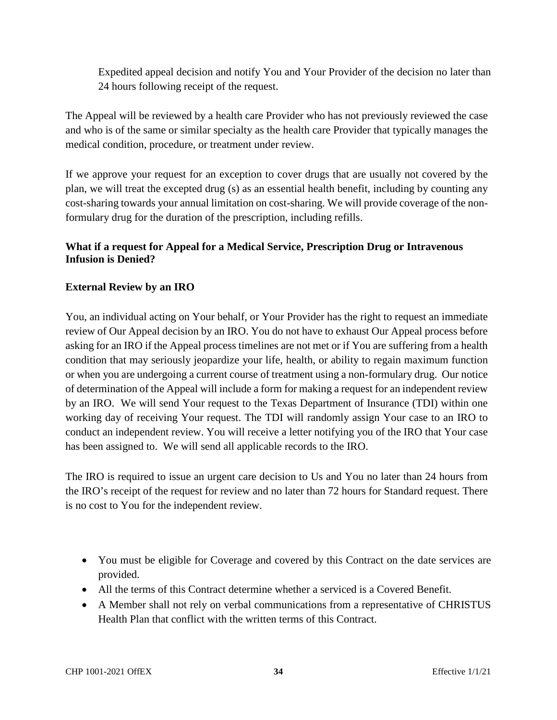Expedited appeal decision and notify You and Your Provider of the decision no later than 24 hours following receipt of the request.

The Appeal will be reviewed by a health care Provider who has not previously reviewed the case and who is of the same or similar specialty as the health care Provider that typically manages the medical condition, procedure, or treatment under review.

If we approve your request for an exception to cover drugs that are usually not covered by the plan, we will treat the excepted drug (s) as an essential health benefit, including by counting any cost-sharing towards your annual limitation on cost-sharing. We will provide coverage of the nonformulary drug for the duration of the prescription, including refills.

# **What if a request for Appeal for a Medical Service, Prescription Drug or Intravenous Infusion is Denied?**

## **External Review by an IRO**

You, an individual acting on Your behalf, or Your Provider has the right to request an immediate review of Our Appeal decision by an IRO. You do not have to exhaust Our Appeal process before asking for an IRO if the Appeal process timelines are not met or if You are suffering from a health condition that may seriously jeopardize your life, health, or ability to regain maximum function or when you are undergoing a current course of treatment using a non-formulary drug. Our notice of determination of the Appeal will include a form for making a request for an independent review by an IRO. We will send Your request to the Texas Department of Insurance (TDI) within one working day of receiving Your request. The TDI will randomly assign Your case to an IRO to conduct an independent review. You will receive a letter notifying you of the IRO that Your case has been assigned to. We will send all applicable records to the IRO.

The IRO is required to issue an urgent care decision to Us and You no later than 24 hours from the IRO's receipt of the request for review and no later than 72 hours for Standard request. There is no cost to You for the independent review.

- You must be eligible for Coverage and covered by this Contract on the date services are provided.
- All the terms of this Contract determine whether a serviced is a Covered Benefit.
- A Member shall not rely on verbal communications from a representative of CHRISTUS Health Plan that conflict with the written terms of this Contract.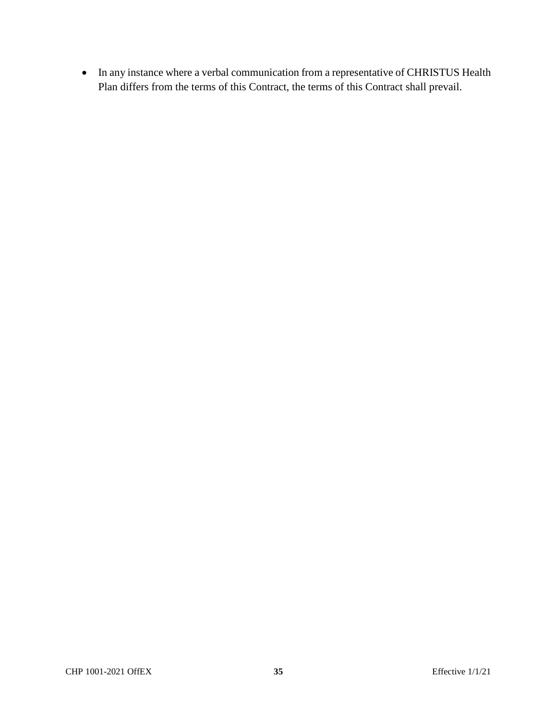In any instance where a verbal communication from a representative of CHRISTUS Health Plan differs from the terms of this Contract, the terms of this Contract shall prevail.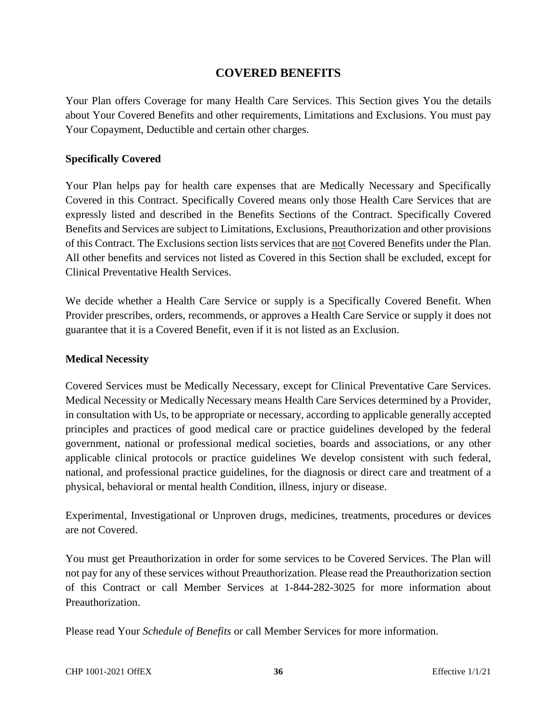# **COVERED BENEFITS**

Your Plan offers Coverage for many Health Care Services. This Section gives You the details about Your Covered Benefits and other requirements, Limitations and Exclusions. You must pay Your Copayment, Deductible and certain other charges.

#### **Specifically Covered**

Your Plan helps pay for health care expenses that are Medically Necessary and Specifically Covered in this Contract. Specifically Covered means only those Health Care Services that are expressly listed and described in the Benefits Sections of the Contract. Specifically Covered Benefits and Services are subject to Limitations, Exclusions, Preauthorization and other provisions of this Contract. The Exclusions section lists services that are not Covered Benefits under the Plan. All other benefits and services not listed as Covered in this Section shall be excluded, except for Clinical Preventative Health Services.

We decide whether a Health Care Service or supply is a Specifically Covered Benefit. When Provider prescribes, orders, recommends, or approves a Health Care Service or supply it does not guarantee that it is a Covered Benefit, even if it is not listed as an Exclusion.

#### **Medical Necessity**

Covered Services must be Medically Necessary, except for Clinical Preventative Care Services. Medical Necessity or Medically Necessary means Health Care Services determined by a Provider, in consultation with Us, to be appropriate or necessary, according to applicable generally accepted principles and practices of good medical care or practice guidelines developed by the federal government, national or professional medical societies, boards and associations, or any other applicable clinical protocols or practice guidelines We develop consistent with such federal, national, and professional practice guidelines, for the diagnosis or direct care and treatment of a physical, behavioral or mental health Condition, illness, injury or disease.

Experimental, Investigational or Unproven drugs, medicines, treatments, procedures or devices are not Covered.

You must get Preauthorization in order for some services to be Covered Services. The Plan will not pay for any of these services without Preauthorization. Please read the Preauthorization section of this Contract or call Member Services at 1-844-282-3025 for more information about Preauthorization.

Please read Your *Schedule of Benefits* or call Member Services for more information.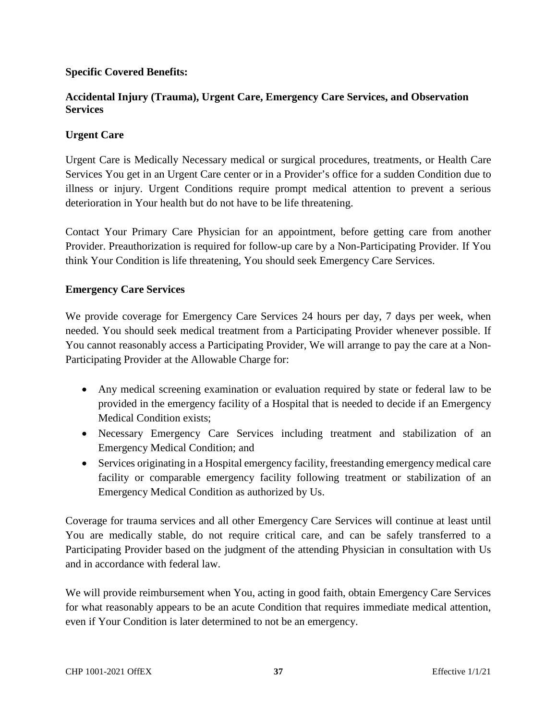### **Specific Covered Benefits:**

### **Accidental Injury (Trauma), Urgent Care, Emergency Care Services, and Observation Services**

### **Urgent Care**

Urgent Care is Medically Necessary medical or surgical procedures, treatments, or Health Care Services You get in an Urgent Care center or in a Provider's office for a sudden Condition due to illness or injury. Urgent Conditions require prompt medical attention to prevent a serious deterioration in Your health but do not have to be life threatening.

Contact Your Primary Care Physician for an appointment, before getting care from another Provider. Preauthorization is required for follow-up care by a Non-Participating Provider. If You think Your Condition is life threatening, You should seek Emergency Care Services.

#### **Emergency Care Services**

We provide coverage for Emergency Care Services 24 hours per day, 7 days per week, when needed. You should seek medical treatment from a Participating Provider whenever possible. If You cannot reasonably access a Participating Provider, We will arrange to pay the care at a Non-Participating Provider at the Allowable Charge for:

- Any medical screening examination or evaluation required by state or federal law to be provided in the emergency facility of a Hospital that is needed to decide if an Emergency Medical Condition exists;
- Necessary Emergency Care Services including treatment and stabilization of an Emergency Medical Condition; and
- Services originating in a Hospital emergency facility, freestanding emergency medical care facility or comparable emergency facility following treatment or stabilization of an Emergency Medical Condition as authorized by Us.

Coverage for trauma services and all other Emergency Care Services will continue at least until You are medically stable, do not require critical care, and can be safely transferred to a Participating Provider based on the judgment of the attending Physician in consultation with Us and in accordance with federal law.

We will provide reimbursement when You, acting in good faith, obtain Emergency Care Services for what reasonably appears to be an acute Condition that requires immediate medical attention, even if Your Condition is later determined to not be an emergency.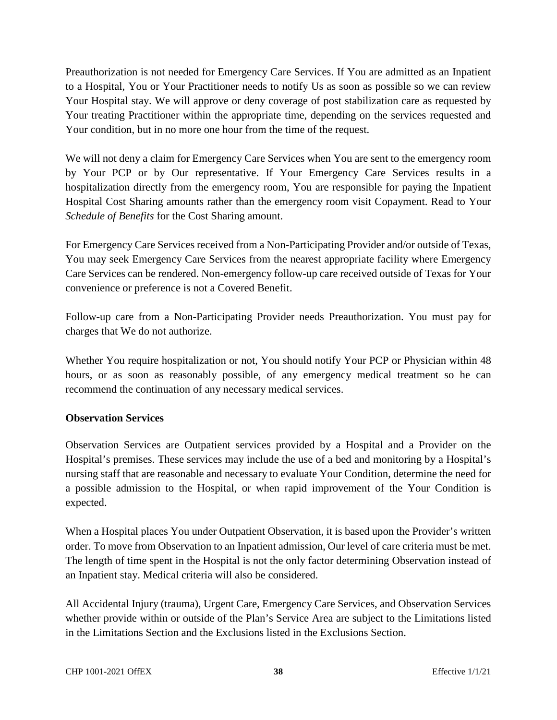Preauthorization is not needed for Emergency Care Services. If You are admitted as an Inpatient to a Hospital, You or Your Practitioner needs to notify Us as soon as possible so we can review Your Hospital stay. We will approve or deny coverage of post stabilization care as requested by Your treating Practitioner within the appropriate time, depending on the services requested and Your condition, but in no more one hour from the time of the request.

We will not deny a claim for Emergency Care Services when You are sent to the emergency room by Your PCP or by Our representative. If Your Emergency Care Services results in a hospitalization directly from the emergency room, You are responsible for paying the Inpatient Hospital Cost Sharing amounts rather than the emergency room visit Copayment. Read to Your *Schedule of Benefits* for the Cost Sharing amount.

For Emergency Care Services received from a Non-Participating Provider and/or outside of Texas, You may seek Emergency Care Services from the nearest appropriate facility where Emergency Care Services can be rendered. Non-emergency follow-up care received outside of Texas for Your convenience or preference is not a Covered Benefit.

Follow-up care from a Non-Participating Provider needs Preauthorization. You must pay for charges that We do not authorize.

Whether You require hospitalization or not, You should notify Your PCP or Physician within 48 hours, or as soon as reasonably possible, of any emergency medical treatment so he can recommend the continuation of any necessary medical services.

### **Observation Services**

Observation Services are Outpatient services provided by a Hospital and a Provider on the Hospital's premises. These services may include the use of a bed and monitoring by a Hospital's nursing staff that are reasonable and necessary to evaluate Your Condition, determine the need for a possible admission to the Hospital, or when rapid improvement of the Your Condition is expected.

When a Hospital places You under Outpatient Observation, it is based upon the Provider's written order. To move from Observation to an Inpatient admission, Our level of care criteria must be met. The length of time spent in the Hospital is not the only factor determining Observation instead of an Inpatient stay. Medical criteria will also be considered.

All Accidental Injury (trauma), Urgent Care, Emergency Care Services, and Observation Services whether provide within or outside of the Plan's Service Area are subject to the Limitations listed in the Limitations Section and the Exclusions listed in the Exclusions Section.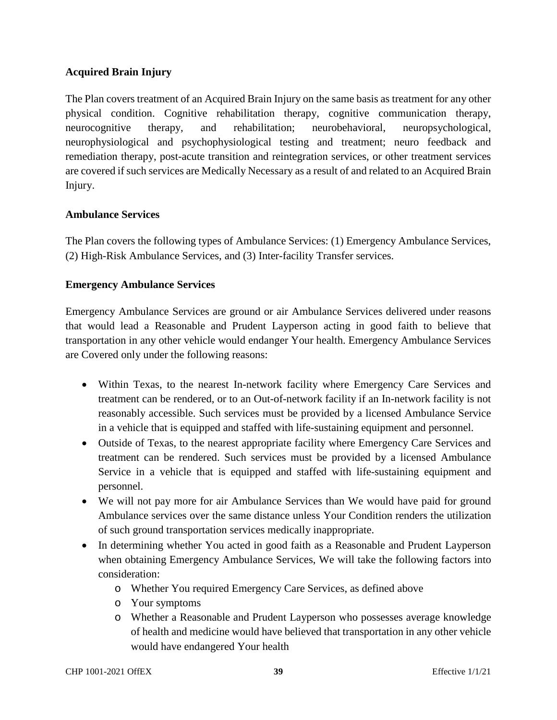### **Acquired Brain Injury**

The Plan covers treatment of an Acquired Brain Injury on the same basis as treatment for any other physical condition. Cognitive rehabilitation therapy, cognitive communication therapy, neurocognitive therapy, and rehabilitation; neurobehavioral, neuropsychological, neurophysiological and psychophysiological testing and treatment; neuro feedback and remediation therapy, post-acute transition and reintegration services, or other treatment services are covered if such services are Medically Necessary as a result of and related to an Acquired Brain Injury.

#### **Ambulance Services**

The Plan covers the following types of Ambulance Services: (1) Emergency Ambulance Services, (2) High-Risk Ambulance Services, and (3) Inter-facility Transfer services.

### **Emergency Ambulance Services**

Emergency Ambulance Services are ground or air Ambulance Services delivered under reasons that would lead a Reasonable and Prudent Layperson acting in good faith to believe that transportation in any other vehicle would endanger Your health. Emergency Ambulance Services are Covered only under the following reasons:

- Within Texas, to the nearest In-network facility where Emergency Care Services and treatment can be rendered, or to an Out-of-network facility if an In-network facility is not reasonably accessible. Such services must be provided by a licensed Ambulance Service in a vehicle that is equipped and staffed with life-sustaining equipment and personnel.
- Outside of Texas, to the nearest appropriate facility where Emergency Care Services and treatment can be rendered. Such services must be provided by a licensed Ambulance Service in a vehicle that is equipped and staffed with life-sustaining equipment and personnel.
- We will not pay more for air Ambulance Services than We would have paid for ground Ambulance services over the same distance unless Your Condition renders the utilization of such ground transportation services medically inappropriate.
- In determining whether You acted in good faith as a Reasonable and Prudent Layperson when obtaining Emergency Ambulance Services, We will take the following factors into consideration:
	- o Whether You required Emergency Care Services, as defined above
	- o Your symptoms
	- o Whether a Reasonable and Prudent Layperson who possesses average knowledge of health and medicine would have believed that transportation in any other vehicle would have endangered Your health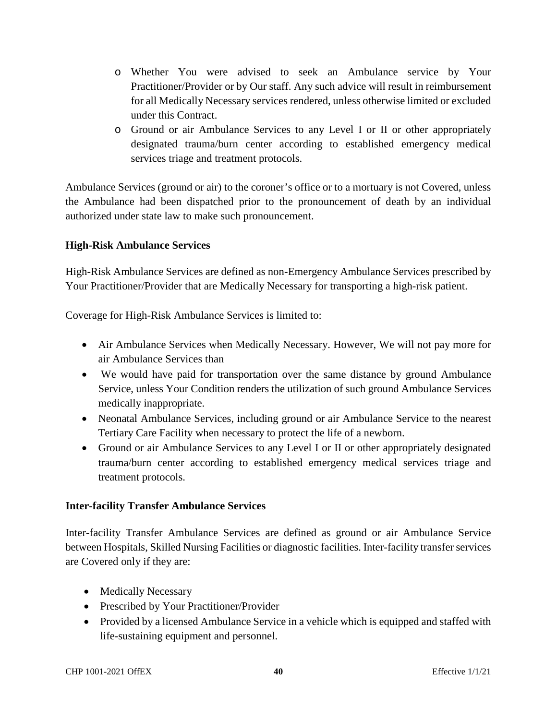- o Whether You were advised to seek an Ambulance service by Your Practitioner/Provider or by Our staff. Any such advice will result in reimbursement for all Medically Necessary services rendered, unless otherwise limited or excluded under this Contract.
- o Ground or air Ambulance Services to any Level I or II or other appropriately designated trauma/burn center according to established emergency medical services triage and treatment protocols.

Ambulance Services (ground or air) to the coroner's office or to a mortuary is not Covered, unless the Ambulance had been dispatched prior to the pronouncement of death by an individual authorized under state law to make such pronouncement.

### **High-Risk Ambulance Services**

High-Risk Ambulance Services are defined as non-Emergency Ambulance Services prescribed by Your Practitioner/Provider that are Medically Necessary for transporting a high-risk patient.

Coverage for High-Risk Ambulance Services is limited to:

- Air Ambulance Services when Medically Necessary. However, We will not pay more for air Ambulance Services than
- We would have paid for transportation over the same distance by ground Ambulance Service, unless Your Condition renders the utilization of such ground Ambulance Services medically inappropriate.
- Neonatal Ambulance Services, including ground or air Ambulance Service to the nearest Tertiary Care Facility when necessary to protect the life of a newborn.
- Ground or air Ambulance Services to any Level I or II or other appropriately designated trauma/burn center according to established emergency medical services triage and treatment protocols.

### **Inter-facility Transfer Ambulance Services**

Inter-facility Transfer Ambulance Services are defined as ground or air Ambulance Service between Hospitals, Skilled Nursing Facilities or diagnostic facilities. Inter-facility transfer services are Covered only if they are:

- Medically Necessary
- Prescribed by Your Practitioner/Provider
- Provided by a licensed Ambulance Service in a vehicle which is equipped and staffed with life-sustaining equipment and personnel.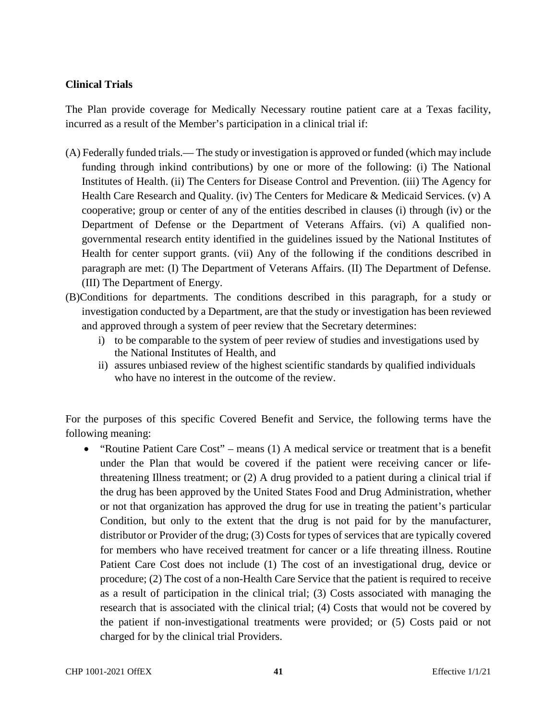### **Clinical Trials**

The Plan provide coverage for Medically Necessary routine patient care at a Texas facility, incurred as a result of the Member's participation in a clinical trial if:

- (A) Federally funded trials.— The study or investigation is approved or funded (which may include funding through inkind contributions) by one or more of the following: (i) The National Institutes of Health. (ii) The Centers for Disease Control and Prevention. (iii) The Agency for Health Care Research and Quality. (iv) The Centers for Medicare & Medicaid Services. (v) A cooperative; group or center of any of the entities described in clauses (i) through (iv) or the Department of Defense or the Department of Veterans Affairs. (vi) A qualified nongovernmental research entity identified in the guidelines issued by the National Institutes of Health for center support grants. (vii) Any of the following if the conditions described in paragraph are met: (I) The Department of Veterans Affairs. (II) The Department of Defense. (III) The Department of Energy.
- (B)Conditions for departments. The conditions described in this paragraph, for a study or investigation conducted by a Department, are that the study or investigation has been reviewed and approved through a system of peer review that the Secretary determines:
	- i) to be comparable to the system of peer review of studies and investigations used by the National Institutes of Health, and
	- ii) assures unbiased review of the highest scientific standards by qualified individuals who have no interest in the outcome of the review.

For the purposes of this specific Covered Benefit and Service, the following terms have the following meaning:

 "Routine Patient Care Cost" – means (1) A medical service or treatment that is a benefit under the Plan that would be covered if the patient were receiving cancer or lifethreatening Illness treatment; or (2) A drug provided to a patient during a clinical trial if the drug has been approved by the United States Food and Drug Administration, whether or not that organization has approved the drug for use in treating the patient's particular Condition, but only to the extent that the drug is not paid for by the manufacturer, distributor or Provider of the drug; (3) Costs for types of services that are typically covered for members who have received treatment for cancer or a life threating illness. Routine Patient Care Cost does not include (1) The cost of an investigational drug, device or procedure; (2) The cost of a non-Health Care Service that the patient is required to receive as a result of participation in the clinical trial; (3) Costs associated with managing the research that is associated with the clinical trial; (4) Costs that would not be covered by the patient if non-investigational treatments were provided; or (5) Costs paid or not charged for by the clinical trial Providers.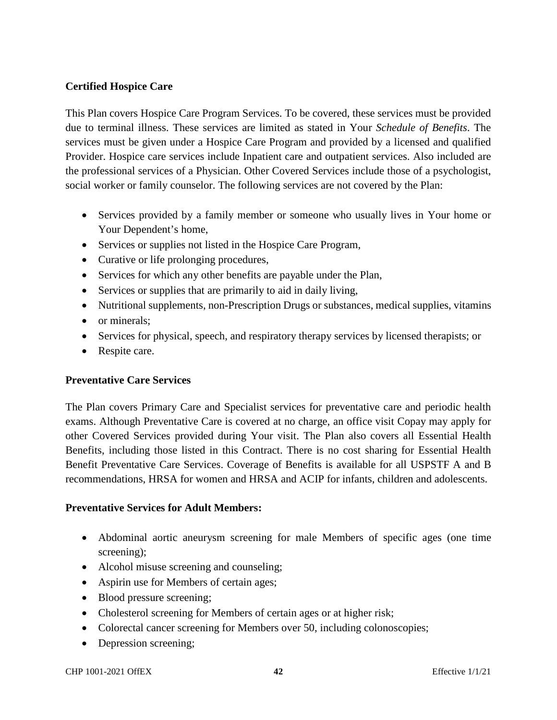### **Certified Hospice Care**

This Plan covers Hospice Care Program Services. To be covered, these services must be provided due to terminal illness. These services are limited as stated in Your *Schedule of Benefits*. The services must be given under a Hospice Care Program and provided by a licensed and qualified Provider. Hospice care services include Inpatient care and outpatient services. Also included are the professional services of a Physician. Other Covered Services include those of a psychologist, social worker or family counselor. The following services are not covered by the Plan:

- Services provided by a family member or someone who usually lives in Your home or Your Dependent's home,
- Services or supplies not listed in the Hospice Care Program,
- Curative or life prolonging procedures,
- Services for which any other benefits are payable under the Plan,
- Services or supplies that are primarily to aid in daily living,
- Nutritional supplements, non-Prescription Drugs or substances, medical supplies, vitamins
- or minerals;
- Services for physical, speech, and respiratory therapy services by licensed therapists; or
- Respite care.

#### **Preventative Care Services**

The Plan covers Primary Care and Specialist services for preventative care and periodic health exams. Although Preventative Care is covered at no charge, an office visit Copay may apply for other Covered Services provided during Your visit. The Plan also covers all Essential Health Benefits, including those listed in this Contract. There is no cost sharing for Essential Health Benefit Preventative Care Services. Coverage of Benefits is available for all USPSTF A and B recommendations, HRSA for women and HRSA and ACIP for infants, children and adolescents.

#### **Preventative Services for Adult Members:**

- Abdominal aortic aneurysm screening for male Members of specific ages (one time screening);
- Alcohol misuse screening and counseling;
- Aspirin use for Members of certain ages;
- Blood pressure screening;
- Cholesterol screening for Members of certain ages or at higher risk;
- Colorectal cancer screening for Members over 50, including colonoscopies;
- Depression screening;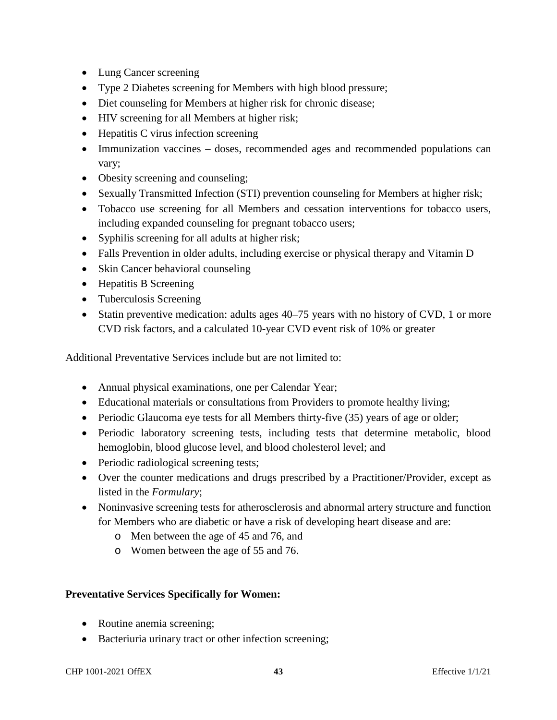- Lung Cancer screening
- Type 2 Diabetes screening for Members with high blood pressure;
- Diet counseling for Members at higher risk for chronic disease;
- HIV screening for all Members at higher risk;
- Hepatitis C virus infection screening
- Immunization vaccines doses, recommended ages and recommended populations can vary;
- Obesity screening and counseling;
- Sexually Transmitted Infection (STI) prevention counseling for Members at higher risk;
- Tobacco use screening for all Members and cessation interventions for tobacco users, including expanded counseling for pregnant tobacco users;
- Syphilis screening for all adults at higher risk;
- Falls Prevention in older adults, including exercise or physical therapy and Vitamin D
- Skin Cancer behavioral counseling
- Hepatitis B Screening
- Tuberculosis Screening
- Statin preventive medication: adults ages 40–75 years with no history of CVD, 1 or more CVD risk factors, and a calculated 10-year CVD event risk of 10% or greater

Additional Preventative Services include but are not limited to:

- Annual physical examinations, one per Calendar Year;
- Educational materials or consultations from Providers to promote healthy living;
- Periodic Glaucoma eye tests for all Members thirty-five (35) years of age or older;
- Periodic laboratory screening tests, including tests that determine metabolic, blood hemoglobin, blood glucose level, and blood cholesterol level; and
- Periodic radiological screening tests;
- Over the counter medications and drugs prescribed by a Practitioner/Provider, except as listed in the *Formulary*;
- Noninvasive screening tests for atherosclerosis and abnormal artery structure and function for Members who are diabetic or have a risk of developing heart disease and are:
	- o Men between the age of 45 and 76, and
	- o Women between the age of 55 and 76.

### **Preventative Services Specifically for Women:**

- Routine anemia screening;
- Bacteriuria urinary tract or other infection screening;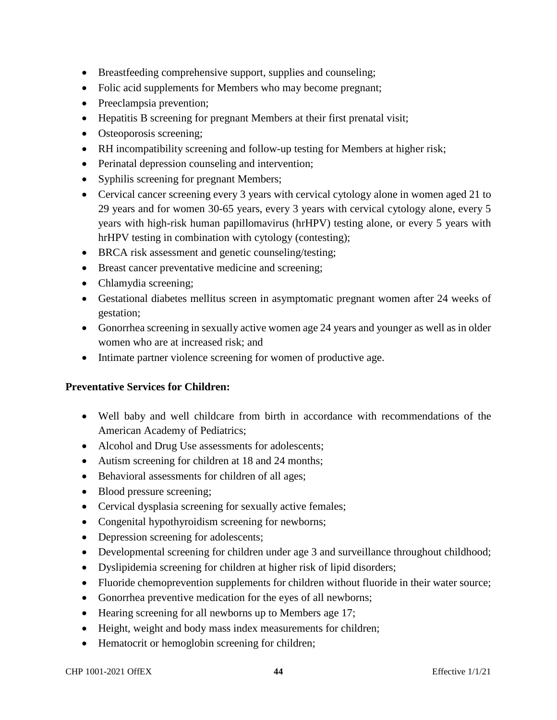- Breastfeeding comprehensive support, supplies and counseling;
- Folic acid supplements for Members who may become pregnant;
- Preeclampsia prevention;
- Hepatitis B screening for pregnant Members at their first prenatal visit;
- Osteoporosis screening;
- RH incompatibility screening and follow-up testing for Members at higher risk;
- Perinatal depression counseling and intervention;
- Syphilis screening for pregnant Members;
- Cervical cancer screening every 3 years with cervical cytology alone in women aged 21 to 29 years and for women 30-65 years, every 3 years with cervical cytology alone, every 5 years with high-risk human papillomavirus (hrHPV) testing alone, or every 5 years with hrHPV testing in combination with cytology (contesting);
- BRCA risk assessment and genetic counseling/testing;
- Breast cancer preventative medicine and screening;
- Chlamydia screening;
- Gestational diabetes mellitus screen in asymptomatic pregnant women after 24 weeks of gestation;
- Gonorrhea screening in sexually active women age 24 years and younger as well as in older women who are at increased risk; and
- Intimate partner violence screening for women of productive age.

### **Preventative Services for Children:**

- Well baby and well childcare from birth in accordance with recommendations of the American Academy of Pediatrics;
- Alcohol and Drug Use assessments for adolescents;
- Autism screening for children at 18 and 24 months;
- Behavioral assessments for children of all ages;
- Blood pressure screening;
- Cervical dysplasia screening for sexually active females;
- Congenital hypothyroidism screening for newborns;
- Depression screening for adolescents;
- Developmental screening for children under age 3 and surveillance throughout childhood;
- Dyslipidemia screening for children at higher risk of lipid disorders;
- Fluoride chemoprevention supplements for children without fluoride in their water source;
- Gonorrhea preventive medication for the eyes of all newborns;
- Hearing screening for all newborns up to Members age 17;
- Height, weight and body mass index measurements for children;
- Hematocrit or hemoglobin screening for children;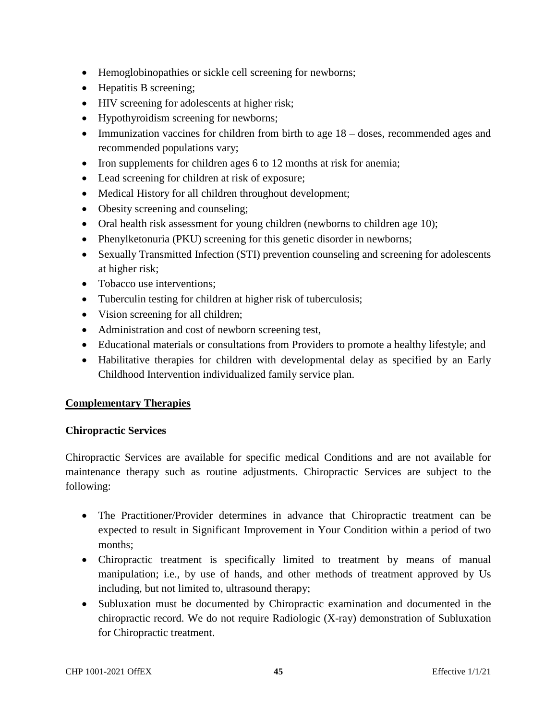- Hemoglobinopathies or sickle cell screening for newborns;
- Hepatitis B screening;
- HIV screening for adolescents at higher risk;
- Hypothyroidism screening for newborns;
- Immunization vaccines for children from birth to age  $18 -$  doses, recommended ages and recommended populations vary;
- Iron supplements for children ages 6 to 12 months at risk for anemia;
- Lead screening for children at risk of exposure;
- Medical History for all children throughout development;
- Obesity screening and counseling;
- Oral health risk assessment for young children (newborns to children age 10);
- Phenylketonuria (PKU) screening for this genetic disorder in newborns;
- Sexually Transmitted Infection (STI) prevention counseling and screening for adolescents at higher risk;
- Tobacco use interventions;
- Tuberculin testing for children at higher risk of tuberculosis;
- Vision screening for all children;
- Administration and cost of newborn screening test,
- Educational materials or consultations from Providers to promote a healthy lifestyle; and
- Habilitative therapies for children with developmental delay as specified by an Early Childhood Intervention individualized family service plan.

### **Complementary Therapies**

#### **Chiropractic Services**

Chiropractic Services are available for specific medical Conditions and are not available for maintenance therapy such as routine adjustments. Chiropractic Services are subject to the following:

- The Practitioner/Provider determines in advance that Chiropractic treatment can be expected to result in Significant Improvement in Your Condition within a period of two months;
- Chiropractic treatment is specifically limited to treatment by means of manual manipulation; i.e., by use of hands, and other methods of treatment approved by Us including, but not limited to, ultrasound therapy;
- Subluxation must be documented by Chiropractic examination and documented in the chiropractic record. We do not require Radiologic (X-ray) demonstration of Subluxation for Chiropractic treatment.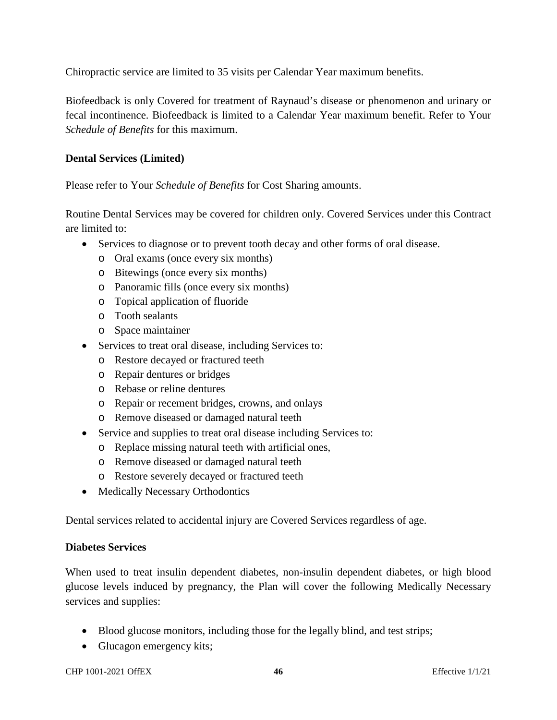Chiropractic service are limited to 35 visits per Calendar Year maximum benefits.

Biofeedback is only Covered for treatment of Raynaud's disease or phenomenon and urinary or fecal incontinence. Biofeedback is limited to a Calendar Year maximum benefit. Refer to Your *Schedule of Benefits* for this maximum.

### **Dental Services (Limited)**

Please refer to Your *Schedule of Benefits* for Cost Sharing amounts.

Routine Dental Services may be covered for children only. Covered Services under this Contract are limited to:

- Services to diagnose or to prevent tooth decay and other forms of oral disease.
	- o Oral exams (once every six months)
	- o Bitewings (once every six months)
	- o Panoramic fills (once every six months)
	- o Topical application of fluoride
	- o Tooth sealants
	- o Space maintainer
- Services to treat oral disease, including Services to:
	- o Restore decayed or fractured teeth
	- o Repair dentures or bridges
	- o Rebase or reline dentures
	- o Repair or recement bridges, crowns, and onlays
	- o Remove diseased or damaged natural teeth
- Service and supplies to treat oral disease including Services to:
	- o Replace missing natural teeth with artificial ones,
	- o Remove diseased or damaged natural teeth
	- o Restore severely decayed or fractured teeth
- Medically Necessary Orthodontics

Dental services related to accidental injury are Covered Services regardless of age.

#### **Diabetes Services**

When used to treat insulin dependent diabetes, non-insulin dependent diabetes, or high blood glucose levels induced by pregnancy, the Plan will cover the following Medically Necessary services and supplies:

- Blood glucose monitors, including those for the legally blind, and test strips;
- Glucagon emergency kits;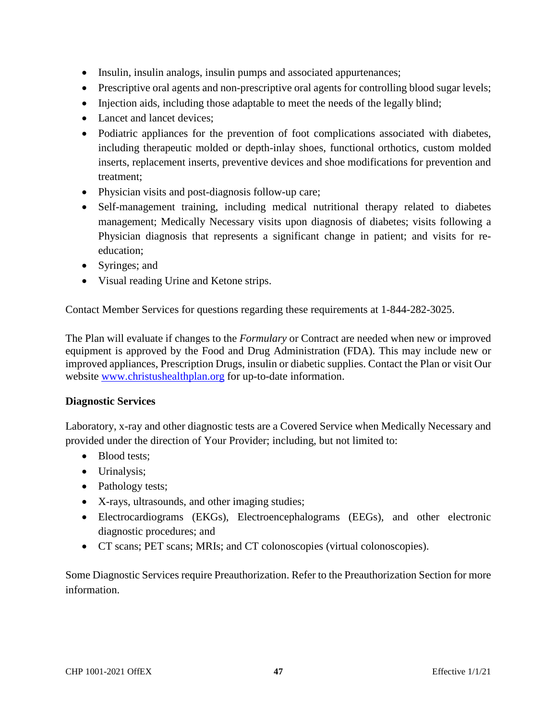- Insulin, insulin analogs, insulin pumps and associated appurtenances;
- Prescriptive oral agents and non-prescriptive oral agents for controlling blood sugar levels;
- Injection aids, including those adaptable to meet the needs of the legally blind;
- Lancet and lancet devices;
- Podiatric appliances for the prevention of foot complications associated with diabetes, including therapeutic molded or depth-inlay shoes, functional orthotics, custom molded inserts, replacement inserts, preventive devices and shoe modifications for prevention and treatment;
- Physician visits and post-diagnosis follow-up care;
- Self-management training, including medical nutritional therapy related to diabetes management; Medically Necessary visits upon diagnosis of diabetes; visits following a Physician diagnosis that represents a significant change in patient; and visits for reeducation;
- Syringes; and
- Visual reading Urine and Ketone strips.

Contact Member Services for questions regarding these requirements at 1-844-282-3025.

The Plan will evaluate if changes to the *Formulary* or Contract are needed when new or improved equipment is approved by the Food and Drug Administration (FDA). This may include new or improved appliances, Prescription Drugs, insulin or diabetic supplies. Contact the Plan or visit Our website www.christushealthplan.org for up-to-date information.

#### **Diagnostic Services**

Laboratory, x-ray and other diagnostic tests are a Covered Service when Medically Necessary and provided under the direction of Your Provider; including, but not limited to:

- Blood tests:
- Urinalysis;
- Pathology tests;
- X-rays, ultrasounds, and other imaging studies;
- Electrocardiograms (EKGs), Electroencephalograms (EEGs), and other electronic diagnostic procedures; and
- CT scans; PET scans; MRIs; and CT colonoscopies (virtual colonoscopies).

Some Diagnostic Services require Preauthorization. Refer to the Preauthorization Section for more information.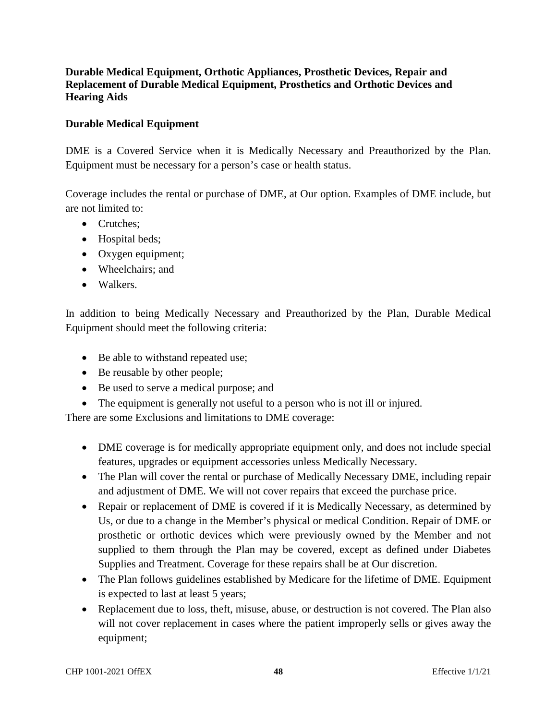### **Durable Medical Equipment, Orthotic Appliances, Prosthetic Devices, Repair and Replacement of Durable Medical Equipment, Prosthetics and Orthotic Devices and Hearing Aids**

### **Durable Medical Equipment**

DME is a Covered Service when it is Medically Necessary and Preauthorized by the Plan. Equipment must be necessary for a person's case or health status.

Coverage includes the rental or purchase of DME, at Our option. Examples of DME include, but are not limited to:

- Crutches:
- Hospital beds;
- Oxygen equipment;
- Wheelchairs; and
- Walkers.

In addition to being Medically Necessary and Preauthorized by the Plan, Durable Medical Equipment should meet the following criteria:

- Be able to withstand repeated use;
- Be reusable by other people;
- Be used to serve a medical purpose; and
- The equipment is generally not useful to a person who is not ill or injured.

There are some Exclusions and limitations to DME coverage:

- DME coverage is for medically appropriate equipment only, and does not include special features, upgrades or equipment accessories unless Medically Necessary.
- The Plan will cover the rental or purchase of Medically Necessary DME, including repair and adjustment of DME. We will not cover repairs that exceed the purchase price.
- Repair or replacement of DME is covered if it is Medically Necessary, as determined by Us, or due to a change in the Member's physical or medical Condition. Repair of DME or prosthetic or orthotic devices which were previously owned by the Member and not supplied to them through the Plan may be covered, except as defined under Diabetes Supplies and Treatment. Coverage for these repairs shall be at Our discretion.
- The Plan follows guidelines established by Medicare for the lifetime of DME. Equipment is expected to last at least 5 years;
- Replacement due to loss, theft, misuse, abuse, or destruction is not covered. The Plan also will not cover replacement in cases where the patient improperly sells or gives away the equipment;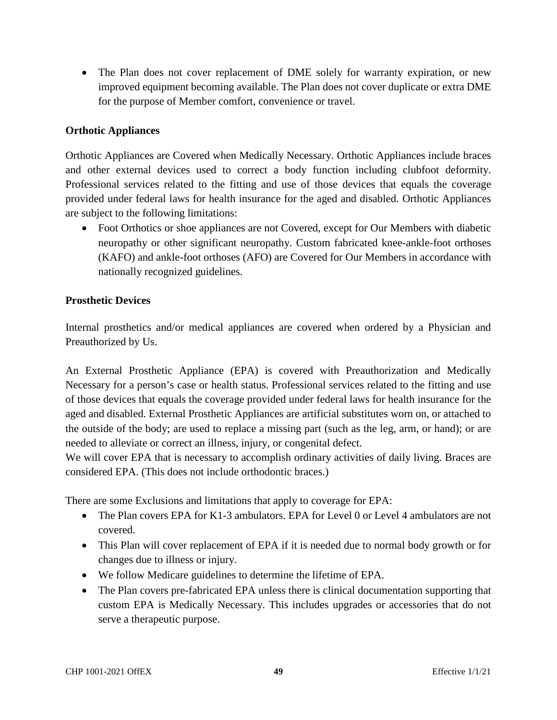The Plan does not cover replacement of DME solely for warranty expiration, or new improved equipment becoming available. The Plan does not cover duplicate or extra DME for the purpose of Member comfort, convenience or travel.

### **Orthotic Appliances**

Orthotic Appliances are Covered when Medically Necessary. Orthotic Appliances include braces and other external devices used to correct a body function including clubfoot deformity. Professional services related to the fitting and use of those devices that equals the coverage provided under federal laws for health insurance for the aged and disabled. Orthotic Appliances are subject to the following limitations:

• Foot Orthotics or shoe appliances are not Covered, except for Our Members with diabetic neuropathy or other significant neuropathy. Custom fabricated knee-ankle-foot orthoses (KAFO) and ankle-foot orthoses (AFO) are Covered for Our Members in accordance with nationally recognized guidelines.

#### **Prosthetic Devices**

Internal prosthetics and/or medical appliances are covered when ordered by a Physician and Preauthorized by Us.

An External Prosthetic Appliance (EPA) is covered with Preauthorization and Medically Necessary for a person's case or health status. Professional services related to the fitting and use of those devices that equals the coverage provided under federal laws for health insurance for the aged and disabled. External Prosthetic Appliances are artificial substitutes worn on, or attached to the outside of the body; are used to replace a missing part (such as the leg, arm, or hand); or are needed to alleviate or correct an illness, injury, or congenital defect.

We will cover EPA that is necessary to accomplish ordinary activities of daily living. Braces are considered EPA. (This does not include orthodontic braces.)

There are some Exclusions and limitations that apply to coverage for EPA:

- The Plan covers EPA for K1-3 ambulators. EPA for Level 0 or Level 4 ambulators are not covered.
- This Plan will cover replacement of EPA if it is needed due to normal body growth or for changes due to illness or injury.
- We follow Medicare guidelines to determine the lifetime of EPA.
- The Plan covers pre-fabricated EPA unless there is clinical documentation supporting that custom EPA is Medically Necessary. This includes upgrades or accessories that do not serve a therapeutic purpose.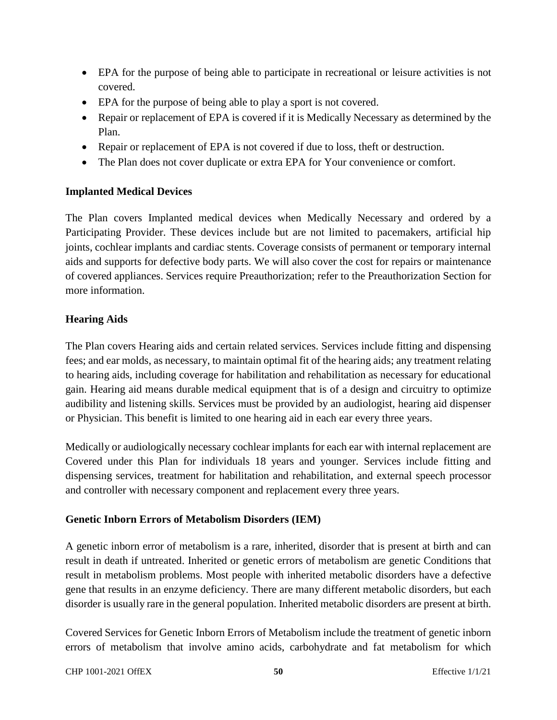- EPA for the purpose of being able to participate in recreational or leisure activities is not covered.
- EPA for the purpose of being able to play a sport is not covered.
- Repair or replacement of EPA is covered if it is Medically Necessary as determined by the Plan.
- Repair or replacement of EPA is not covered if due to loss, theft or destruction.
- The Plan does not cover duplicate or extra EPA for Your convenience or comfort.

# **Implanted Medical Devices**

The Plan covers Implanted medical devices when Medically Necessary and ordered by a Participating Provider. These devices include but are not limited to pacemakers, artificial hip joints, cochlear implants and cardiac stents. Coverage consists of permanent or temporary internal aids and supports for defective body parts. We will also cover the cost for repairs or maintenance of covered appliances. Services require Preauthorization; refer to the Preauthorization Section for more information.

# **Hearing Aids**

The Plan covers Hearing aids and certain related services. Services include fitting and dispensing fees; and ear molds, as necessary, to maintain optimal fit of the hearing aids; any treatment relating to hearing aids, including coverage for habilitation and rehabilitation as necessary for educational gain. Hearing aid means durable medical equipment that is of a design and circuitry to optimize audibility and listening skills. Services must be provided by an audiologist, hearing aid dispenser or Physician. This benefit is limited to one hearing aid in each ear every three years.

Medically or audiologically necessary cochlear implants for each ear with internal replacement are Covered under this Plan for individuals 18 years and younger. Services include fitting and dispensing services, treatment for habilitation and rehabilitation, and external speech processor and controller with necessary component and replacement every three years.

# **Genetic Inborn Errors of Metabolism Disorders (IEM)**

A genetic inborn error of metabolism is a rare, inherited, disorder that is present at birth and can result in death if untreated. Inherited or genetic errors of metabolism are genetic Conditions that result in metabolism problems. Most people with inherited metabolic disorders have a defective gene that results in an enzyme deficiency. There are many different metabolic disorders, but each disorder is usually rare in the general population. Inherited metabolic disorders are present at birth.

Covered Services for Genetic Inborn Errors of Metabolism include the treatment of genetic inborn errors of metabolism that involve amino acids, carbohydrate and fat metabolism for which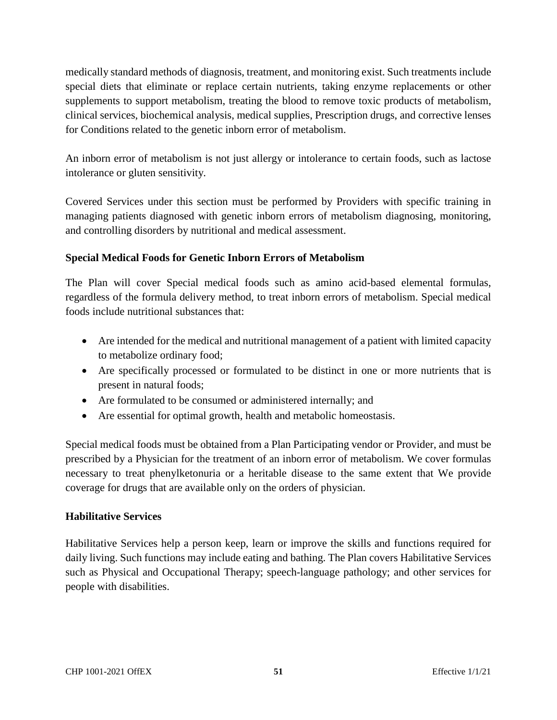medically standard methods of diagnosis, treatment, and monitoring exist. Such treatments include special diets that eliminate or replace certain nutrients, taking enzyme replacements or other supplements to support metabolism, treating the blood to remove toxic products of metabolism, clinical services, biochemical analysis, medical supplies, Prescription drugs, and corrective lenses for Conditions related to the genetic inborn error of metabolism.

An inborn error of metabolism is not just allergy or intolerance to certain foods, such as lactose intolerance or gluten sensitivity.

Covered Services under this section must be performed by Providers with specific training in managing patients diagnosed with genetic inborn errors of metabolism diagnosing, monitoring, and controlling disorders by nutritional and medical assessment.

# **Special Medical Foods for Genetic Inborn Errors of Metabolism**

The Plan will cover Special medical foods such as amino acid-based elemental formulas, regardless of the formula delivery method, to treat inborn errors of metabolism. Special medical foods include nutritional substances that:

- Are intended for the medical and nutritional management of a patient with limited capacity to metabolize ordinary food;
- Are specifically processed or formulated to be distinct in one or more nutrients that is present in natural foods;
- Are formulated to be consumed or administered internally; and
- Are essential for optimal growth, health and metabolic homeostasis.

Special medical foods must be obtained from a Plan Participating vendor or Provider, and must be prescribed by a Physician for the treatment of an inborn error of metabolism. We cover formulas necessary to treat phenylketonuria or a heritable disease to the same extent that We provide coverage for drugs that are available only on the orders of physician.

### **Habilitative Services**

Habilitative Services help a person keep, learn or improve the skills and functions required for daily living. Such functions may include eating and bathing. The Plan covers Habilitative Services such as Physical and Occupational Therapy; speech-language pathology; and other services for people with disabilities.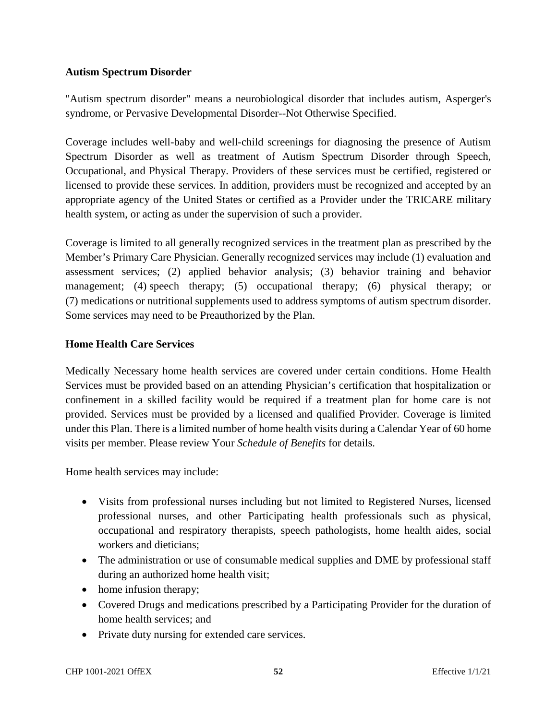### **Autism Spectrum Disorder**

"Autism spectrum disorder" means a neurobiological disorder that includes autism, Asperger's syndrome, or Pervasive Developmental Disorder--Not Otherwise Specified.

Coverage includes well-baby and well-child screenings for diagnosing the presence of Autism Spectrum Disorder as well as treatment of Autism Spectrum Disorder through Speech, Occupational, and Physical Therapy. Providers of these services must be certified, registered or licensed to provide these services. In addition, providers must be recognized and accepted by an appropriate agency of the United States or certified as a Provider under the TRICARE military health system, or acting as under the supervision of such a provider.

Coverage is limited to all generally recognized services in the treatment plan as prescribed by the Member's Primary Care Physician. Generally recognized services may include (1) evaluation and assessment services; (2) applied behavior analysis; (3) behavior training and behavior management; (4) speech therapy; (5) occupational therapy; (6) physical therapy; or (7) medications or nutritional supplements used to address symptoms of autism spectrum disorder. Some services may need to be Preauthorized by the Plan.

### **Home Health Care Services**

Medically Necessary home health services are covered under certain conditions. Home Health Services must be provided based on an attending Physician's certification that hospitalization or confinement in a skilled facility would be required if a treatment plan for home care is not provided. Services must be provided by a licensed and qualified Provider. Coverage is limited under this Plan. There is a limited number of home health visits during a Calendar Year of 60 home visits per member. Please review Your *Schedule of Benefits* for details.

Home health services may include:

- Visits from professional nurses including but not limited to Registered Nurses, licensed professional nurses, and other Participating health professionals such as physical, occupational and respiratory therapists, speech pathologists, home health aides, social workers and dieticians;
- The administration or use of consumable medical supplies and DME by professional staff during an authorized home health visit;
- home infusion therapy;
- Covered Drugs and medications prescribed by a Participating Provider for the duration of home health services; and
- Private duty nursing for extended care services.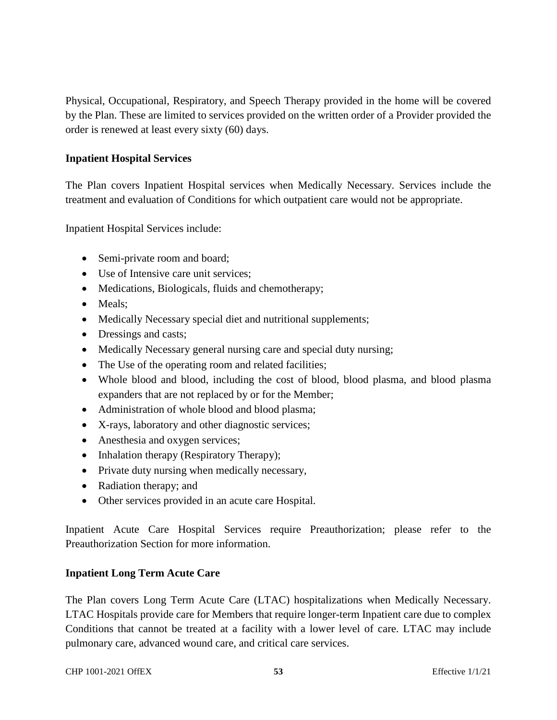Physical, Occupational, Respiratory, and Speech Therapy provided in the home will be covered by the Plan. These are limited to services provided on the written order of a Provider provided the order is renewed at least every sixty (60) days.

### **Inpatient Hospital Services**

The Plan covers Inpatient Hospital services when Medically Necessary. Services include the treatment and evaluation of Conditions for which outpatient care would not be appropriate.

Inpatient Hospital Services include:

- Semi-private room and board;
- Use of Intensive care unit services:
- Medications, Biologicals, fluids and chemotherapy;
- Meals;
- Medically Necessary special diet and nutritional supplements;
- Dressings and casts;
- Medically Necessary general nursing care and special duty nursing;
- The Use of the operating room and related facilities;
- Whole blood and blood, including the cost of blood, blood plasma, and blood plasma expanders that are not replaced by or for the Member;
- Administration of whole blood and blood plasma;
- X-rays, laboratory and other diagnostic services;
- Anesthesia and oxygen services;
- Inhalation therapy (Respiratory Therapy);
- Private duty nursing when medically necessary,
- Radiation therapy; and
- Other services provided in an acute care Hospital.

Inpatient Acute Care Hospital Services require Preauthorization; please refer to the Preauthorization Section for more information.

#### **Inpatient Long Term Acute Care**

The Plan covers Long Term Acute Care (LTAC) hospitalizations when Medically Necessary. LTAC Hospitals provide care for Members that require longer-term Inpatient care due to complex Conditions that cannot be treated at a facility with a lower level of care. LTAC may include pulmonary care, advanced wound care, and critical care services.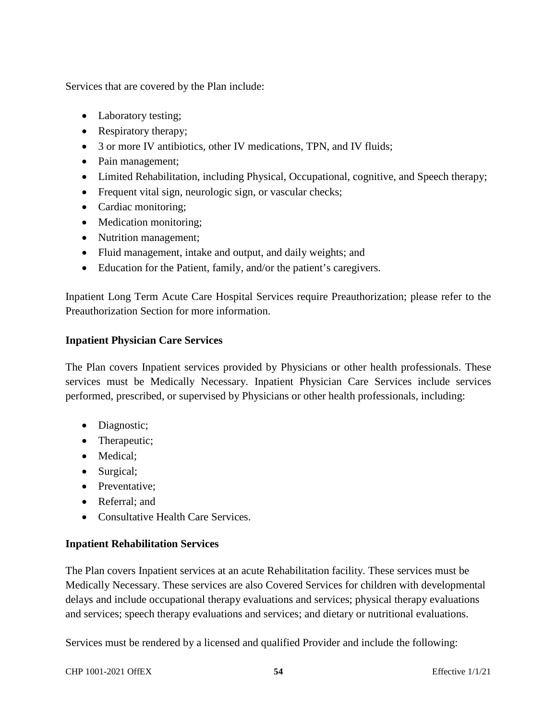Services that are covered by the Plan include:

- Laboratory testing;
- Respiratory therapy;
- 3 or more IV antibiotics, other IV medications, TPN, and IV fluids;
- Pain management:
- Limited Rehabilitation, including Physical, Occupational, cognitive, and Speech therapy;
- Frequent vital sign, neurologic sign, or vascular checks;
- Cardiac monitoring;
- Medication monitoring;
- Nutrition management;
- Fluid management, intake and output, and daily weights; and
- Education for the Patient, family, and/or the patient's caregivers.

Inpatient Long Term Acute Care Hospital Services require Preauthorization; please refer to the Preauthorization Section for more information.

### **Inpatient Physician Care Services**

The Plan covers Inpatient services provided by Physicians or other health professionals. These services must be Medically Necessary. Inpatient Physician Care Services include services performed, prescribed, or supervised by Physicians or other health professionals, including:

- Diagnostic;
- Therapeutic;
- Medical:
- Surgical;
- Preventative:
- Referral: and
- Consultative Health Care Services.

### **Inpatient Rehabilitation Services**

The Plan covers Inpatient services at an acute Rehabilitation facility. These services must be Medically Necessary. These services are also Covered Services for children with developmental delays and include occupational therapy evaluations and services; physical therapy evaluations and services; speech therapy evaluations and services; and dietary or nutritional evaluations.

Services must be rendered by a licensed and qualified Provider and include the following: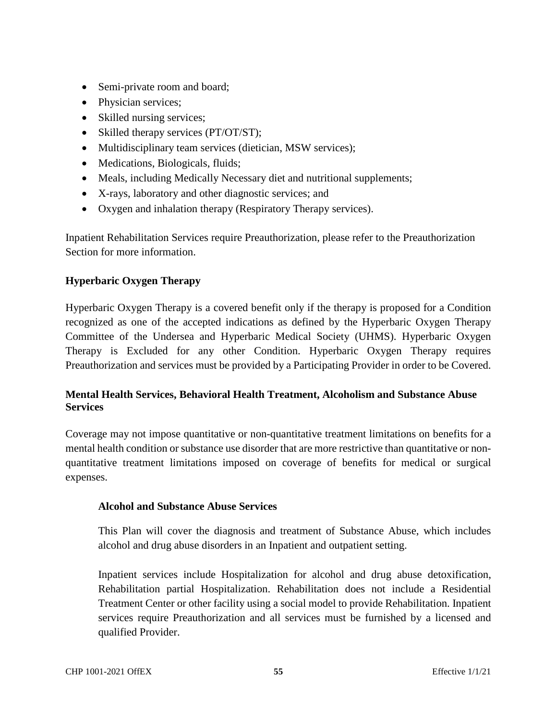- Semi-private room and board;
- Physician services;
- Skilled nursing services;
- Skilled therapy services (PT/OT/ST);
- Multidisciplinary team services (dietician, MSW services);
- Medications, Biologicals, fluids;
- Meals, including Medically Necessary diet and nutritional supplements;
- X-rays, laboratory and other diagnostic services; and
- Oxygen and inhalation therapy (Respiratory Therapy services).

Inpatient Rehabilitation Services require Preauthorization, please refer to the Preauthorization Section for more information.

# **Hyperbaric Oxygen Therapy**

Hyperbaric Oxygen Therapy is a covered benefit only if the therapy is proposed for a Condition recognized as one of the accepted indications as defined by the Hyperbaric Oxygen Therapy Committee of the Undersea and Hyperbaric Medical Society (UHMS). Hyperbaric Oxygen Therapy is Excluded for any other Condition. Hyperbaric Oxygen Therapy requires Preauthorization and services must be provided by a Participating Provider in order to be Covered.

### **Mental Health Services, Behavioral Health Treatment, Alcoholism and Substance Abuse Services**

Coverage may not impose quantitative or non-quantitative treatment limitations on benefits for a mental health condition or substance use disorder that are more restrictive than quantitative or nonquantitative treatment limitations imposed on coverage of benefits for medical or surgical expenses.

### **Alcohol and Substance Abuse Services**

This Plan will cover the diagnosis and treatment of Substance Abuse, which includes alcohol and drug abuse disorders in an Inpatient and outpatient setting.

Inpatient services include Hospitalization for alcohol and drug abuse detoxification, Rehabilitation partial Hospitalization. Rehabilitation does not include a Residential Treatment Center or other facility using a social model to provide Rehabilitation. Inpatient services require Preauthorization and all services must be furnished by a licensed and qualified Provider.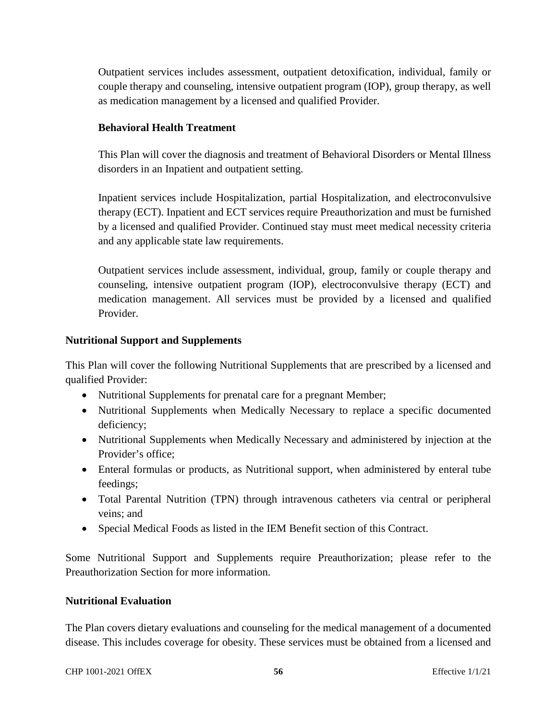Outpatient services includes assessment, outpatient detoxification, individual, family or couple therapy and counseling, intensive outpatient program (IOP), group therapy, as well as medication management by a licensed and qualified Provider.

### **Behavioral Health Treatment**

This Plan will cover the diagnosis and treatment of Behavioral Disorders or Mental Illness disorders in an Inpatient and outpatient setting.

Inpatient services include Hospitalization, partial Hospitalization, and electroconvulsive therapy (ECT). Inpatient and ECT services require Preauthorization and must be furnished by a licensed and qualified Provider. Continued stay must meet medical necessity criteria and any applicable state law requirements.

Outpatient services include assessment, individual, group, family or couple therapy and counseling, intensive outpatient program (IOP), electroconvulsive therapy (ECT) and medication management. All services must be provided by a licensed and qualified Provider.

### **Nutritional Support and Supplements**

This Plan will cover the following Nutritional Supplements that are prescribed by a licensed and qualified Provider:

- Nutritional Supplements for prenatal care for a pregnant Member;
- Nutritional Supplements when Medically Necessary to replace a specific documented deficiency;
- Nutritional Supplements when Medically Necessary and administered by injection at the Provider's office;
- Enteral formulas or products, as Nutritional support, when administered by enteral tube feedings;
- Total Parental Nutrition (TPN) through intravenous catheters via central or peripheral veins; and
- Special Medical Foods as listed in the IEM Benefit section of this Contract.

Some Nutritional Support and Supplements require Preauthorization; please refer to the Preauthorization Section for more information.

#### **Nutritional Evaluation**

The Plan covers dietary evaluations and counseling for the medical management of a documented disease. This includes coverage for obesity. These services must be obtained from a licensed and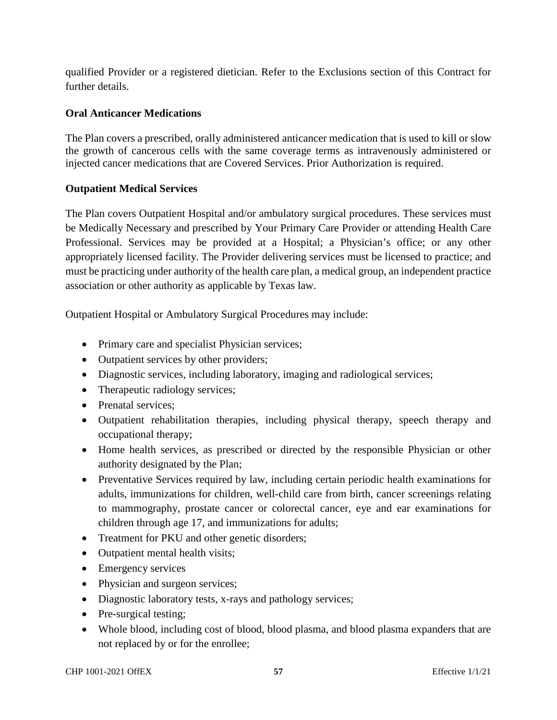qualified Provider or a registered dietician. Refer to the Exclusions section of this Contract for further details.

### **Oral Anticancer Medications**

The Plan covers a prescribed, orally administered anticancer medication that is used to kill or slow the growth of cancerous cells with the same coverage terms as intravenously administered or injected cancer medications that are Covered Services. Prior Authorization is required.

### **Outpatient Medical Services**

The Plan covers Outpatient Hospital and/or ambulatory surgical procedures. These services must be Medically Necessary and prescribed by Your Primary Care Provider or attending Health Care Professional. Services may be provided at a Hospital; a Physician's office; or any other appropriately licensed facility. The Provider delivering services must be licensed to practice; and must be practicing under authority of the health care plan, a medical group, an independent practice association or other authority as applicable by Texas law.

Outpatient Hospital or Ambulatory Surgical Procedures may include:

- Primary care and specialist Physician services;
- Outpatient services by other providers;
- Diagnostic services, including laboratory, imaging and radiological services;
- Therapeutic radiology services;
- Prenatal services:
- Outpatient rehabilitation therapies, including physical therapy, speech therapy and occupational therapy;
- Home health services, as prescribed or directed by the responsible Physician or other authority designated by the Plan;
- Preventative Services required by law, including certain periodic health examinations for adults, immunizations for children, well-child care from birth, cancer screenings relating to mammography, prostate cancer or colorectal cancer, eye and ear examinations for children through age 17, and immunizations for adults;
- Treatment for PKU and other genetic disorders;
- Outpatient mental health visits;
- Emergency services
- Physician and surgeon services;
- Diagnostic laboratory tests, x-rays and pathology services;
- Pre-surgical testing;
- Whole blood, including cost of blood, blood plasma, and blood plasma expanders that are not replaced by or for the enrollee;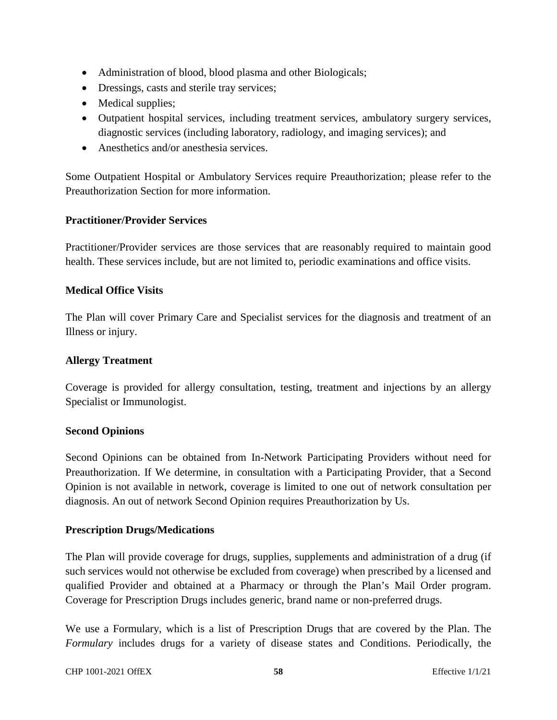- Administration of blood, blood plasma and other Biologicals;
- Dressings, casts and sterile tray services;
- Medical supplies;
- Outpatient hospital services, including treatment services, ambulatory surgery services, diagnostic services (including laboratory, radiology, and imaging services); and
- Anesthetics and/or anesthesia services.

Some Outpatient Hospital or Ambulatory Services require Preauthorization; please refer to the Preauthorization Section for more information.

### **Practitioner/Provider Services**

Practitioner/Provider services are those services that are reasonably required to maintain good health. These services include, but are not limited to, periodic examinations and office visits.

### **Medical Office Visits**

The Plan will cover Primary Care and Specialist services for the diagnosis and treatment of an Illness or injury.

#### **Allergy Treatment**

Coverage is provided for allergy consultation, testing, treatment and injections by an allergy Specialist or Immunologist.

#### **Second Opinions**

Second Opinions can be obtained from In-Network Participating Providers without need for Preauthorization. If We determine, in consultation with a Participating Provider, that a Second Opinion is not available in network, coverage is limited to one out of network consultation per diagnosis. An out of network Second Opinion requires Preauthorization by Us.

#### **Prescription Drugs/Medications**

The Plan will provide coverage for drugs, supplies, supplements and administration of a drug (if such services would not otherwise be excluded from coverage) when prescribed by a licensed and qualified Provider and obtained at a Pharmacy or through the Plan's Mail Order program. Coverage for Prescription Drugs includes generic, brand name or non-preferred drugs.

We use a Formulary, which is a list of Prescription Drugs that are covered by the Plan. The *Formulary* includes drugs for a variety of disease states and Conditions. Periodically, the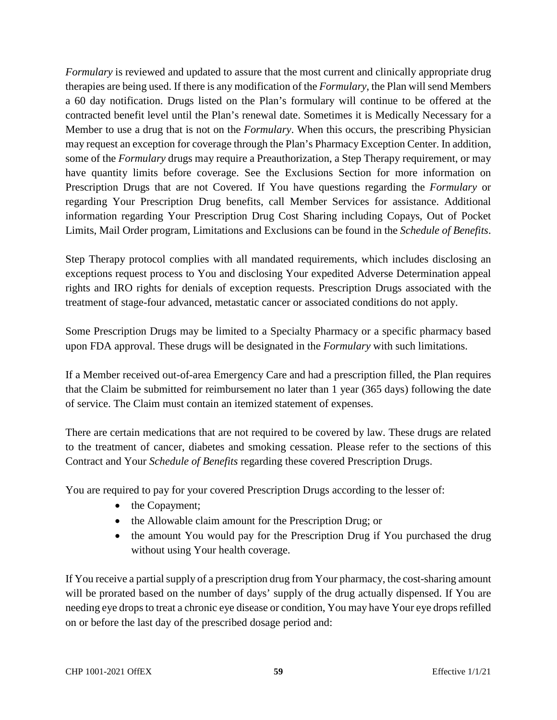*Formulary* is reviewed and updated to assure that the most current and clinically appropriate drug therapies are being used. If there is any modification of the *Formulary*, the Plan will send Members a 60 day notification. Drugs listed on the Plan's formulary will continue to be offered at the contracted benefit level until the Plan's renewal date. Sometimes it is Medically Necessary for a Member to use a drug that is not on the *Formulary*. When this occurs, the prescribing Physician may request an exception for coverage through the Plan's Pharmacy Exception Center. In addition, some of the *Formulary* drugs may require a Preauthorization, a Step Therapy requirement, or may have quantity limits before coverage. See the Exclusions Section for more information on Prescription Drugs that are not Covered. If You have questions regarding the *Formulary* or regarding Your Prescription Drug benefits, call Member Services for assistance. Additional information regarding Your Prescription Drug Cost Sharing including Copays, Out of Pocket Limits, Mail Order program, Limitations and Exclusions can be found in the *Schedule of Benefits*.

Step Therapy protocol complies with all mandated requirements, which includes disclosing an exceptions request process to You and disclosing Your expedited Adverse Determination appeal rights and IRO rights for denials of exception requests. Prescription Drugs associated with the treatment of stage-four advanced, metastatic cancer or associated conditions do not apply.

Some Prescription Drugs may be limited to a Specialty Pharmacy or a specific pharmacy based upon FDA approval. These drugs will be designated in the *Formulary* with such limitations.

If a Member received out-of-area Emergency Care and had a prescription filled, the Plan requires that the Claim be submitted for reimbursement no later than 1 year (365 days) following the date of service. The Claim must contain an itemized statement of expenses.

There are certain medications that are not required to be covered by law. These drugs are related to the treatment of cancer, diabetes and smoking cessation. Please refer to the sections of this Contract and Your *Schedule of Benefits* regarding these covered Prescription Drugs.

You are required to pay for your covered Prescription Drugs according to the lesser of:

- the Copayment;
- the Allowable claim amount for the Prescription Drug; or
- the amount You would pay for the Prescription Drug if You purchased the drug without using Your health coverage.

If You receive a partial supply of a prescription drug from Your pharmacy, the cost-sharing amount will be prorated based on the number of days' supply of the drug actually dispensed. If You are needing eye drops to treat a chronic eye disease or condition, You may have Your eye drops refilled on or before the last day of the prescribed dosage period and: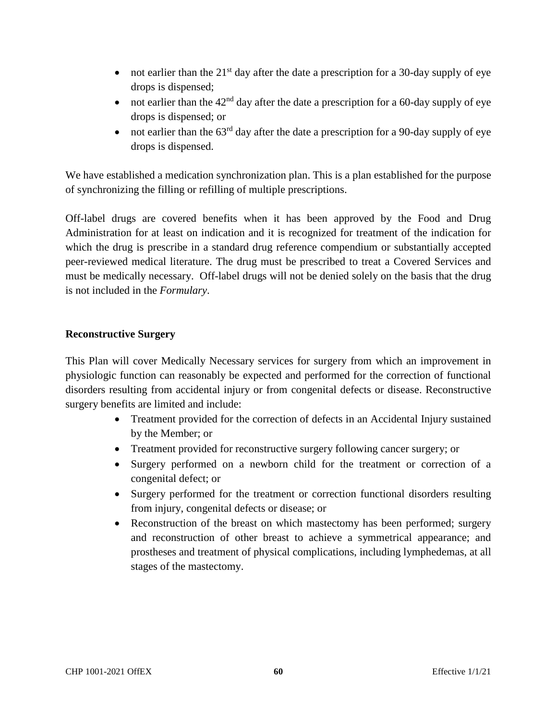- not earlier than the  $21<sup>st</sup>$  day after the date a prescription for a 30-day supply of eye drops is dispensed;
- not earlier than the  $42<sup>nd</sup>$  day after the date a prescription for a 60-day supply of eye drops is dispensed; or
- not earlier than the  $63<sup>rd</sup>$  day after the date a prescription for a 90-day supply of eye drops is dispensed.

We have established a medication synchronization plan. This is a plan established for the purpose of synchronizing the filling or refilling of multiple prescriptions.

Off-label drugs are covered benefits when it has been approved by the Food and Drug Administration for at least on indication and it is recognized for treatment of the indication for which the drug is prescribe in a standard drug reference compendium or substantially accepted peer-reviewed medical literature. The drug must be prescribed to treat a Covered Services and must be medically necessary. Off-label drugs will not be denied solely on the basis that the drug is not included in the *Formulary*.

### **Reconstructive Surgery**

This Plan will cover Medically Necessary services for surgery from which an improvement in physiologic function can reasonably be expected and performed for the correction of functional disorders resulting from accidental injury or from congenital defects or disease. Reconstructive surgery benefits are limited and include:

- Treatment provided for the correction of defects in an Accidental Injury sustained by the Member; or
- Treatment provided for reconstructive surgery following cancer surgery; or
- Surgery performed on a newborn child for the treatment or correction of a congenital defect; or
- Surgery performed for the treatment or correction functional disorders resulting from injury, congenital defects or disease; or
- Reconstruction of the breast on which mastectomy has been performed; surgery and reconstruction of other breast to achieve a symmetrical appearance; and prostheses and treatment of physical complications, including lymphedemas, at all stages of the mastectomy.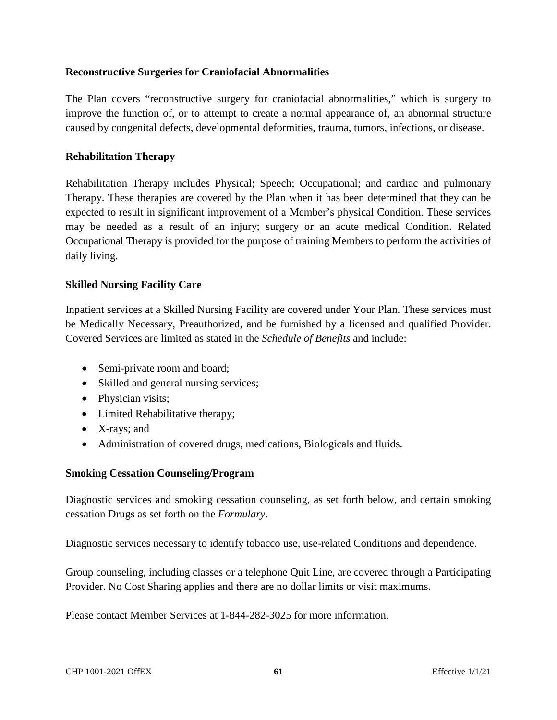### **Reconstructive Surgeries for Craniofacial Abnormalities**

The Plan covers "reconstructive surgery for craniofacial abnormalities," which is surgery to improve the function of, or to attempt to create a normal appearance of, an abnormal structure caused by congenital defects, developmental deformities, trauma, tumors, infections, or disease.

#### **Rehabilitation Therapy**

Rehabilitation Therapy includes Physical; Speech; Occupational; and cardiac and pulmonary Therapy. These therapies are covered by the Plan when it has been determined that they can be expected to result in significant improvement of a Member's physical Condition. These services may be needed as a result of an injury; surgery or an acute medical Condition. Related Occupational Therapy is provided for the purpose of training Members to perform the activities of daily living.

### **Skilled Nursing Facility Care**

Inpatient services at a Skilled Nursing Facility are covered under Your Plan. These services must be Medically Necessary, Preauthorized, and be furnished by a licensed and qualified Provider. Covered Services are limited as stated in the *Schedule of Benefits* and include:

- Semi-private room and board;
- Skilled and general nursing services;
- Physician visits;
- Limited Rehabilitative therapy;
- X-rays; and
- Administration of covered drugs, medications, Biologicals and fluids.

#### **Smoking Cessation Counseling/Program**

Diagnostic services and smoking cessation counseling, as set forth below, and certain smoking cessation Drugs as set forth on the *Formulary*.

Diagnostic services necessary to identify tobacco use, use-related Conditions and dependence.

Group counseling, including classes or a telephone Quit Line, are covered through a Participating Provider. No Cost Sharing applies and there are no dollar limits or visit maximums.

Please contact Member Services at 1-844-282-3025 for more information.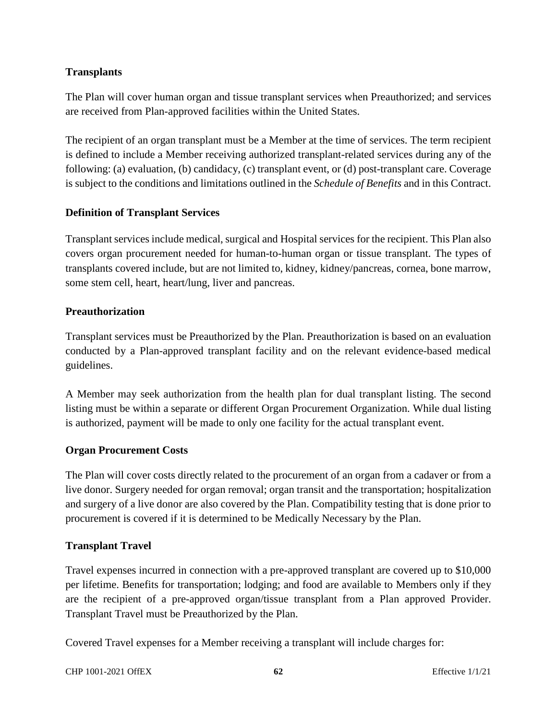### **Transplants**

The Plan will cover human organ and tissue transplant services when Preauthorized; and services are received from Plan-approved facilities within the United States.

The recipient of an organ transplant must be a Member at the time of services. The term recipient is defined to include a Member receiving authorized transplant-related services during any of the following: (a) evaluation, (b) candidacy, (c) transplant event, or (d) post-transplant care. Coverage is subject to the conditions and limitations outlined in the *Schedule of Benefits* and in this Contract.

### **Definition of Transplant Services**

Transplant services include medical, surgical and Hospital services for the recipient. This Plan also covers organ procurement needed for human-to-human organ or tissue transplant. The types of transplants covered include, but are not limited to, kidney, kidney/pancreas, cornea, bone marrow, some stem cell, heart, heart/lung, liver and pancreas.

#### **Preauthorization**

Transplant services must be Preauthorized by the Plan. Preauthorization is based on an evaluation conducted by a Plan-approved transplant facility and on the relevant evidence-based medical guidelines.

A Member may seek authorization from the health plan for dual transplant listing. The second listing must be within a separate or different Organ Procurement Organization. While dual listing is authorized, payment will be made to only one facility for the actual transplant event.

### **Organ Procurement Costs**

The Plan will cover costs directly related to the procurement of an organ from a cadaver or from a live donor. Surgery needed for organ removal; organ transit and the transportation; hospitalization and surgery of a live donor are also covered by the Plan. Compatibility testing that is done prior to procurement is covered if it is determined to be Medically Necessary by the Plan.

#### **Transplant Travel**

Travel expenses incurred in connection with a pre-approved transplant are covered up to \$10,000 per lifetime. Benefits for transportation; lodging; and food are available to Members only if they are the recipient of a pre-approved organ/tissue transplant from a Plan approved Provider. Transplant Travel must be Preauthorized by the Plan.

Covered Travel expenses for a Member receiving a transplant will include charges for: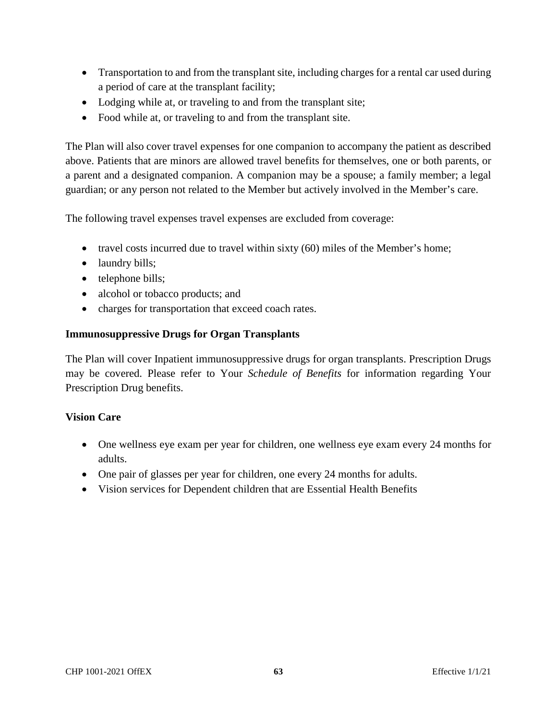- Transportation to and from the transplant site, including charges for a rental car used during a period of care at the transplant facility;
- Lodging while at, or traveling to and from the transplant site;
- Food while at, or traveling to and from the transplant site.

The Plan will also cover travel expenses for one companion to accompany the patient as described above. Patients that are minors are allowed travel benefits for themselves, one or both parents, or a parent and a designated companion. A companion may be a spouse; a family member; a legal guardian; or any person not related to the Member but actively involved in the Member's care.

The following travel expenses travel expenses are excluded from coverage:

- travel costs incurred due to travel within sixty (60) miles of the Member's home;
- laundry bills;
- telephone bills;
- alcohol or tobacco products; and
- charges for transportation that exceed coach rates.

#### **Immunosuppressive Drugs for Organ Transplants**

The Plan will cover Inpatient immunosuppressive drugs for organ transplants. Prescription Drugs may be covered. Please refer to Your *Schedule of Benefits* for information regarding Your Prescription Drug benefits.

#### **Vision Care**

- One wellness eye exam per year for children, one wellness eye exam every 24 months for adults.
- One pair of glasses per year for children, one every 24 months for adults.
- Vision services for Dependent children that are Essential Health Benefits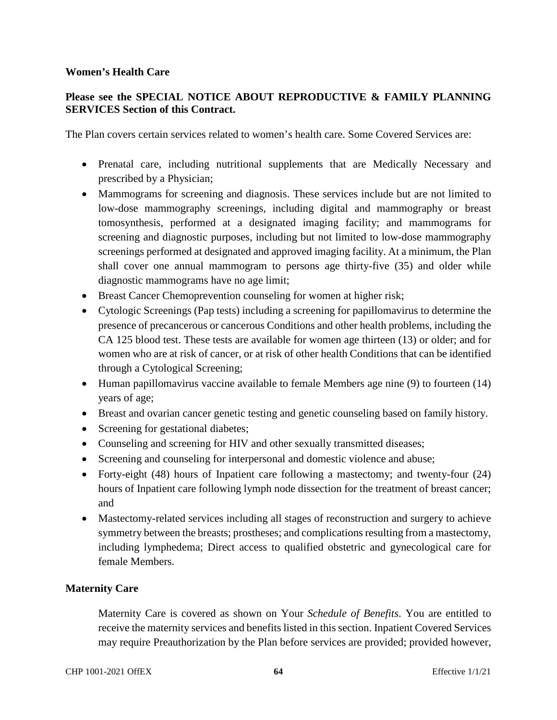#### **Women's Health Care**

### **Please see the SPECIAL NOTICE ABOUT REPRODUCTIVE & FAMILY PLANNING SERVICES Section of this Contract.**

The Plan covers certain services related to women's health care. Some Covered Services are:

- Prenatal care, including nutritional supplements that are Medically Necessary and prescribed by a Physician;
- Mammograms for screening and diagnosis. These services include but are not limited to low-dose mammography screenings, including digital and mammography or breast tomosynthesis, performed at a designated imaging facility; and mammograms for screening and diagnostic purposes, including but not limited to low-dose mammography screenings performed at designated and approved imaging facility. At a minimum, the Plan shall cover one annual mammogram to persons age thirty-five (35) and older while diagnostic mammograms have no age limit;
- Breast Cancer Chemoprevention counseling for women at higher risk;
- Cytologic Screenings (Pap tests) including a screening for papillomavirus to determine the presence of precancerous or cancerous Conditions and other health problems, including the CA 125 blood test. These tests are available for women age thirteen (13) or older; and for women who are at risk of cancer, or at risk of other health Conditions that can be identified through a Cytological Screening;
- Human papillomavirus vaccine available to female Members age nine (9) to fourteen (14) years of age;
- Breast and ovarian cancer genetic testing and genetic counseling based on family history.
- Screening for gestational diabetes;
- Counseling and screening for HIV and other sexually transmitted diseases;
- Screening and counseling for interpersonal and domestic violence and abuse;
- Forty-eight (48) hours of Inpatient care following a mastectomy; and twenty-four (24) hours of Inpatient care following lymph node dissection for the treatment of breast cancer; and
- Mastectomy-related services including all stages of reconstruction and surgery to achieve symmetry between the breasts; prostheses; and complications resulting from a mastectomy, including lymphedema; Direct access to qualified obstetric and gynecological care for female Members.

#### **Maternity Care**

Maternity Care is covered as shown on Your *Schedule of Benefits*. You are entitled to receive the maternity services and benefits listed in this section. Inpatient Covered Services may require Preauthorization by the Plan before services are provided; provided however,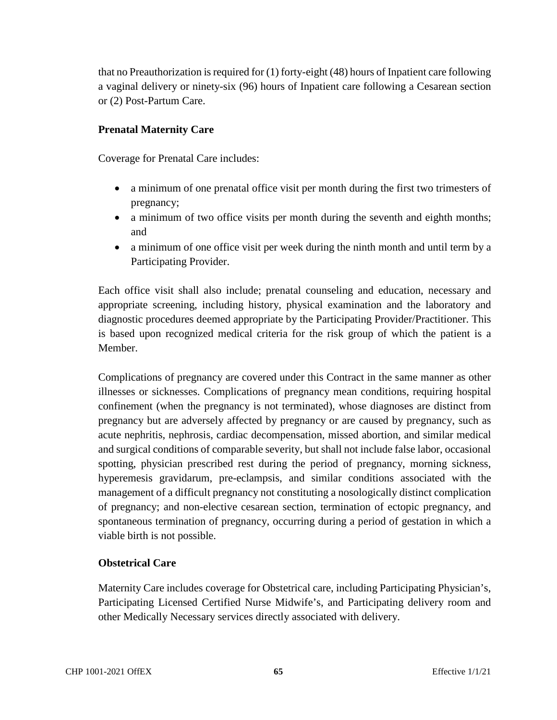that no Preauthorization is required for (1) forty-eight (48) hours of Inpatient care following a vaginal delivery or ninety-six (96) hours of Inpatient care following a Cesarean section or (2) Post-Partum Care.

### **Prenatal Maternity Care**

Coverage for Prenatal Care includes:

- a minimum of one prenatal office visit per month during the first two trimesters of pregnancy;
- a minimum of two office visits per month during the seventh and eighth months; and
- a minimum of one office visit per week during the ninth month and until term by a Participating Provider.

Each office visit shall also include; prenatal counseling and education, necessary and appropriate screening, including history, physical examination and the laboratory and diagnostic procedures deemed appropriate by the Participating Provider/Practitioner. This is based upon recognized medical criteria for the risk group of which the patient is a Member.

Complications of pregnancy are covered under this Contract in the same manner as other illnesses or sicknesses. Complications of pregnancy mean conditions, requiring hospital confinement (when the pregnancy is not terminated), whose diagnoses are distinct from pregnancy but are adversely affected by pregnancy or are caused by pregnancy, such as acute nephritis, nephrosis, cardiac decompensation, missed abortion, and similar medical and surgical conditions of comparable severity, but shall not include false labor, occasional spotting, physician prescribed rest during the period of pregnancy, morning sickness, hyperemesis gravidarum, pre-eclampsis, and similar conditions associated with the management of a difficult pregnancy not constituting a nosologically distinct complication of pregnancy; and non-elective cesarean section, termination of ectopic pregnancy, and spontaneous termination of pregnancy, occurring during a period of gestation in which a viable birth is not possible.

### **Obstetrical Care**

Maternity Care includes coverage for Obstetrical care, including Participating Physician's, Participating Licensed Certified Nurse Midwife's, and Participating delivery room and other Medically Necessary services directly associated with delivery.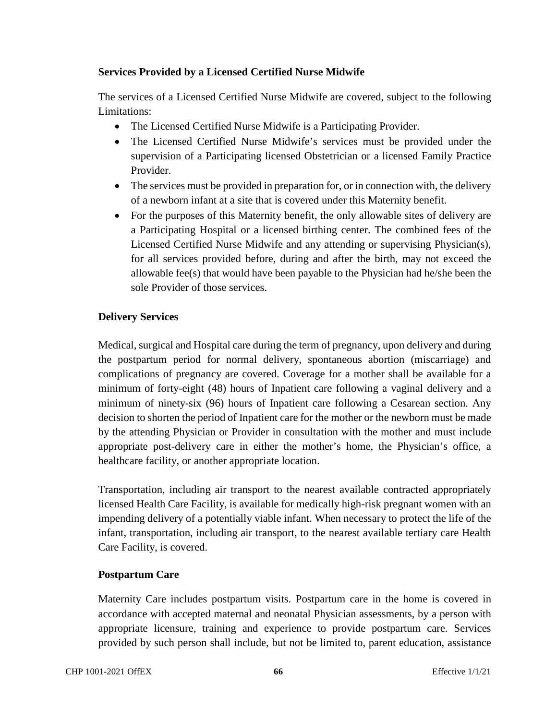### **Services Provided by a Licensed Certified Nurse Midwife**

The services of a Licensed Certified Nurse Midwife are covered, subject to the following Limitations:

- The Licensed Certified Nurse Midwife is a Participating Provider.
- The Licensed Certified Nurse Midwife's services must be provided under the supervision of a Participating licensed Obstetrician or a licensed Family Practice Provider.
- The services must be provided in preparation for, or in connection with, the delivery of a newborn infant at a site that is covered under this Maternity benefit.
- For the purposes of this Maternity benefit, the only allowable sites of delivery are a Participating Hospital or a licensed birthing center. The combined fees of the Licensed Certified Nurse Midwife and any attending or supervising Physician(s), for all services provided before, during and after the birth, may not exceed the allowable fee(s) that would have been payable to the Physician had he/she been the sole Provider of those services.

### **Delivery Services**

Medical, surgical and Hospital care during the term of pregnancy, upon delivery and during the postpartum period for normal delivery, spontaneous abortion (miscarriage) and complications of pregnancy are covered. Coverage for a mother shall be available for a minimum of forty-eight (48) hours of Inpatient care following a vaginal delivery and a minimum of ninety-six (96) hours of Inpatient care following a Cesarean section. Any decision to shorten the period of Inpatient care for the mother or the newborn must be made by the attending Physician or Provider in consultation with the mother and must include appropriate post-delivery care in either the mother's home, the Physician's office, a healthcare facility, or another appropriate location.

Transportation, including air transport to the nearest available contracted appropriately licensed Health Care Facility, is available for medically high-risk pregnant women with an impending delivery of a potentially viable infant. When necessary to protect the life of the infant, transportation, including air transport, to the nearest available tertiary care Health Care Facility, is covered.

### **Postpartum Care**

Maternity Care includes postpartum visits. Postpartum care in the home is covered in accordance with accepted maternal and neonatal Physician assessments, by a person with appropriate licensure, training and experience to provide postpartum care. Services provided by such person shall include, but not be limited to, parent education, assistance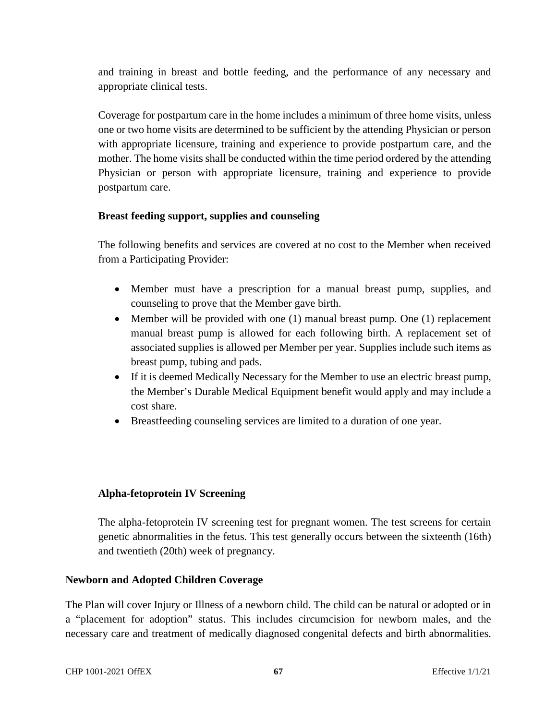and training in breast and bottle feeding, and the performance of any necessary and appropriate clinical tests.

Coverage for postpartum care in the home includes a minimum of three home visits, unless one or two home visits are determined to be sufficient by the attending Physician or person with appropriate licensure, training and experience to provide postpartum care, and the mother. The home visits shall be conducted within the time period ordered by the attending Physician or person with appropriate licensure, training and experience to provide postpartum care.

### **Breast feeding support, supplies and counseling**

The following benefits and services are covered at no cost to the Member when received from a Participating Provider:

- Member must have a prescription for a manual breast pump, supplies, and counseling to prove that the Member gave birth.
- Member will be provided with one (1) manual breast pump. One (1) replacement manual breast pump is allowed for each following birth. A replacement set of associated supplies is allowed per Member per year. Supplies include such items as breast pump, tubing and pads.
- If it is deemed Medically Necessary for the Member to use an electric breast pump, the Member's Durable Medical Equipment benefit would apply and may include a cost share.
- Breastfeeding counseling services are limited to a duration of one year.

#### **Alpha-fetoprotein IV Screening**

The alpha-fetoprotein IV screening test for pregnant women. The test screens for certain genetic abnormalities in the fetus. This test generally occurs between the sixteenth (16th) and twentieth (20th) week of pregnancy.

#### **Newborn and Adopted Children Coverage**

The Plan will cover Injury or Illness of a newborn child. The child can be natural or adopted or in a "placement for adoption" status. This includes circumcision for newborn males, and the necessary care and treatment of medically diagnosed congenital defects and birth abnormalities.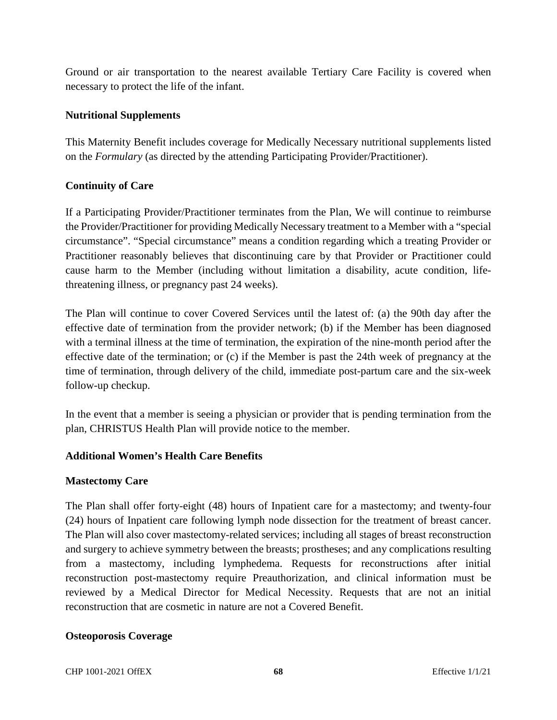Ground or air transportation to the nearest available Tertiary Care Facility is covered when necessary to protect the life of the infant.

### **Nutritional Supplements**

This Maternity Benefit includes coverage for Medically Necessary nutritional supplements listed on the *Formulary* (as directed by the attending Participating Provider/Practitioner).

### **Continuity of Care**

If a Participating Provider/Practitioner terminates from the Plan, We will continue to reimburse the Provider/Practitioner for providing Medically Necessary treatment to a Member with a "special circumstance". "Special circumstance" means a condition regarding which a treating Provider or Practitioner reasonably believes that discontinuing care by that Provider or Practitioner could cause harm to the Member (including without limitation a disability, acute condition, lifethreatening illness, or pregnancy past 24 weeks).

The Plan will continue to cover Covered Services until the latest of: (a) the 90th day after the effective date of termination from the provider network; (b) if the Member has been diagnosed with a terminal illness at the time of termination, the expiration of the nine-month period after the effective date of the termination; or (c) if the Member is past the 24th week of pregnancy at the time of termination, through delivery of the child, immediate post-partum care and the six-week follow-up checkup.

In the event that a member is seeing a physician or provider that is pending termination from the plan, CHRISTUS Health Plan will provide notice to the member.

#### **Additional Women's Health Care Benefits**

#### **Mastectomy Care**

The Plan shall offer forty-eight (48) hours of Inpatient care for a mastectomy; and twenty-four (24) hours of Inpatient care following lymph node dissection for the treatment of breast cancer. The Plan will also cover mastectomy-related services; including all stages of breast reconstruction and surgery to achieve symmetry between the breasts; prostheses; and any complications resulting from a mastectomy, including lymphedema. Requests for reconstructions after initial reconstruction post-mastectomy require Preauthorization, and clinical information must be reviewed by a Medical Director for Medical Necessity. Requests that are not an initial reconstruction that are cosmetic in nature are not a Covered Benefit.

#### **Osteoporosis Coverage**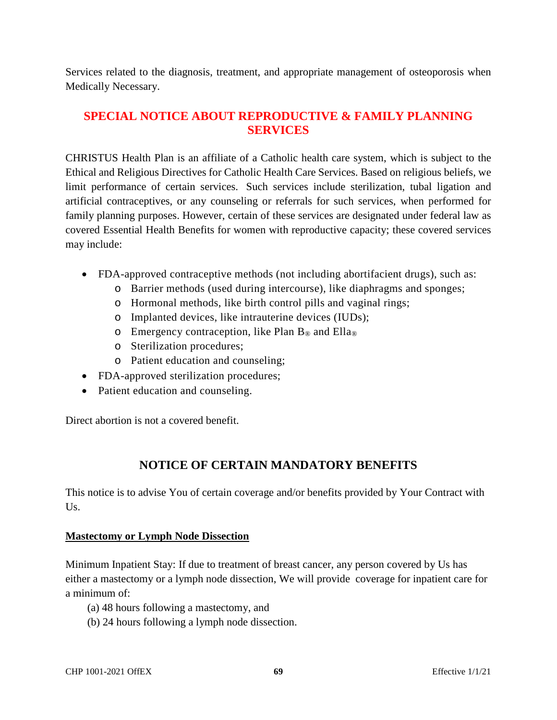Services related to the diagnosis, treatment, and appropriate management of osteoporosis when Medically Necessary.

# **SPECIAL NOTICE ABOUT REPRODUCTIVE & FAMILY PLANNING SERVICES**

CHRISTUS Health Plan is an affiliate of a Catholic health care system, which is subject to the Ethical and Religious Directives for Catholic Health Care Services. Based on religious beliefs, we limit performance of certain services. Such services include sterilization, tubal ligation and artificial contraceptives, or any counseling or referrals for such services, when performed for family planning purposes. However, certain of these services are designated under federal law as covered Essential Health Benefits for women with reproductive capacity; these covered services may include:

- FDA-approved contraceptive methods (not including abortifacient drugs), such as:
	- o Barrier methods (used during intercourse), like diaphragms and sponges;
	- o Hormonal methods, like birth control pills and vaginal rings;
	- o Implanted devices, like intrauterine devices (IUDs);
	- $\circ$  Emergency contraception, like Plan B<sub>®</sub> and Ella<sub>®</sub>
	- o Sterilization procedures;
	- o Patient education and counseling;
- FDA-approved sterilization procedures;
- Patient education and counseling.

Direct abortion is not a covered benefit.

# **NOTICE OF CERTAIN MANDATORY BENEFITS**

This notice is to advise You of certain coverage and/or benefits provided by Your Contract with Us.

#### **Mastectomy or Lymph Node Dissection**

Minimum Inpatient Stay: If due to treatment of breast cancer, any person covered by Us has either a mastectomy or a lymph node dissection, We will provide coverage for inpatient care for a minimum of:

- (a) 48 hours following a mastectomy, and
- (b) 24 hours following a lymph node dissection.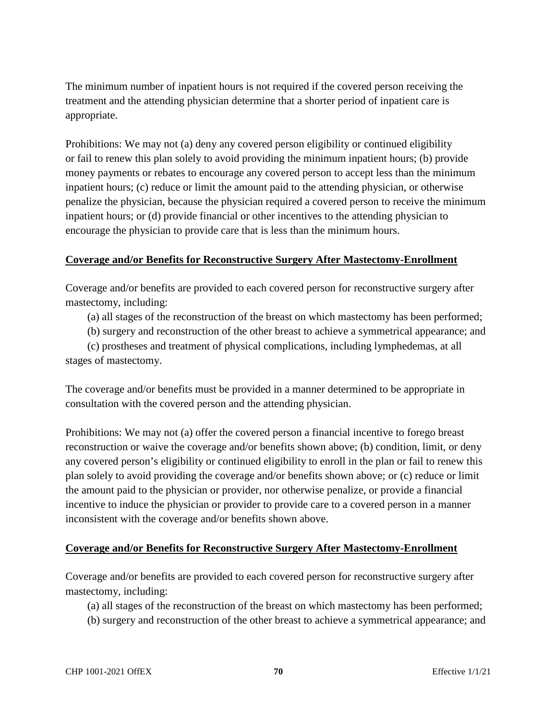The minimum number of inpatient hours is not required if the covered person receiving the treatment and the attending physician determine that a shorter period of inpatient care is appropriate.

Prohibitions: We may not (a) deny any covered person eligibility or continued eligibility or fail to renew this plan solely to avoid providing the minimum inpatient hours; (b) provide money payments or rebates to encourage any covered person to accept less than the minimum inpatient hours; (c) reduce or limit the amount paid to the attending physician, or otherwise penalize the physician, because the physician required a covered person to receive the minimum inpatient hours; or (d) provide financial or other incentives to the attending physician to encourage the physician to provide care that is less than the minimum hours.

### **Coverage and/or Benefits for Reconstructive Surgery After Mastectomy-Enrollment**

Coverage and/or benefits are provided to each covered person for reconstructive surgery after mastectomy, including:

(a) all stages of the reconstruction of the breast on which mastectomy has been performed;

(b) surgery and reconstruction of the other breast to achieve a symmetrical appearance; and

 (c) prostheses and treatment of physical complications, including lymphedemas, at all stages of mastectomy.

The coverage and/or benefits must be provided in a manner determined to be appropriate in consultation with the covered person and the attending physician.

Prohibitions: We may not (a) offer the covered person a financial incentive to forego breast reconstruction or waive the coverage and/or benefits shown above; (b) condition, limit, or deny any covered person's eligibility or continued eligibility to enroll in the plan or fail to renew this plan solely to avoid providing the coverage and/or benefits shown above; or (c) reduce or limit the amount paid to the physician or provider, nor otherwise penalize, or provide a financial incentive to induce the physician or provider to provide care to a covered person in a manner inconsistent with the coverage and/or benefits shown above.

### **Coverage and/or Benefits for Reconstructive Surgery After Mastectomy-Enrollment**

Coverage and/or benefits are provided to each covered person for reconstructive surgery after mastectomy, including:

(a) all stages of the reconstruction of the breast on which mastectomy has been performed;

(b) surgery and reconstruction of the other breast to achieve a symmetrical appearance; and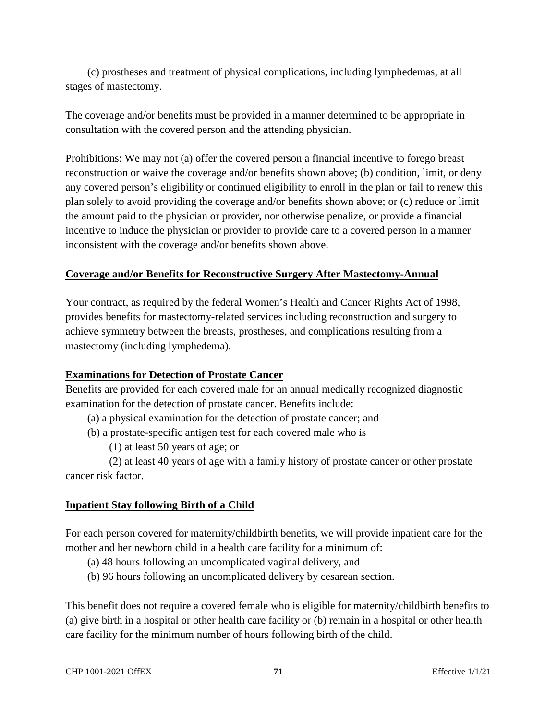(c) prostheses and treatment of physical complications, including lymphedemas, at all stages of mastectomy.

The coverage and/or benefits must be provided in a manner determined to be appropriate in consultation with the covered person and the attending physician.

Prohibitions: We may not (a) offer the covered person a financial incentive to forego breast reconstruction or waive the coverage and/or benefits shown above; (b) condition, limit, or deny any covered person's eligibility or continued eligibility to enroll in the plan or fail to renew this plan solely to avoid providing the coverage and/or benefits shown above; or (c) reduce or limit the amount paid to the physician or provider, nor otherwise penalize, or provide a financial incentive to induce the physician or provider to provide care to a covered person in a manner inconsistent with the coverage and/or benefits shown above.

### **Coverage and/or Benefits for Reconstructive Surgery After Mastectomy-Annual**

Your contract, as required by the federal Women's Health and Cancer Rights Act of 1998, provides benefits for mastectomy-related services including reconstruction and surgery to achieve symmetry between the breasts, prostheses, and complications resulting from a mastectomy (including lymphedema).

#### **Examinations for Detection of Prostate Cancer**

Benefits are provided for each covered male for an annual medically recognized diagnostic examination for the detection of prostate cancer. Benefits include:

(a) a physical examination for the detection of prostate cancer; and

(b) a prostate-specific antigen test for each covered male who is

(1) at least 50 years of age; or

 (2) at least 40 years of age with a family history of prostate cancer or other prostate cancer risk factor.

### **Inpatient Stay following Birth of a Child**

For each person covered for maternity/childbirth benefits, we will provide inpatient care for the mother and her newborn child in a health care facility for a minimum of:

- (a) 48 hours following an uncomplicated vaginal delivery, and
- (b) 96 hours following an uncomplicated delivery by cesarean section.

This benefit does not require a covered female who is eligible for maternity/childbirth benefits to (a) give birth in a hospital or other health care facility or (b) remain in a hospital or other health care facility for the minimum number of hours following birth of the child.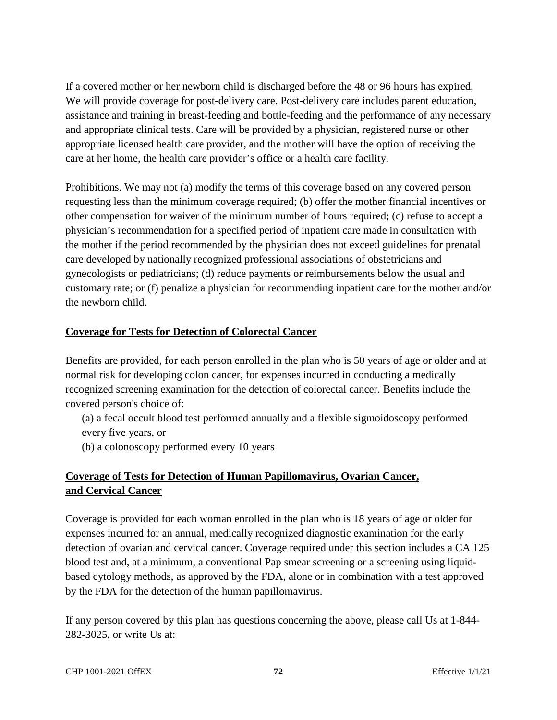If a covered mother or her newborn child is discharged before the 48 or 96 hours has expired, We will provide coverage for post-delivery care. Post-delivery care includes parent education, assistance and training in breast-feeding and bottle-feeding and the performance of any necessary and appropriate clinical tests. Care will be provided by a physician, registered nurse or other appropriate licensed health care provider, and the mother will have the option of receiving the care at her home, the health care provider's office or a health care facility.

Prohibitions. We may not (a) modify the terms of this coverage based on any covered person requesting less than the minimum coverage required; (b) offer the mother financial incentives or other compensation for waiver of the minimum number of hours required; (c) refuse to accept a physician's recommendation for a specified period of inpatient care made in consultation with the mother if the period recommended by the physician does not exceed guidelines for prenatal care developed by nationally recognized professional associations of obstetricians and gynecologists or pediatricians; (d) reduce payments or reimbursements below the usual and customary rate; or (f) penalize a physician for recommending inpatient care for the mother and/or the newborn child.

# **Coverage for Tests for Detection of Colorectal Cancer**

Benefits are provided, for each person enrolled in the plan who is 50 years of age or older and at normal risk for developing colon cancer, for expenses incurred in conducting a medically recognized screening examination for the detection of colorectal cancer. Benefits include the covered person's choice of:

- (a) a fecal occult blood test performed annually and a flexible sigmoidoscopy performed every five years, or
- (b) a colonoscopy performed every 10 years

# **Coverage of Tests for Detection of Human Papillomavirus, Ovarian Cancer, and Cervical Cancer**

Coverage is provided for each woman enrolled in the plan who is 18 years of age or older for expenses incurred for an annual, medically recognized diagnostic examination for the early detection of ovarian and cervical cancer. Coverage required under this section includes a CA 125 blood test and, at a minimum, a conventional Pap smear screening or a screening using liquidbased cytology methods, as approved by the FDA, alone or in combination with a test approved by the FDA for the detection of the human papillomavirus.

If any person covered by this plan has questions concerning the above, please call Us at 1-844- 282-3025, or write Us at: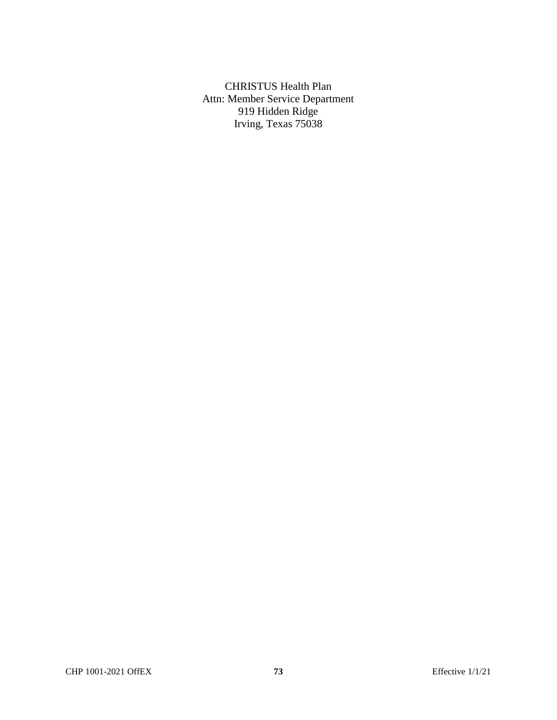CHRISTUS Health Plan Attn: Member Service Department 919 Hidden Ridge Irving, Texas 75038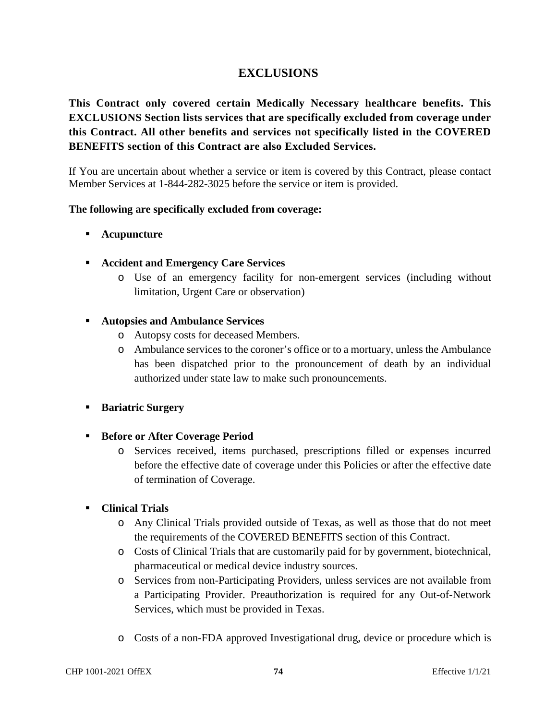# **EXCLUSIONS**

**This Contract only covered certain Medically Necessary healthcare benefits. This EXCLUSIONS Section lists services that are specifically excluded from coverage under this Contract. All other benefits and services not specifically listed in the COVERED BENEFITS section of this Contract are also Excluded Services.** 

If You are uncertain about whether a service or item is covered by this Contract, please contact Member Services at 1-844-282-3025 before the service or item is provided.

#### **The following are specifically excluded from coverage:**

- **Acupuncture**
- **Accident and Emergency Care Services**
	- o Use of an emergency facility for non-emergent services (including without limitation, Urgent Care or observation)

#### **Autopsies and Ambulance Services**

- o Autopsy costs for deceased Members.
- o Ambulance services to the coroner's office or to a mortuary, unless the Ambulance has been dispatched prior to the pronouncement of death by an individual authorized under state law to make such pronouncements.
- **Bariatric Surgery**
- **Before or After Coverage Period** 
	- o Services received, items purchased, prescriptions filled or expenses incurred before the effective date of coverage under this Policies or after the effective date of termination of Coverage.

# **Clinical Trials**

- o Any Clinical Trials provided outside of Texas, as well as those that do not meet the requirements of the COVERED BENEFITS section of this Contract.
- o Costs of Clinical Trials that are customarily paid for by government, biotechnical, pharmaceutical or medical device industry sources.
- o Services from non-Participating Providers, unless services are not available from a Participating Provider. Preauthorization is required for any Out-of-Network Services, which must be provided in Texas.
- o Costs of a non-FDA approved Investigational drug, device or procedure which is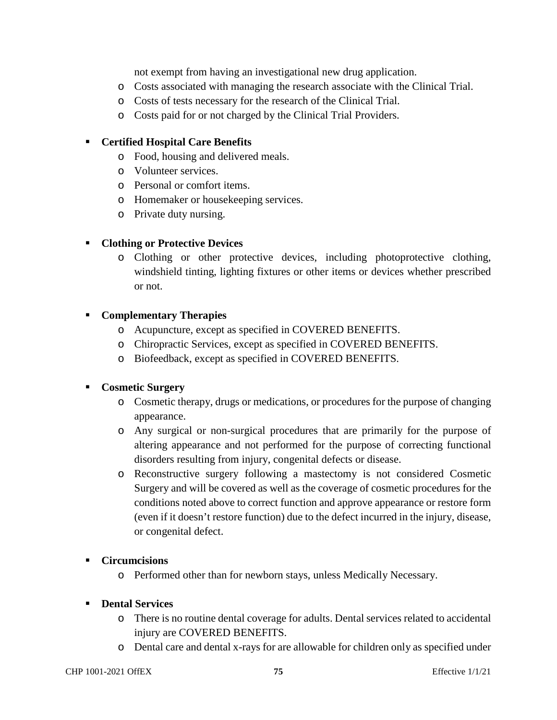not exempt from having an investigational new drug application.

- o Costs associated with managing the research associate with the Clinical Trial.
- o Costs of tests necessary for the research of the Clinical Trial.
- o Costs paid for or not charged by the Clinical Trial Providers.

#### **Certified Hospital Care Benefits**

- o Food, housing and delivered meals.
- o Volunteer services.
- o Personal or comfort items.
- o Homemaker or housekeeping services.
- o Private duty nursing.

## **Clothing or Protective Devices**

o Clothing or other protective devices, including photoprotective clothing, windshield tinting, lighting fixtures or other items or devices whether prescribed or not.

## **Complementary Therapies**

- o Acupuncture, except as specified in COVERED BENEFITS.
- o Chiropractic Services, except as specified in COVERED BENEFITS.
- o Biofeedback, except as specified in COVERED BENEFITS.

# **Cosmetic Surgery**

- o Cosmetic therapy, drugs or medications, or procedures for the purpose of changing appearance.
- o Any surgical or non-surgical procedures that are primarily for the purpose of altering appearance and not performed for the purpose of correcting functional disorders resulting from injury, congenital defects or disease.
- o Reconstructive surgery following a mastectomy is not considered Cosmetic Surgery and will be covered as well as the coverage of cosmetic procedures for the conditions noted above to correct function and approve appearance or restore form (even if it doesn't restore function) due to the defect incurred in the injury, disease, or congenital defect.

#### **Circumcisions**

o Performed other than for newborn stays, unless Medically Necessary.

#### **Dental Services**

- o There is no routine dental coverage for adults. Dental services related to accidental injury are COVERED BENEFITS.
- o Dental care and dental x-rays for are allowable for children only as specified under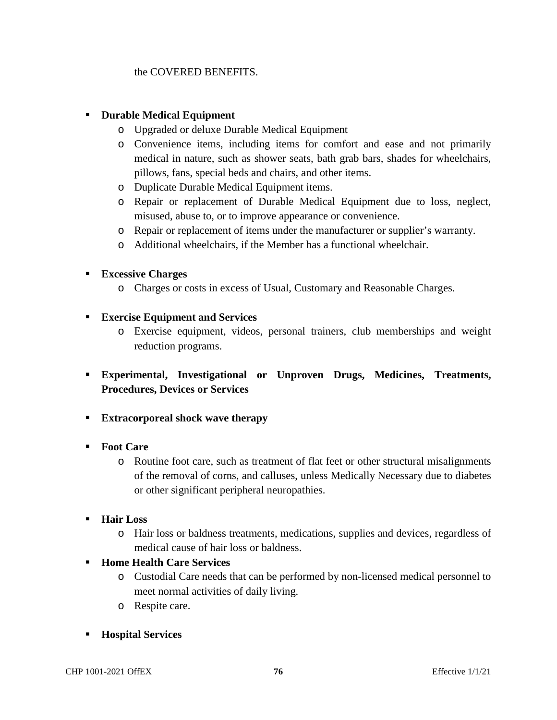# the COVERED BENEFITS.

# **Durable Medical Equipment**

- o Upgraded or deluxe Durable Medical Equipment
- o Convenience items, including items for comfort and ease and not primarily medical in nature, such as shower seats, bath grab bars, shades for wheelchairs, pillows, fans, special beds and chairs, and other items.
- o Duplicate Durable Medical Equipment items.
- o Repair or replacement of Durable Medical Equipment due to loss, neglect, misused, abuse to, or to improve appearance or convenience.
- o Repair or replacement of items under the manufacturer or supplier's warranty.
- o Additional wheelchairs, if the Member has a functional wheelchair.

## **Excessive Charges**

- o Charges or costs in excess of Usual, Customary and Reasonable Charges.
- **Exercise Equipment and Services** 
	- o Exercise equipment, videos, personal trainers, club memberships and weight reduction programs.
- **Experimental, Investigational or Unproven Drugs, Medicines, Treatments, Procedures, Devices or Services**
- **Extracorporeal shock wave therapy**
- **Foot Care** 
	- o Routine foot care, such as treatment of flat feet or other structural misalignments of the removal of corns, and calluses, unless Medically Necessary due to diabetes or other significant peripheral neuropathies.
- **Hair Loss** 
	- o Hair loss or baldness treatments, medications, supplies and devices, regardless of medical cause of hair loss or baldness.
- **Home Health Care Services** 
	- o Custodial Care needs that can be performed by non-licensed medical personnel to meet normal activities of daily living.
	- o Respite care.
- **Hospital Services**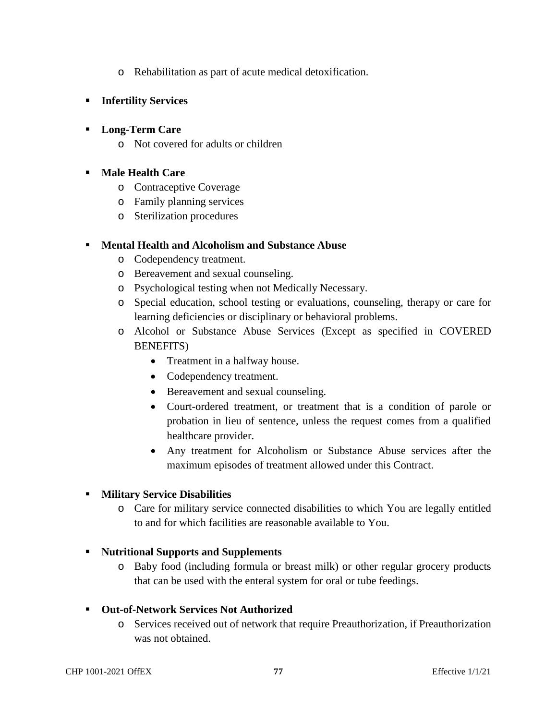- o Rehabilitation as part of acute medical detoxification.
- **Infertility Services**

# **Long-Term Care**

o Not covered for adults or children

# **Male Health Care**

- o Contraceptive Coverage
- o Family planning services
- o Sterilization procedures

## **Mental Health and Alcoholism and Substance Abuse**

- o Codependency treatment.
- o Bereavement and sexual counseling.
- o Psychological testing when not Medically Necessary.
- o Special education, school testing or evaluations, counseling, therapy or care for learning deficiencies or disciplinary or behavioral problems.
- o Alcohol or Substance Abuse Services (Except as specified in COVERED BENEFITS)
	- Treatment in a halfway house.
	- Codependency treatment.
	- Bereavement and sexual counseling.
	- Court-ordered treatment, or treatment that is a condition of parole or probation in lieu of sentence, unless the request comes from a qualified healthcare provider.
	- Any treatment for Alcoholism or Substance Abuse services after the maximum episodes of treatment allowed under this Contract.

# **Military Service Disabilities**

o Care for military service connected disabilities to which You are legally entitled to and for which facilities are reasonable available to You.

#### **Nutritional Supports and Supplements**

o Baby food (including formula or breast milk) or other regular grocery products that can be used with the enteral system for oral or tube feedings.

#### **Out-of-Network Services Not Authorized**

o Services received out of network that require Preauthorization, if Preauthorization was not obtained.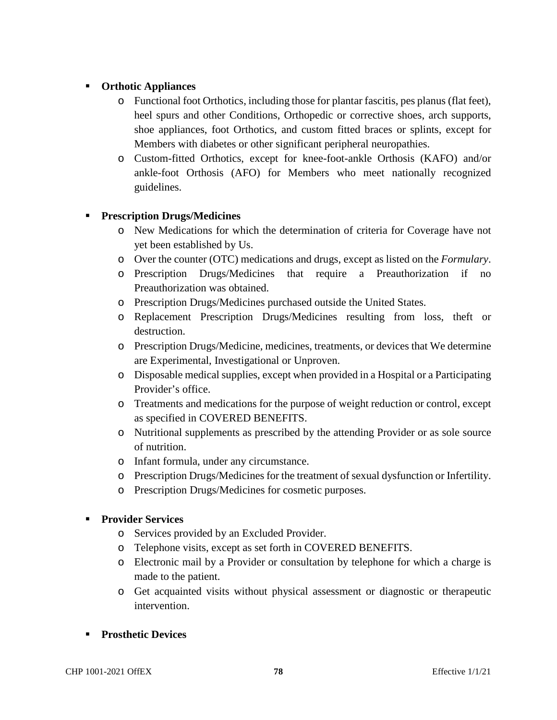# **Orthotic Appliances**

- o Functional foot Orthotics, including those for plantar fascitis, pes planus (flat feet), heel spurs and other Conditions, Orthopedic or corrective shoes, arch supports, shoe appliances, foot Orthotics, and custom fitted braces or splints, except for Members with diabetes or other significant peripheral neuropathies.
- o Custom-fitted Orthotics, except for knee-foot-ankle Orthosis (KAFO) and/or ankle-foot Orthosis (AFO) for Members who meet nationally recognized guidelines.

# **Prescription Drugs/Medicines**

- o New Medications for which the determination of criteria for Coverage have not yet been established by Us.
- o Over the counter (OTC) medications and drugs, except as listed on the *Formulary*.
- o Prescription Drugs/Medicines that require a Preauthorization if no Preauthorization was obtained.
- o Prescription Drugs/Medicines purchased outside the United States.
- o Replacement Prescription Drugs/Medicines resulting from loss, theft or destruction.
- o Prescription Drugs/Medicine, medicines, treatments, or devices that We determine are Experimental, Investigational or Unproven.
- o Disposable medical supplies, except when provided in a Hospital or a Participating Provider's office.
- o Treatments and medications for the purpose of weight reduction or control, except as specified in COVERED BENEFITS.
- o Nutritional supplements as prescribed by the attending Provider or as sole source of nutrition.
- o Infant formula, under any circumstance.
- o Prescription Drugs/Medicines for the treatment of sexual dysfunction or Infertility.
- o Prescription Drugs/Medicines for cosmetic purposes.

# **Provider Services**

- o Services provided by an Excluded Provider.
- o Telephone visits, except as set forth in COVERED BENEFITS.
- o Electronic mail by a Provider or consultation by telephone for which a charge is made to the patient.
- o Get acquainted visits without physical assessment or diagnostic or therapeutic intervention.
- **Prosthetic Devices**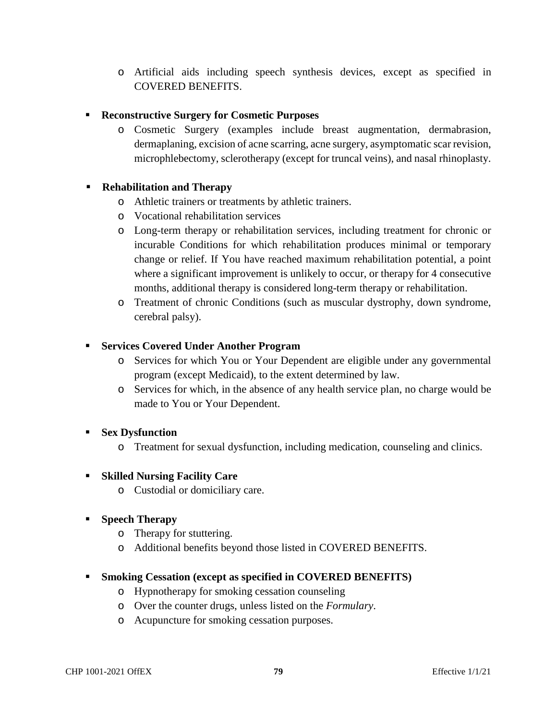o Artificial aids including speech synthesis devices, except as specified in COVERED BENEFITS.

# **Reconstructive Surgery for Cosmetic Purposes**

o Cosmetic Surgery (examples include breast augmentation, dermabrasion, dermaplaning, excision of acne scarring, acne surgery, asymptomatic scar revision, microphlebectomy, sclerotherapy (except for truncal veins), and nasal rhinoplasty.

# **Rehabilitation and Therapy**

- o Athletic trainers or treatments by athletic trainers.
- o Vocational rehabilitation services
- o Long-term therapy or rehabilitation services, including treatment for chronic or incurable Conditions for which rehabilitation produces minimal or temporary change or relief. If You have reached maximum rehabilitation potential, a point where a significant improvement is unlikely to occur, or therapy for 4 consecutive months, additional therapy is considered long-term therapy or rehabilitation.
- o Treatment of chronic Conditions (such as muscular dystrophy, down syndrome, cerebral palsy).

# **Services Covered Under Another Program**

- o Services for which You or Your Dependent are eligible under any governmental program (except Medicaid), to the extent determined by law.
- o Services for which, in the absence of any health service plan, no charge would be made to You or Your Dependent.

# **Sex Dysfunction**

o Treatment for sexual dysfunction, including medication, counseling and clinics.

# **Skilled Nursing Facility Care**

o Custodial or domiciliary care.

# **Speech Therapy**

- o Therapy for stuttering.
- o Additional benefits beyond those listed in COVERED BENEFITS.

# **Smoking Cessation (except as specified in COVERED BENEFITS)**

- o Hypnotherapy for smoking cessation counseling
- o Over the counter drugs, unless listed on the *Formulary*.
- o Acupuncture for smoking cessation purposes.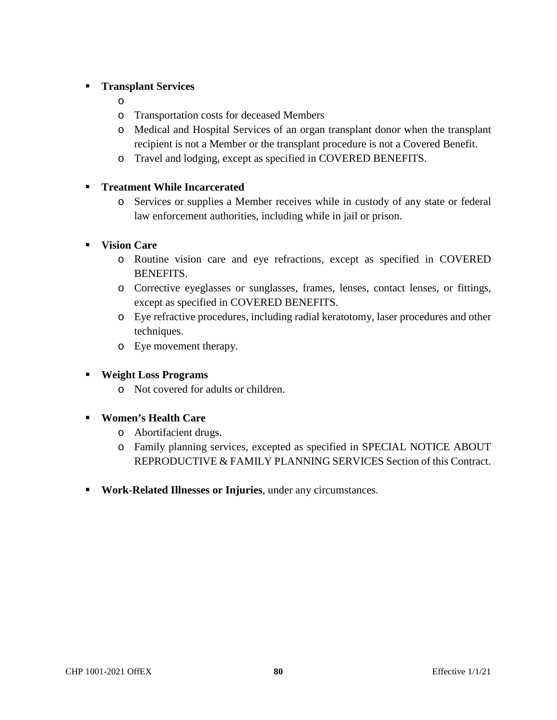# **Transplant Services**

- o
- o Transportation costs for deceased Members
- o Medical and Hospital Services of an organ transplant donor when the transplant recipient is not a Member or the transplant procedure is not a Covered Benefit.
- o Travel and lodging, except as specified in COVERED BENEFITS.

# **Treatment While Incarcerated**

o Services or supplies a Member receives while in custody of any state or federal law enforcement authorities, including while in jail or prison.

# **Vision Care**

- o Routine vision care and eye refractions, except as specified in COVERED BENEFITS.
- o Corrective eyeglasses or sunglasses, frames, lenses, contact lenses, or fittings, except as specified in COVERED BENEFITS.
- o Eye refractive procedures, including radial keratotomy, laser procedures and other techniques.
- o Eye movement therapy.
- **Weight Loss Programs** 
	- o Not covered for adults or children.
- **Women's Health Care** 
	- o Abortifacient drugs.
	- o Family planning services, excepted as specified in SPECIAL NOTICE ABOUT REPRODUCTIVE & FAMILY PLANNING SERVICES Section of this Contract.
- **Work-Related Illnesses or Injuries**, under any circumstances.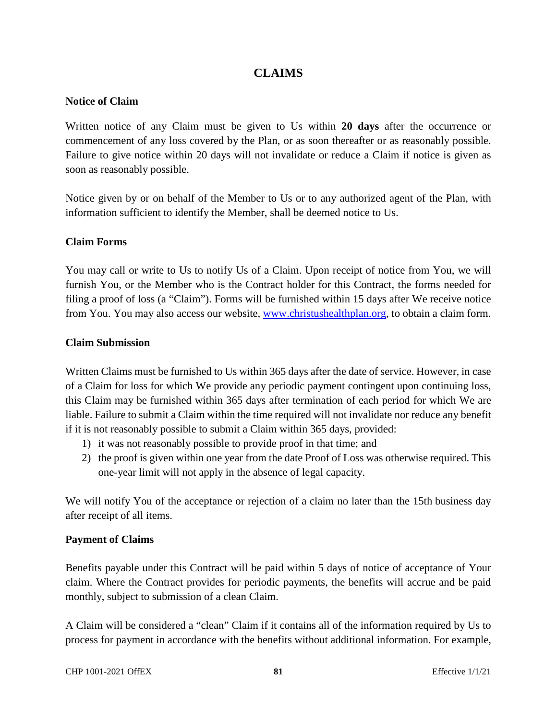# **CLAIMS**

#### **Notice of Claim**

Written notice of any Claim must be given to Us within **20 days** after the occurrence or commencement of any loss covered by the Plan, or as soon thereafter or as reasonably possible. Failure to give notice within 20 days will not invalidate or reduce a Claim if notice is given as soon as reasonably possible.

Notice given by or on behalf of the Member to Us or to any authorized agent of the Plan, with information sufficient to identify the Member, shall be deemed notice to Us.

#### **Claim Forms**

You may call or write to Us to notify Us of a Claim. Upon receipt of notice from You, we will furnish You, or the Member who is the Contract holder for this Contract, the forms needed for filing a proof of loss (a "Claim"). Forms will be furnished within 15 days after We receive notice from You. You may also access our website, www.christushealthplan.org, to obtain a claim form.

#### **Claim Submission**

Written Claims must be furnished to Us within 365 days after the date of service. However, in case of a Claim for loss for which We provide any periodic payment contingent upon continuing loss, this Claim may be furnished within 365 days after termination of each period for which We are liable. Failure to submit a Claim within the time required will not invalidate nor reduce any benefit if it is not reasonably possible to submit a Claim within 365 days, provided:

- 1) it was not reasonably possible to provide proof in that time; and
- 2) the proof is given within one year from the date Proof of Loss was otherwise required. This one-year limit will not apply in the absence of legal capacity.

We will notify You of the acceptance or rejection of a claim no later than the 15th business day after receipt of all items.

#### **Payment of Claims**

Benefits payable under this Contract will be paid within 5 days of notice of acceptance of Your claim. Where the Contract provides for periodic payments, the benefits will accrue and be paid monthly, subject to submission of a clean Claim.

A Claim will be considered a "clean" Claim if it contains all of the information required by Us to process for payment in accordance with the benefits without additional information. For example,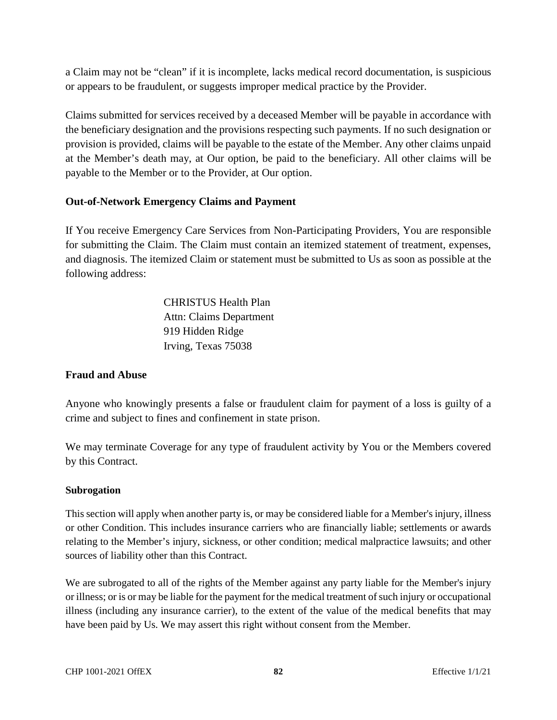a Claim may not be "clean" if it is incomplete, lacks medical record documentation, is suspicious or appears to be fraudulent, or suggests improper medical practice by the Provider.

Claims submitted for services received by a deceased Member will be payable in accordance with the beneficiary designation and the provisions respecting such payments. If no such designation or provision is provided, claims will be payable to the estate of the Member. Any other claims unpaid at the Member's death may, at Our option, be paid to the beneficiary. All other claims will be payable to the Member or to the Provider, at Our option.

# **Out-of-Network Emergency Claims and Payment**

If You receive Emergency Care Services from Non-Participating Providers, You are responsible for submitting the Claim. The Claim must contain an itemized statement of treatment, expenses, and diagnosis. The itemized Claim or statement must be submitted to Us as soon as possible at the following address:

> CHRISTUS Health Plan Attn: Claims Department 919 Hidden Ridge Irving, Texas 75038

#### **Fraud and Abuse**

Anyone who knowingly presents a false or fraudulent claim for payment of a loss is guilty of a crime and subject to fines and confinement in state prison.

We may terminate Coverage for any type of fraudulent activity by You or the Members covered by this Contract.

#### **Subrogation**

This section will apply when another party is, or may be considered liable for a Member's injury, illness or other Condition. This includes insurance carriers who are financially liable; settlements or awards relating to the Member's injury, sickness, or other condition; medical malpractice lawsuits; and other sources of liability other than this Contract.

We are subrogated to all of the rights of the Member against any party liable for the Member's injury or illness; or is or may be liable for the payment for the medical treatment of such injury or occupational illness (including any insurance carrier), to the extent of the value of the medical benefits that may have been paid by Us. We may assert this right without consent from the Member.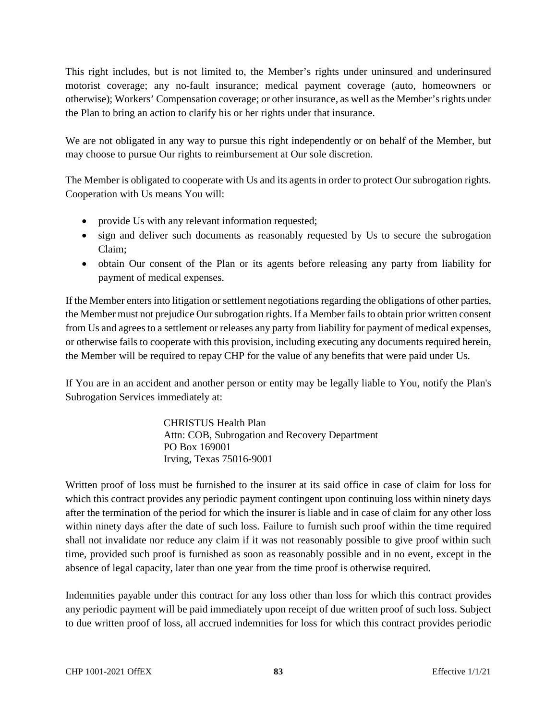This right includes, but is not limited to, the Member's rights under uninsured and underinsured motorist coverage; any no-fault insurance; medical payment coverage (auto, homeowners or otherwise); Workers' Compensation coverage; or other insurance, as well as the Member's rights under the Plan to bring an action to clarify his or her rights under that insurance.

We are not obligated in any way to pursue this right independently or on behalf of the Member, but may choose to pursue Our rights to reimbursement at Our sole discretion.

The Member is obligated to cooperate with Us and its agents in order to protect Our subrogation rights. Cooperation with Us means You will:

- provide Us with any relevant information requested;
- sign and deliver such documents as reasonably requested by Us to secure the subrogation Claim;
- obtain Our consent of the Plan or its agents before releasing any party from liability for payment of medical expenses.

If the Member enters into litigation or settlement negotiations regarding the obligations of other parties, the Member must not prejudice Our subrogation rights. If a Member fails to obtain prior written consent from Us and agrees to a settlement or releases any party from liability for payment of medical expenses, or otherwise fails to cooperate with this provision, including executing any documents required herein, the Member will be required to repay CHP for the value of any benefits that were paid under Us.

If You are in an accident and another person or entity may be legally liable to You, notify the Plan's Subrogation Services immediately at:

> CHRISTUS Health Plan Attn: COB, Subrogation and Recovery Department PO Box 169001 Irving, Texas 75016-9001

Written proof of loss must be furnished to the insurer at its said office in case of claim for loss for which this contract provides any periodic payment contingent upon continuing loss within ninety days after the termination of the period for which the insurer is liable and in case of claim for any other loss within ninety days after the date of such loss. Failure to furnish such proof within the time required shall not invalidate nor reduce any claim if it was not reasonably possible to give proof within such time, provided such proof is furnished as soon as reasonably possible and in no event, except in the absence of legal capacity, later than one year from the time proof is otherwise required.

Indemnities payable under this contract for any loss other than loss for which this contract provides any periodic payment will be paid immediately upon receipt of due written proof of such loss. Subject to due written proof of loss, all accrued indemnities for loss for which this contract provides periodic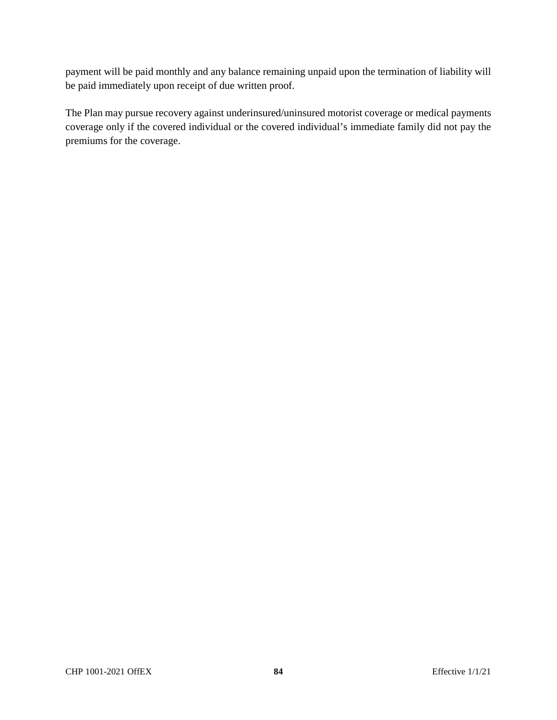payment will be paid monthly and any balance remaining unpaid upon the termination of liability will be paid immediately upon receipt of due written proof.

The Plan may pursue recovery against underinsured/uninsured motorist coverage or medical payments coverage only if the covered individual or the covered individual's immediate family did not pay the premiums for the coverage.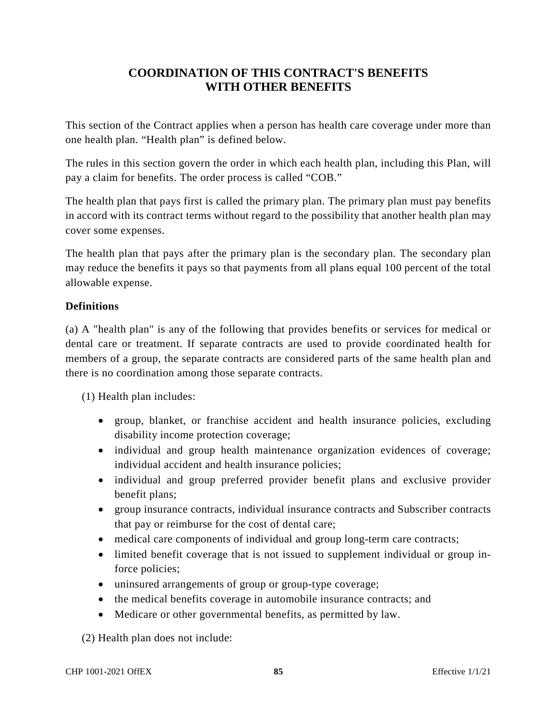# **COORDINATION OF THIS CONTRACT'S BENEFITS WITH OTHER BENEFITS**

This section of the Contract applies when a person has health care coverage under more than one health plan. "Health plan" is defined below.

The rules in this section govern the order in which each health plan, including this Plan, will pay a claim for benefits. The order process is called "COB."

The health plan that pays first is called the primary plan. The primary plan must pay benefits in accord with its contract terms without regard to the possibility that another health plan may cover some expenses.

The health plan that pays after the primary plan is the secondary plan. The secondary plan may reduce the benefits it pays so that payments from all plans equal 100 percent of the total allowable expense.

# **Definitions**

(a) A "health plan" is any of the following that provides benefits or services for medical or dental care or treatment. If separate contracts are used to provide coordinated health for members of a group, the separate contracts are considered parts of the same health plan and there is no coordination among those separate contracts.

(1) Health plan includes:

- group, blanket, or franchise accident and health insurance policies, excluding disability income protection coverage;
- individual and group health maintenance organization evidences of coverage; individual accident and health insurance policies;
- individual and group preferred provider benefit plans and exclusive provider benefit plans;
- group insurance contracts, individual insurance contracts and Subscriber contracts that pay or reimburse for the cost of dental care;
- medical care components of individual and group long-term care contracts;
- limited benefit coverage that is not issued to supplement individual or group inforce policies;
- uninsured arrangements of group or group-type coverage;
- the medical benefits coverage in automobile insurance contracts; and
- Medicare or other governmental benefits, as permitted by law.

(2) Health plan does not include: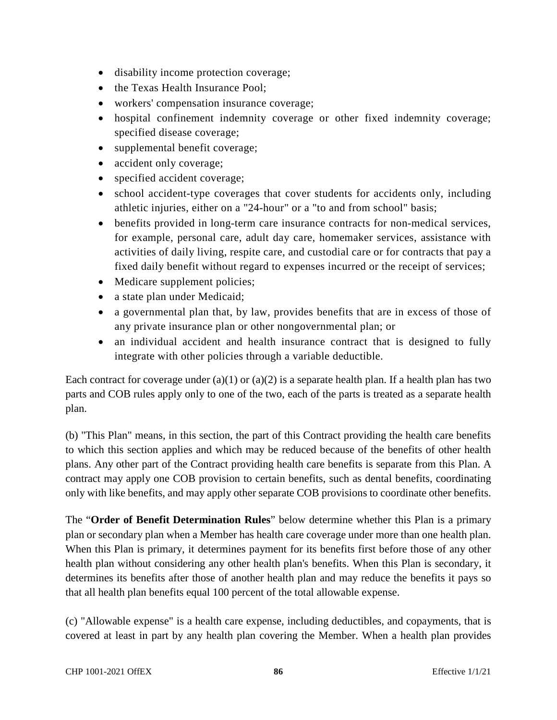- disability income protection coverage;
- the Texas Health Insurance Pool;
- workers' compensation insurance coverage;
- hospital confinement indemnity coverage or other fixed indemnity coverage; specified disease coverage;
- supplemental benefit coverage;
- accident only coverage;
- specified accident coverage;
- school accident-type coverages that cover students for accidents only, including athletic injuries, either on a "24-hour" or a "to and from school" basis;
- benefits provided in long-term care insurance contracts for non-medical services, for example, personal care, adult day care, homemaker services, assistance with activities of daily living, respite care, and custodial care or for contracts that pay a fixed daily benefit without regard to expenses incurred or the receipt of services;
- Medicare supplement policies;
- a state plan under Medicaid;
- a governmental plan that, by law, provides benefits that are in excess of those of any private insurance plan or other nongovernmental plan; or
- an individual accident and health insurance contract that is designed to fully integrate with other policies through a variable deductible.

Each contract for coverage under (a)(1) or (a)(2) is a separate health plan. If a health plan has two parts and COB rules apply only to one of the two, each of the parts is treated as a separate health plan.

(b) "This Plan" means, in this section, the part of this Contract providing the health care benefits to which this section applies and which may be reduced because of the benefits of other health plans. Any other part of the Contract providing health care benefits is separate from this Plan. A contract may apply one COB provision to certain benefits, such as dental benefits, coordinating only with like benefits, and may apply other separate COB provisions to coordinate other benefits.

The "**Order of Benefit Determination Rules**" below determine whether this Plan is a primary plan or secondary plan when a Member has health care coverage under more than one health plan. When this Plan is primary, it determines payment for its benefits first before those of any other health plan without considering any other health plan's benefits. When this Plan is secondary, it determines its benefits after those of another health plan and may reduce the benefits it pays so that all health plan benefits equal 100 percent of the total allowable expense.

(c) "Allowable expense" is a health care expense, including deductibles, and copayments, that is covered at least in part by any health plan covering the Member. When a health plan provides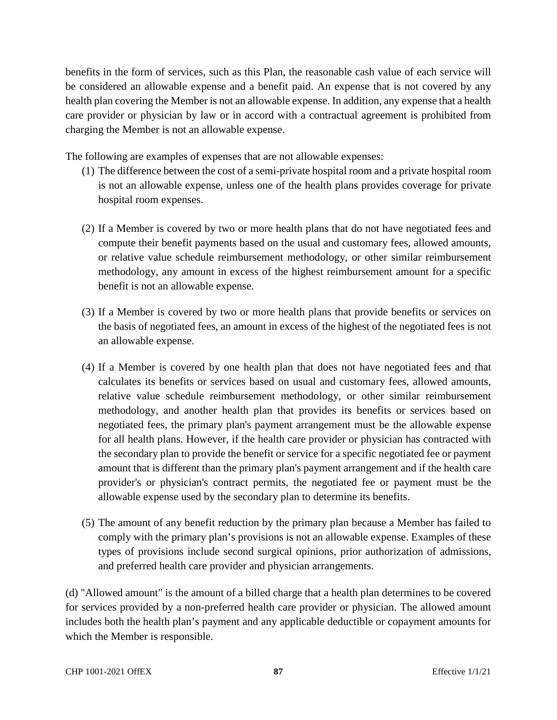benefits in the form of services, such as this Plan, the reasonable cash value of each service will be considered an allowable expense and a benefit paid. An expense that is not covered by any health plan covering the Member is not an allowable expense. In addition, any expense that a health care provider or physician by law or in accord with a contractual agreement is prohibited from charging the Member is not an allowable expense.

The following are examples of expenses that are not allowable expenses:

- (1) The difference between the cost of a semi-private hospital room and a private hospital room is not an allowable expense, unless one of the health plans provides coverage for private hospital room expenses.
- (2) If a Member is covered by two or more health plans that do not have negotiated fees and compute their benefit payments based on the usual and customary fees, allowed amounts, or relative value schedule reimbursement methodology, or other similar reimbursement methodology, any amount in excess of the highest reimbursement amount for a specific benefit is not an allowable expense.
- (3) If a Member is covered by two or more health plans that provide benefits or services on the basis of negotiated fees, an amount in excess of the highest of the negotiated fees is not an allowable expense.
- (4) If a Member is covered by one health plan that does not have negotiated fees and that calculates its benefits or services based on usual and customary fees, allowed amounts, relative value schedule reimbursement methodology, or other similar reimbursement methodology, and another health plan that provides its benefits or services based on negotiated fees, the primary plan's payment arrangement must be the allowable expense for all health plans. However, if the health care provider or physician has contracted with the secondary plan to provide the benefit or service for a specific negotiated fee or payment amount that is different than the primary plan's payment arrangement and if the health care provider's or physician's contract permits, the negotiated fee or payment must be the allowable expense used by the secondary plan to determine its benefits.
- (5) The amount of any benefit reduction by the primary plan because a Member has failed to comply with the primary plan's provisions is not an allowable expense. Examples of these types of provisions include second surgical opinions, prior authorization of admissions, and preferred health care provider and physician arrangements.

(d) "Allowed amount" is the amount of a billed charge that a health plan determines to be covered for services provided by a non-preferred health care provider or physician. The allowed amount includes both the health plan's payment and any applicable deductible or copayment amounts for which the Member is responsible.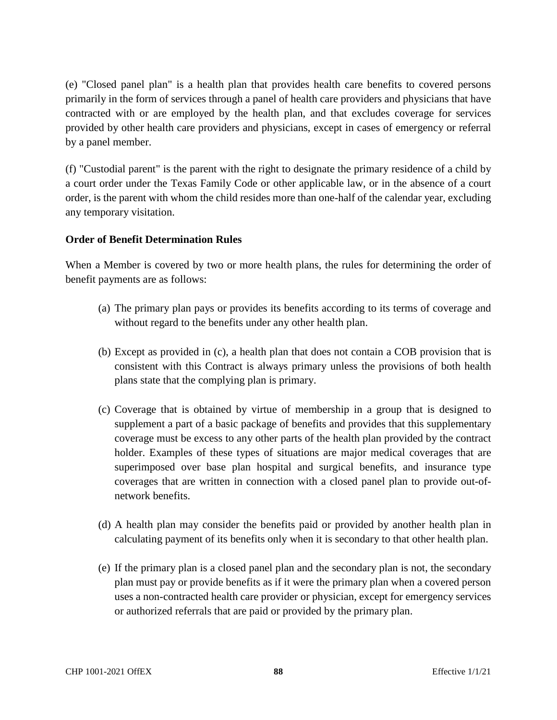(e) "Closed panel plan" is a health plan that provides health care benefits to covered persons primarily in the form of services through a panel of health care providers and physicians that have contracted with or are employed by the health plan, and that excludes coverage for services provided by other health care providers and physicians, except in cases of emergency or referral by a panel member.

(f) "Custodial parent" is the parent with the right to designate the primary residence of a child by a court order under the Texas Family Code or other applicable law, or in the absence of a court order, is the parent with whom the child resides more than one-half of the calendar year, excluding any temporary visitation.

# **Order of Benefit Determination Rules**

When a Member is covered by two or more health plans, the rules for determining the order of benefit payments are as follows:

- (a) The primary plan pays or provides its benefits according to its terms of coverage and without regard to the benefits under any other health plan.
- (b) Except as provided in (c), a health plan that does not contain a COB provision that is consistent with this Contract is always primary unless the provisions of both health plans state that the complying plan is primary.
- (c) Coverage that is obtained by virtue of membership in a group that is designed to supplement a part of a basic package of benefits and provides that this supplementary coverage must be excess to any other parts of the health plan provided by the contract holder. Examples of these types of situations are major medical coverages that are superimposed over base plan hospital and surgical benefits, and insurance type coverages that are written in connection with a closed panel plan to provide out-ofnetwork benefits.
- (d) A health plan may consider the benefits paid or provided by another health plan in calculating payment of its benefits only when it is secondary to that other health plan.
- (e) If the primary plan is a closed panel plan and the secondary plan is not, the secondary plan must pay or provide benefits as if it were the primary plan when a covered person uses a non-contracted health care provider or physician, except for emergency services or authorized referrals that are paid or provided by the primary plan.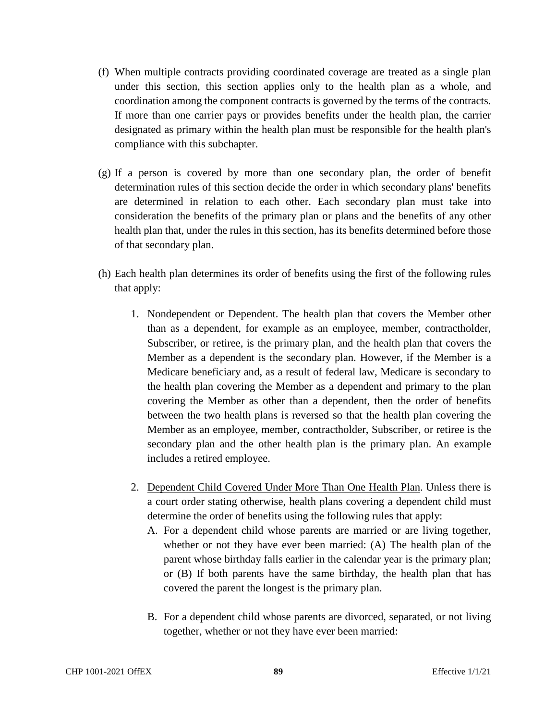- (f) When multiple contracts providing coordinated coverage are treated as a single plan under this section, this section applies only to the health plan as a whole, and coordination among the component contracts is governed by the terms of the contracts. If more than one carrier pays or provides benefits under the health plan, the carrier designated as primary within the health plan must be responsible for the health plan's compliance with this subchapter.
- (g) If a person is covered by more than one secondary plan, the order of benefit determination rules of this section decide the order in which secondary plans' benefits are determined in relation to each other. Each secondary plan must take into consideration the benefits of the primary plan or plans and the benefits of any other health plan that, under the rules in this section, has its benefits determined before those of that secondary plan.
- (h) Each health plan determines its order of benefits using the first of the following rules that apply:
	- 1. Nondependent or Dependent. The health plan that covers the Member other than as a dependent, for example as an employee, member, contractholder, Subscriber, or retiree, is the primary plan, and the health plan that covers the Member as a dependent is the secondary plan. However, if the Member is a Medicare beneficiary and, as a result of federal law, Medicare is secondary to the health plan covering the Member as a dependent and primary to the plan covering the Member as other than a dependent, then the order of benefits between the two health plans is reversed so that the health plan covering the Member as an employee, member, contractholder, Subscriber, or retiree is the secondary plan and the other health plan is the primary plan. An example includes a retired employee.
	- 2. Dependent Child Covered Under More Than One Health Plan. Unless there is a court order stating otherwise, health plans covering a dependent child must determine the order of benefits using the following rules that apply:
		- A. For a dependent child whose parents are married or are living together, whether or not they have ever been married: (A) The health plan of the parent whose birthday falls earlier in the calendar year is the primary plan; or (B) If both parents have the same birthday, the health plan that has covered the parent the longest is the primary plan.
		- B. For a dependent child whose parents are divorced, separated, or not living together, whether or not they have ever been married: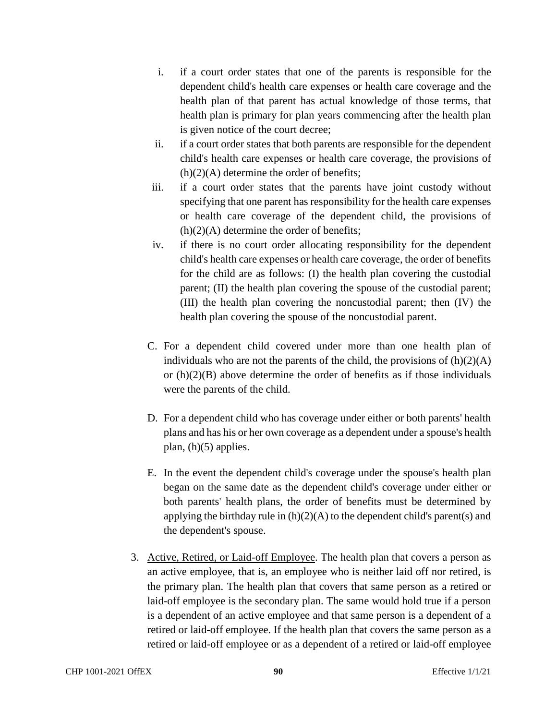- i. if a court order states that one of the parents is responsible for the dependent child's health care expenses or health care coverage and the health plan of that parent has actual knowledge of those terms, that health plan is primary for plan years commencing after the health plan is given notice of the court decree;
- ii. if a court order states that both parents are responsible for the dependent child's health care expenses or health care coverage, the provisions of  $(h)(2)(A)$  determine the order of benefits;
- iii. if a court order states that the parents have joint custody without specifying that one parent has responsibility for the health care expenses or health care coverage of the dependent child, the provisions of  $(h)(2)(A)$  determine the order of benefits;
- iv. if there is no court order allocating responsibility for the dependent child's health care expenses or health care coverage, the order of benefits for the child are as follows: (I) the health plan covering the custodial parent; (II) the health plan covering the spouse of the custodial parent; (III) the health plan covering the noncustodial parent; then (IV) the health plan covering the spouse of the noncustodial parent.
- C. For a dependent child covered under more than one health plan of individuals who are not the parents of the child, the provisions of  $(h)(2)(A)$ or  $(h)(2)(B)$  above determine the order of benefits as if those individuals were the parents of the child.
- D. For a dependent child who has coverage under either or both parents' health plans and has his or her own coverage as a dependent under a spouse's health plan, (h)(5) applies.
- E. In the event the dependent child's coverage under the spouse's health plan began on the same date as the dependent child's coverage under either or both parents' health plans, the order of benefits must be determined by applying the birthday rule in  $(h)(2)(A)$  to the dependent child's parent(s) and the dependent's spouse.
- 3. Active, Retired, or Laid-off Employee. The health plan that covers a person as an active employee, that is, an employee who is neither laid off nor retired, is the primary plan. The health plan that covers that same person as a retired or laid-off employee is the secondary plan. The same would hold true if a person is a dependent of an active employee and that same person is a dependent of a retired or laid-off employee. If the health plan that covers the same person as a retired or laid-off employee or as a dependent of a retired or laid-off employee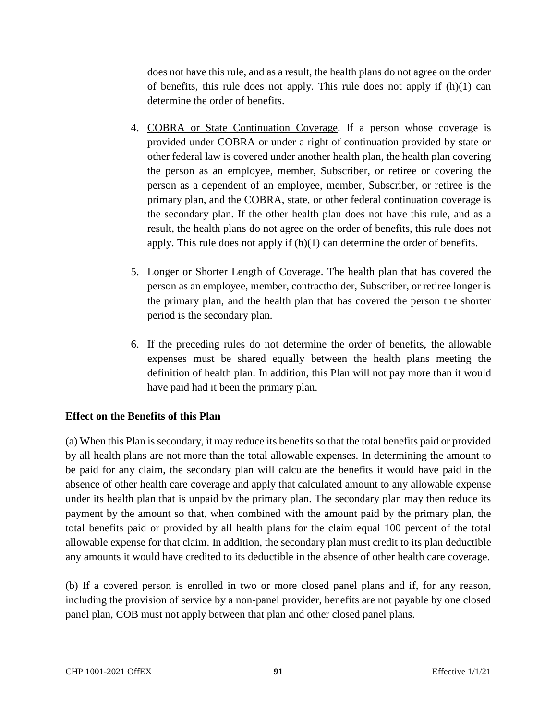does not have this rule, and as a result, the health plans do not agree on the order of benefits, this rule does not apply. This rule does not apply if  $(h)(1)$  can determine the order of benefits.

- 4. COBRA or State Continuation Coverage. If a person whose coverage is provided under COBRA or under a right of continuation provided by state or other federal law is covered under another health plan, the health plan covering the person as an employee, member, Subscriber, or retiree or covering the person as a dependent of an employee, member, Subscriber, or retiree is the primary plan, and the COBRA, state, or other federal continuation coverage is the secondary plan. If the other health plan does not have this rule, and as a result, the health plans do not agree on the order of benefits, this rule does not apply. This rule does not apply if (h)(1) can determine the order of benefits.
- 5. Longer or Shorter Length of Coverage. The health plan that has covered the person as an employee, member, contractholder, Subscriber, or retiree longer is the primary plan, and the health plan that has covered the person the shorter period is the secondary plan.
- 6. If the preceding rules do not determine the order of benefits, the allowable expenses must be shared equally between the health plans meeting the definition of health plan. In addition, this Plan will not pay more than it would have paid had it been the primary plan.

# **Effect on the Benefits of this Plan**

(a) When this Plan is secondary, it may reduce its benefits so that the total benefits paid or provided by all health plans are not more than the total allowable expenses. In determining the amount to be paid for any claim, the secondary plan will calculate the benefits it would have paid in the absence of other health care coverage and apply that calculated amount to any allowable expense under its health plan that is unpaid by the primary plan. The secondary plan may then reduce its payment by the amount so that, when combined with the amount paid by the primary plan, the total benefits paid or provided by all health plans for the claim equal 100 percent of the total allowable expense for that claim. In addition, the secondary plan must credit to its plan deductible any amounts it would have credited to its deductible in the absence of other health care coverage.

(b) If a covered person is enrolled in two or more closed panel plans and if, for any reason, including the provision of service by a non-panel provider, benefits are not payable by one closed panel plan, COB must not apply between that plan and other closed panel plans.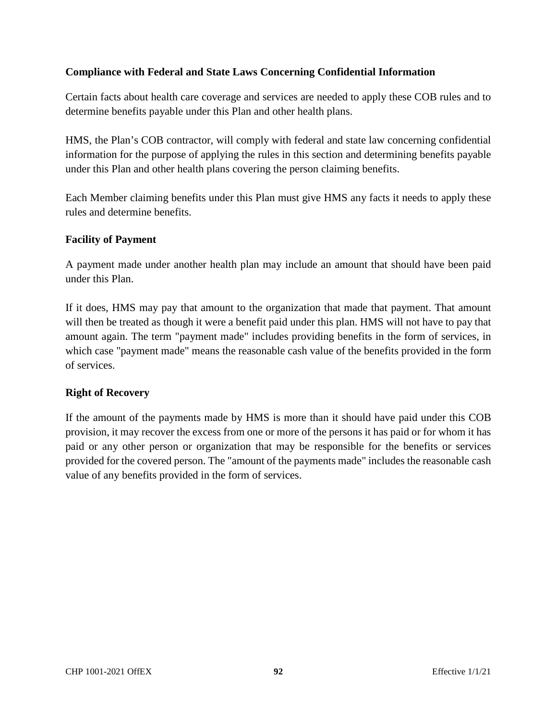# **Compliance with Federal and State Laws Concerning Confidential Information**

Certain facts about health care coverage and services are needed to apply these COB rules and to determine benefits payable under this Plan and other health plans.

HMS, the Plan's COB contractor, will comply with federal and state law concerning confidential information for the purpose of applying the rules in this section and determining benefits payable under this Plan and other health plans covering the person claiming benefits.

Each Member claiming benefits under this Plan must give HMS any facts it needs to apply these rules and determine benefits.

#### **Facility of Payment**

A payment made under another health plan may include an amount that should have been paid under this Plan.

If it does, HMS may pay that amount to the organization that made that payment. That amount will then be treated as though it were a benefit paid under this plan. HMS will not have to pay that amount again. The term "payment made" includes providing benefits in the form of services, in which case "payment made" means the reasonable cash value of the benefits provided in the form of services.

# **Right of Recovery**

If the amount of the payments made by HMS is more than it should have paid under this COB provision, it may recover the excess from one or more of the persons it has paid or for whom it has paid or any other person or organization that may be responsible for the benefits or services provided for the covered person. The "amount of the payments made" includes the reasonable cash value of any benefits provided in the form of services.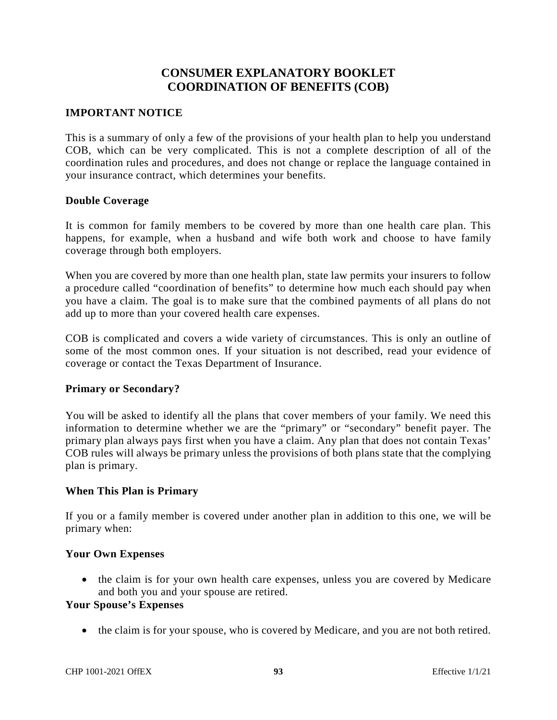# **CONSUMER EXPLANATORY BOOKLET COORDINATION OF BENEFITS (COB)**

#### **IMPORTANT NOTICE**

This is a summary of only a few of the provisions of your health plan to help you understand COB, which can be very complicated. This is not a complete description of all of the coordination rules and procedures, and does not change or replace the language contained in your insurance contract, which determines your benefits.

#### **Double Coverage**

It is common for family members to be covered by more than one health care plan. This happens, for example, when a husband and wife both work and choose to have family coverage through both employers.

When you are covered by more than one health plan, state law permits your insurers to follow a procedure called "coordination of benefits" to determine how much each should pay when you have a claim. The goal is to make sure that the combined payments of all plans do not add up to more than your covered health care expenses.

COB is complicated and covers a wide variety of circumstances. This is only an outline of some of the most common ones. If your situation is not described, read your evidence of coverage or contact the Texas Department of Insurance.

#### **Primary or Secondary?**

You will be asked to identify all the plans that cover members of your family. We need this information to determine whether we are the "primary" or "secondary" benefit payer. The primary plan always pays first when you have a claim. Any plan that does not contain Texas' COB rules will always be primary unless the provisions of both plans state that the complying plan is primary.

#### **When This Plan is Primary**

If you or a family member is covered under another plan in addition to this one, we will be primary when:

#### **Your Own Expenses**

• the claim is for your own health care expenses, unless you are covered by Medicare and both you and your spouse are retired.

# **Your Spouse's Expenses**

• the claim is for your spouse, who is covered by Medicare, and you are not both retired.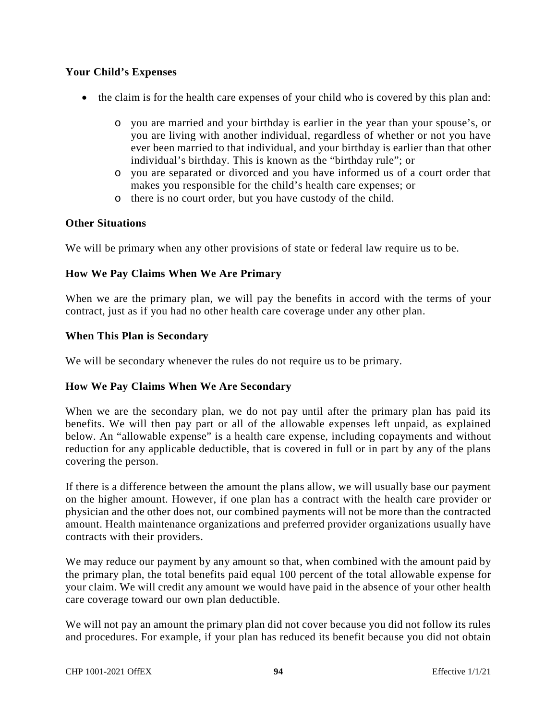## **Your Child's Expenses**

- the claim is for the health care expenses of your child who is covered by this plan and:
	- o you are married and your birthday is earlier in the year than your spouse's, or you are living with another individual, regardless of whether or not you have ever been married to that individual, and your birthday is earlier than that other individual's birthday. This is known as the "birthday rule"; or
	- o you are separated or divorced and you have informed us of a court order that makes you responsible for the child's health care expenses; or
	- o there is no court order, but you have custody of the child.

#### **Other Situations**

We will be primary when any other provisions of state or federal law require us to be.

## **How We Pay Claims When We Are Primary**

When we are the primary plan, we will pay the benefits in accord with the terms of your contract, just as if you had no other health care coverage under any other plan.

#### **When This Plan is Secondary**

We will be secondary whenever the rules do not require us to be primary.

#### **How We Pay Claims When We Are Secondary**

When we are the secondary plan, we do not pay until after the primary plan has paid its benefits. We will then pay part or all of the allowable expenses left unpaid, as explained below. An "allowable expense" is a health care expense, including copayments and without reduction for any applicable deductible, that is covered in full or in part by any of the plans covering the person.

If there is a difference between the amount the plans allow, we will usually base our payment on the higher amount. However, if one plan has a contract with the health care provider or physician and the other does not, our combined payments will not be more than the contracted amount. Health maintenance organizations and preferred provider organizations usually have contracts with their providers.

We may reduce our payment by any amount so that, when combined with the amount paid by the primary plan, the total benefits paid equal 100 percent of the total allowable expense for your claim. We will credit any amount we would have paid in the absence of your other health care coverage toward our own plan deductible.

We will not pay an amount the primary plan did not cover because you did not follow its rules and procedures. For example, if your plan has reduced its benefit because you did not obtain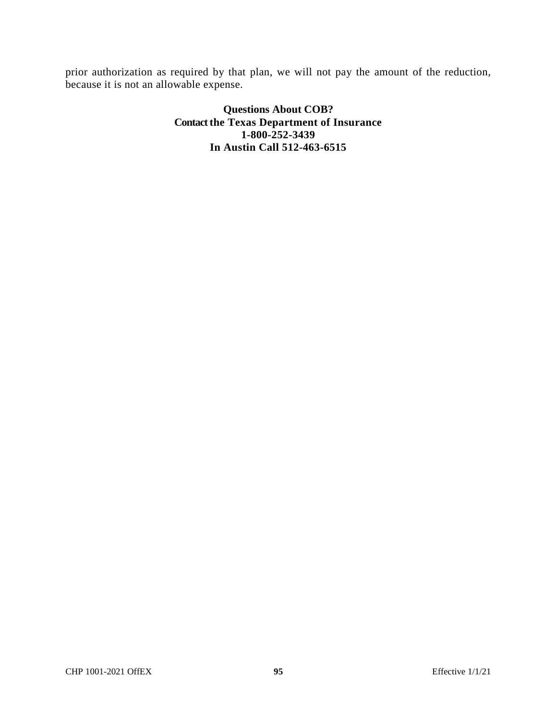prior authorization as required by that plan, we will not pay the amount of the reduction, because it is not an allowable expense.

> **Questions About COB? Contact the Texas Department of Insurance 1-800-252-3439 In Austin Call 512-463-6515**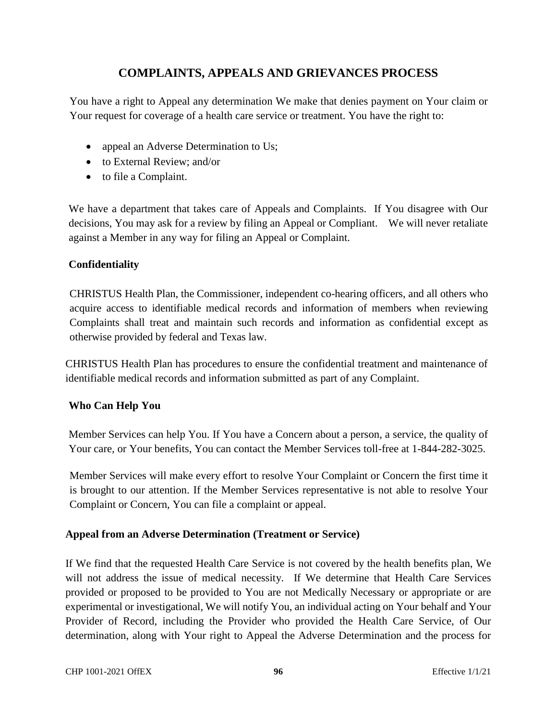# **COMPLAINTS, APPEALS AND GRIEVANCES PROCESS**

You have a right to Appeal any determination We make that denies payment on Your claim or Your request for coverage of a health care service or treatment. You have the right to:

- appeal an Adverse Determination to Us;
- to External Review; and/or
- to file a Complaint.

We have a department that takes care of Appeals and Complaints. If You disagree with Our decisions, You may ask for a review by filing an Appeal or Compliant. We will never retaliate against a Member in any way for filing an Appeal or Complaint.

# **Confidentiality**

CHRISTUS Health Plan, the Commissioner, independent co-hearing officers, and all others who acquire access to identifiable medical records and information of members when reviewing Complaints shall treat and maintain such records and information as confidential except as otherwise provided by federal and Texas law.

CHRISTUS Health Plan has procedures to ensure the confidential treatment and maintenance of identifiable medical records and information submitted as part of any Complaint.

# **Who Can Help You**

Member Services can help You. If You have a Concern about a person, a service, the quality of Your care, or Your benefits, You can contact the Member Services toll-free at 1-844-282-3025.

Member Services will make every effort to resolve Your Complaint or Concern the first time it is brought to our attention. If the Member Services representative is not able to resolve Your Complaint or Concern, You can file a complaint or appeal.

# **Appeal from an Adverse Determination (Treatment or Service)**

If We find that the requested Health Care Service is not covered by the health benefits plan, We will not address the issue of medical necessity. If We determine that Health Care Services provided or proposed to be provided to You are not Medically Necessary or appropriate or are experimental or investigational, We will notify You, an individual acting on Your behalf and Your Provider of Record, including the Provider who provided the Health Care Service, of Our determination, along with Your right to Appeal the Adverse Determination and the process for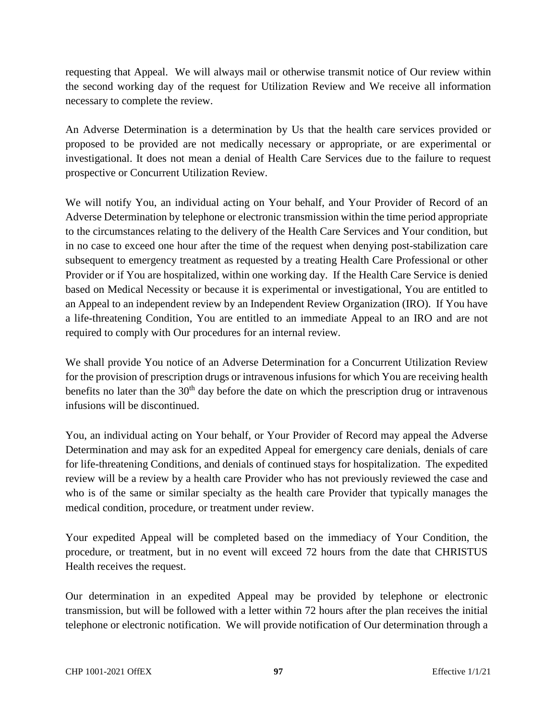requesting that Appeal. We will always mail or otherwise transmit notice of Our review within the second working day of the request for Utilization Review and We receive all information necessary to complete the review.

An Adverse Determination is a determination by Us that the health care services provided or proposed to be provided are not medically necessary or appropriate, or are experimental or investigational. It does not mean a denial of Health Care Services due to the failure to request prospective or Concurrent Utilization Review.

We will notify You, an individual acting on Your behalf, and Your Provider of Record of an Adverse Determination by telephone or electronic transmission within the time period appropriate to the circumstances relating to the delivery of the Health Care Services and Your condition, but in no case to exceed one hour after the time of the request when denying post-stabilization care subsequent to emergency treatment as requested by a treating Health Care Professional or other Provider or if You are hospitalized, within one working day. If the Health Care Service is denied based on Medical Necessity or because it is experimental or investigational, You are entitled to an Appeal to an independent review by an Independent Review Organization (IRO). If You have a life-threatening Condition, You are entitled to an immediate Appeal to an IRO and are not required to comply with Our procedures for an internal review.

We shall provide You notice of an Adverse Determination for a Concurrent Utilization Review for the provision of prescription drugs or intravenous infusions for which You are receiving health benefits no later than the  $30<sup>th</sup>$  day before the date on which the prescription drug or intravenous infusions will be discontinued.

You, an individual acting on Your behalf, or Your Provider of Record may appeal the Adverse Determination and may ask for an expedited Appeal for emergency care denials, denials of care for life-threatening Conditions, and denials of continued stays for hospitalization. The expedited review will be a review by a health care Provider who has not previously reviewed the case and who is of the same or similar specialty as the health care Provider that typically manages the medical condition, procedure, or treatment under review.

Your expedited Appeal will be completed based on the immediacy of Your Condition, the procedure, or treatment, but in no event will exceed 72 hours from the date that CHRISTUS Health receives the request.

Our determination in an expedited Appeal may be provided by telephone or electronic transmission, but will be followed with a letter within 72 hours after the plan receives the initial telephone or electronic notification. We will provide notification of Our determination through a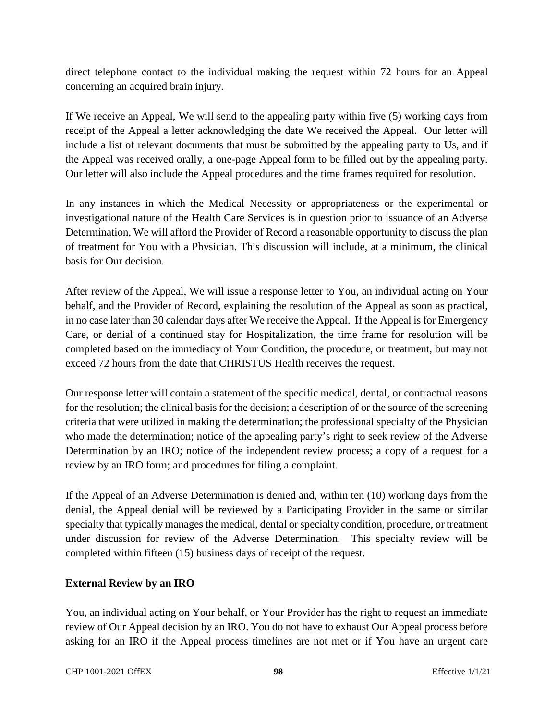direct telephone contact to the individual making the request within 72 hours for an Appeal concerning an acquired brain injury.

If We receive an Appeal, We will send to the appealing party within five (5) working days from receipt of the Appeal a letter acknowledging the date We received the Appeal. Our letter will include a list of relevant documents that must be submitted by the appealing party to Us, and if the Appeal was received orally, a one-page Appeal form to be filled out by the appealing party. Our letter will also include the Appeal procedures and the time frames required for resolution.

In any instances in which the Medical Necessity or appropriateness or the experimental or investigational nature of the Health Care Services is in question prior to issuance of an Adverse Determination, We will afford the Provider of Record a reasonable opportunity to discuss the plan of treatment for You with a Physician. This discussion will include, at a minimum, the clinical basis for Our decision.

After review of the Appeal, We will issue a response letter to You, an individual acting on Your behalf, and the Provider of Record, explaining the resolution of the Appeal as soon as practical, in no case later than 30 calendar days after We receive the Appeal. If the Appeal is for Emergency Care, or denial of a continued stay for Hospitalization, the time frame for resolution will be completed based on the immediacy of Your Condition, the procedure, or treatment, but may not exceed 72 hours from the date that CHRISTUS Health receives the request.

Our response letter will contain a statement of the specific medical, dental, or contractual reasons for the resolution; the clinical basis for the decision; a description of or the source of the screening criteria that were utilized in making the determination; the professional specialty of the Physician who made the determination; notice of the appealing party's right to seek review of the Adverse Determination by an IRO; notice of the independent review process; a copy of a request for a review by an IRO form; and procedures for filing a complaint.

If the Appeal of an Adverse Determination is denied and, within ten (10) working days from the denial, the Appeal denial will be reviewed by a Participating Provider in the same or similar specialty that typically manages the medical, dental or specialty condition, procedure, or treatment under discussion for review of the Adverse Determination. This specialty review will be completed within fifteen (15) business days of receipt of the request.

# **External Review by an IRO**

You, an individual acting on Your behalf, or Your Provider has the right to request an immediate review of Our Appeal decision by an IRO. You do not have to exhaust Our Appeal process before asking for an IRO if the Appeal process timelines are not met or if You have an urgent care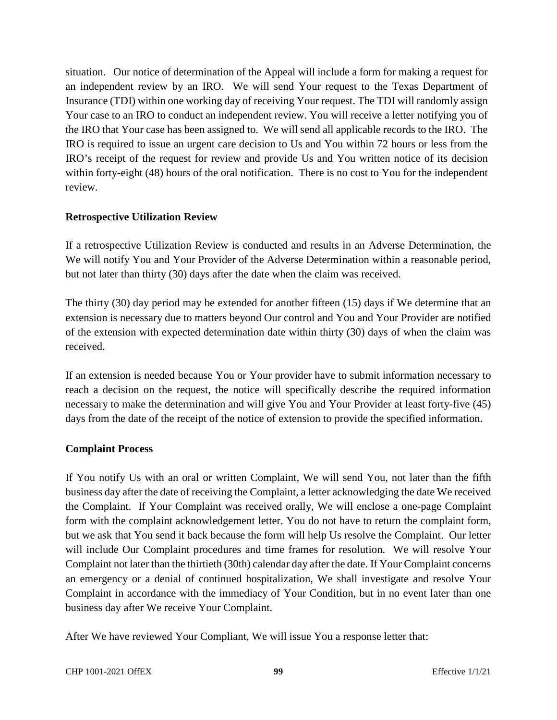situation. Our notice of determination of the Appeal will include a form for making a request for an independent review by an IRO. We will send Your request to the Texas Department of Insurance (TDI) within one working day of receiving Your request. The TDI will randomly assign Your case to an IRO to conduct an independent review. You will receive a letter notifying you of the IRO that Your case has been assigned to. We will send all applicable records to the IRO. The IRO is required to issue an urgent care decision to Us and You within 72 hours or less from the IRO's receipt of the request for review and provide Us and You written notice of its decision within forty-eight (48) hours of the oral notification. There is no cost to You for the independent review.

## **Retrospective Utilization Review**

If a retrospective Utilization Review is conducted and results in an Adverse Determination, the We will notify You and Your Provider of the Adverse Determination within a reasonable period, but not later than thirty (30) days after the date when the claim was received.

The thirty (30) day period may be extended for another fifteen (15) days if We determine that an extension is necessary due to matters beyond Our control and You and Your Provider are notified of the extension with expected determination date within thirty (30) days of when the claim was received.

If an extension is needed because You or Your provider have to submit information necessary to reach a decision on the request, the notice will specifically describe the required information necessary to make the determination and will give You and Your Provider at least forty-five (45) days from the date of the receipt of the notice of extension to provide the specified information.

# **Complaint Process**

If You notify Us with an oral or written Complaint, We will send You, not later than the fifth business day after the date of receiving the Complaint, a letter acknowledging the date We received the Complaint. If Your Complaint was received orally, We will enclose a one-page Complaint form with the complaint acknowledgement letter. You do not have to return the complaint form, but we ask that You send it back because the form will help Us resolve the Complaint. Our letter will include Our Complaint procedures and time frames for resolution. We will resolve Your Complaint not later than the thirtieth (30th) calendar day after the date. If Your Complaint concerns an emergency or a denial of continued hospitalization, We shall investigate and resolve Your Complaint in accordance with the immediacy of Your Condition, but in no event later than one business day after We receive Your Complaint.

After We have reviewed Your Compliant, We will issue You a response letter that: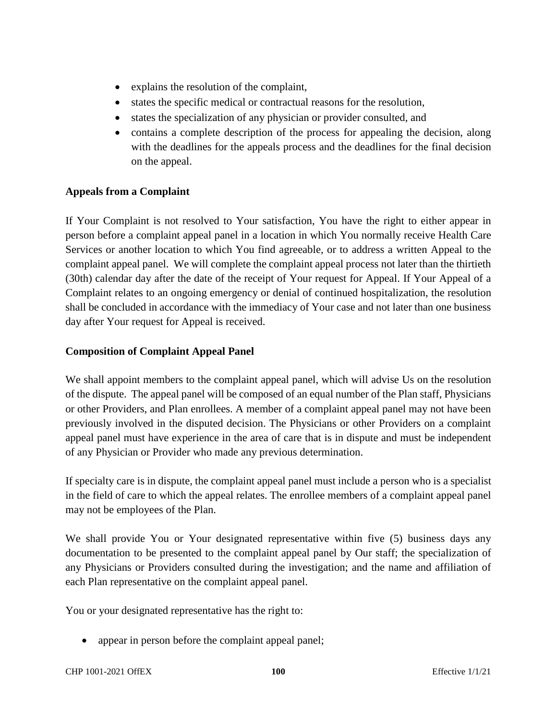- explains the resolution of the complaint,
- states the specific medical or contractual reasons for the resolution,
- states the specialization of any physician or provider consulted, and
- contains a complete description of the process for appealing the decision, along with the deadlines for the appeals process and the deadlines for the final decision on the appeal.

# **Appeals from a Complaint**

If Your Complaint is not resolved to Your satisfaction, You have the right to either appear in person before a complaint appeal panel in a location in which You normally receive Health Care Services or another location to which You find agreeable, or to address a written Appeal to the complaint appeal panel. We will complete the complaint appeal process not later than the thirtieth (30th) calendar day after the date of the receipt of Your request for Appeal. If Your Appeal of a Complaint relates to an ongoing emergency or denial of continued hospitalization, the resolution shall be concluded in accordance with the immediacy of Your case and not later than one business day after Your request for Appeal is received.

# **Composition of Complaint Appeal Panel**

We shall appoint members to the complaint appeal panel, which will advise Us on the resolution of the dispute. The appeal panel will be composed of an equal number of the Plan staff, Physicians or other Providers, and Plan enrollees. A member of a complaint appeal panel may not have been previously involved in the disputed decision. The Physicians or other Providers on a complaint appeal panel must have experience in the area of care that is in dispute and must be independent of any Physician or Provider who made any previous determination.

If specialty care is in dispute, the complaint appeal panel must include a person who is a specialist in the field of care to which the appeal relates. The enrollee members of a complaint appeal panel may not be employees of the Plan.

We shall provide You or Your designated representative within five (5) business days any documentation to be presented to the complaint appeal panel by Our staff; the specialization of any Physicians or Providers consulted during the investigation; and the name and affiliation of each Plan representative on the complaint appeal panel.

You or your designated representative has the right to:

• appear in person before the complaint appeal panel;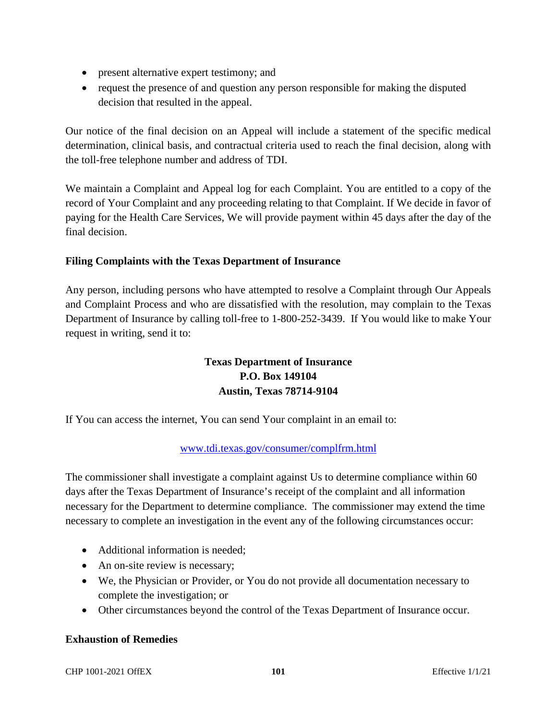- present alternative expert testimony; and
- request the presence of and question any person responsible for making the disputed decision that resulted in the appeal.

Our notice of the final decision on an Appeal will include a statement of the specific medical determination, clinical basis, and contractual criteria used to reach the final decision, along with the toll-free telephone number and address of TDI.

We maintain a Complaint and Appeal log for each Complaint. You are entitled to a copy of the record of Your Complaint and any proceeding relating to that Complaint. If We decide in favor of paying for the Health Care Services, We will provide payment within 45 days after the day of the final decision.

# **Filing Complaints with the Texas Department of Insurance**

Any person, including persons who have attempted to resolve a Complaint through Our Appeals and Complaint Process and who are dissatisfied with the resolution, may complain to the Texas Department of Insurance by calling toll-free to 1-800-252-3439. If You would like to make Your request in writing, send it to:

# **Texas Department of Insurance P.O. Box 149104 Austin, Texas 78714-9104**

If You can access the internet, You can send Your complaint in an email to:

# www.tdi.texas.gov/consumer/complfrm.html

The commissioner shall investigate a complaint against Us to determine compliance within 60 days after the Texas Department of Insurance's receipt of the complaint and all information necessary for the Department to determine compliance. The commissioner may extend the time necessary to complete an investigation in the event any of the following circumstances occur:

- Additional information is needed;
- An on-site review is necessary;
- We, the Physician or Provider, or You do not provide all documentation necessary to complete the investigation; or
- Other circumstances beyond the control of the Texas Department of Insurance occur.

#### **Exhaustion of Remedies**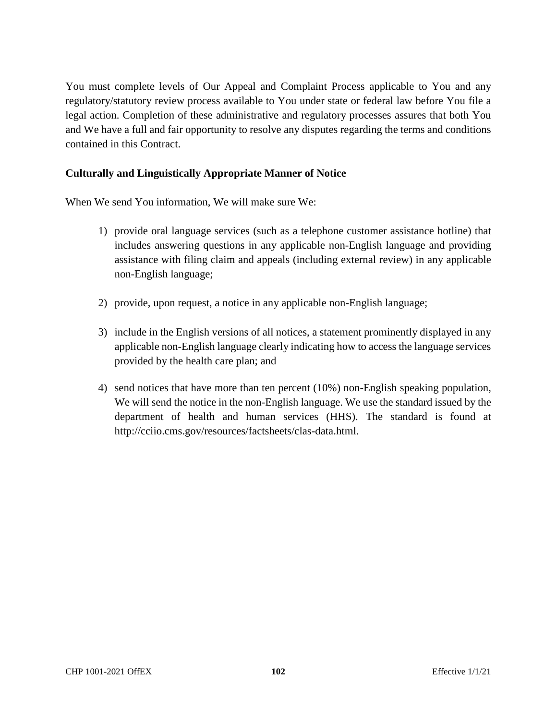You must complete levels of Our Appeal and Complaint Process applicable to You and any regulatory/statutory review process available to You under state or federal law before You file a legal action. Completion of these administrative and regulatory processes assures that both You and We have a full and fair opportunity to resolve any disputes regarding the terms and conditions contained in this Contract.

# **Culturally and Linguistically Appropriate Manner of Notice**

When We send You information, We will make sure We:

- 1) provide oral language services (such as a telephone customer assistance hotline) that includes answering questions in any applicable non-English language and providing assistance with filing claim and appeals (including external review) in any applicable non-English language;
- 2) provide, upon request, a notice in any applicable non-English language;
- 3) include in the English versions of all notices, a statement prominently displayed in any applicable non-English language clearly indicating how to access the language services provided by the health care plan; and
- 4) send notices that have more than ten percent (10%) non-English speaking population, We will send the notice in the non-English language. We use the standard issued by the department of health and human services (HHS). The standard is found at http://cciio.cms.gov/resources/factsheets/clas-data.html.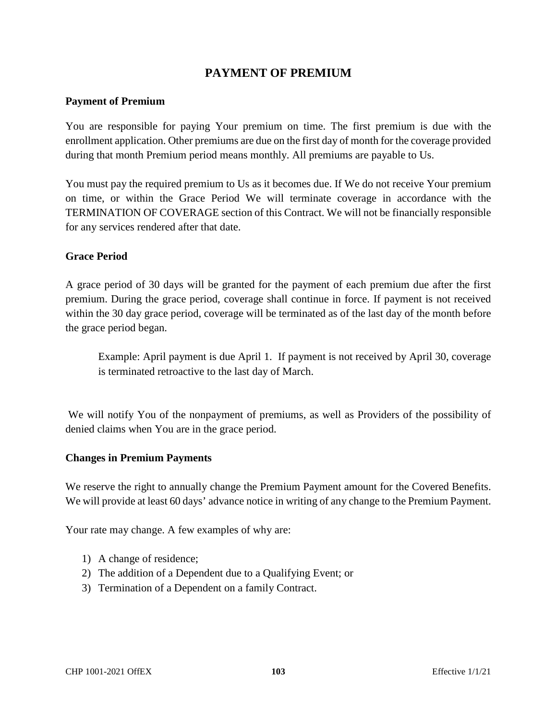# **PAYMENT OF PREMIUM**

#### **Payment of Premium**

You are responsible for paying Your premium on time. The first premium is due with the enrollment application. Other premiums are due on the first day of month for the coverage provided during that month Premium period means monthly. All premiums are payable to Us.

You must pay the required premium to Us as it becomes due. If We do not receive Your premium on time, or within the Grace Period We will terminate coverage in accordance with the TERMINATION OF COVERAGE section of this Contract. We will not be financially responsible for any services rendered after that date.

#### **Grace Period**

A grace period of 30 days will be granted for the payment of each premium due after the first premium. During the grace period, coverage shall continue in force. If payment is not received within the 30 day grace period, coverage will be terminated as of the last day of the month before the grace period began.

Example: April payment is due April 1. If payment is not received by April 30, coverage is terminated retroactive to the last day of March.

 We will notify You of the nonpayment of premiums, as well as Providers of the possibility of denied claims when You are in the grace period.

#### **Changes in Premium Payments**

We reserve the right to annually change the Premium Payment amount for the Covered Benefits. We will provide at least 60 days' advance notice in writing of any change to the Premium Payment.

Your rate may change. A few examples of why are:

- 1) A change of residence;
- 2) The addition of a Dependent due to a Qualifying Event; or
- 3) Termination of a Dependent on a family Contract.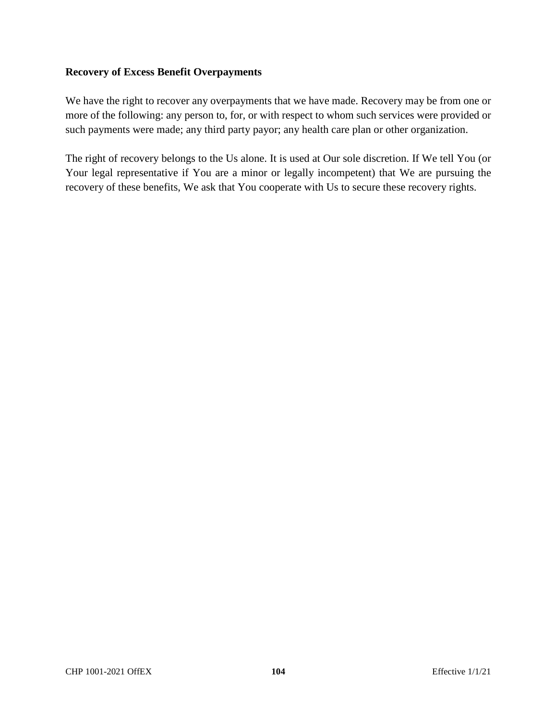## **Recovery of Excess Benefit Overpayments**

We have the right to recover any overpayments that we have made. Recovery may be from one or more of the following: any person to, for, or with respect to whom such services were provided or such payments were made; any third party payor; any health care plan or other organization.

The right of recovery belongs to the Us alone. It is used at Our sole discretion. If We tell You (or Your legal representative if You are a minor or legally incompetent) that We are pursuing the recovery of these benefits, We ask that You cooperate with Us to secure these recovery rights.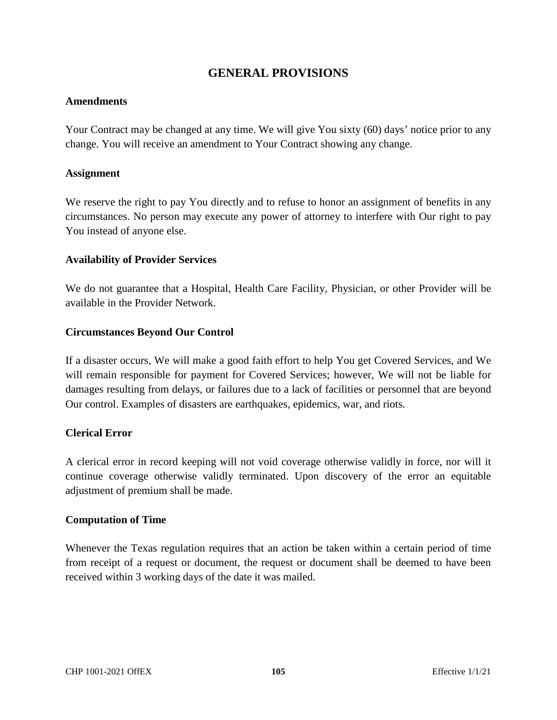# **GENERAL PROVISIONS**

#### **Amendments**

Your Contract may be changed at any time. We will give You sixty (60) days' notice prior to any change. You will receive an amendment to Your Contract showing any change.

#### **Assignment**

We reserve the right to pay You directly and to refuse to honor an assignment of benefits in any circumstances. No person may execute any power of attorney to interfere with Our right to pay You instead of anyone else.

#### **Availability of Provider Services**

We do not guarantee that a Hospital, Health Care Facility, Physician, or other Provider will be available in the Provider Network.

#### **Circumstances Beyond Our Control**

If a disaster occurs, We will make a good faith effort to help You get Covered Services, and We will remain responsible for payment for Covered Services; however, We will not be liable for damages resulting from delays, or failures due to a lack of facilities or personnel that are beyond Our control. Examples of disasters are earthquakes, epidemics, war, and riots.

#### **Clerical Error**

A clerical error in record keeping will not void coverage otherwise validly in force, nor will it continue coverage otherwise validly terminated. Upon discovery of the error an equitable adjustment of premium shall be made.

#### **Computation of Time**

Whenever the Texas regulation requires that an action be taken within a certain period of time from receipt of a request or document, the request or document shall be deemed to have been received within 3 working days of the date it was mailed.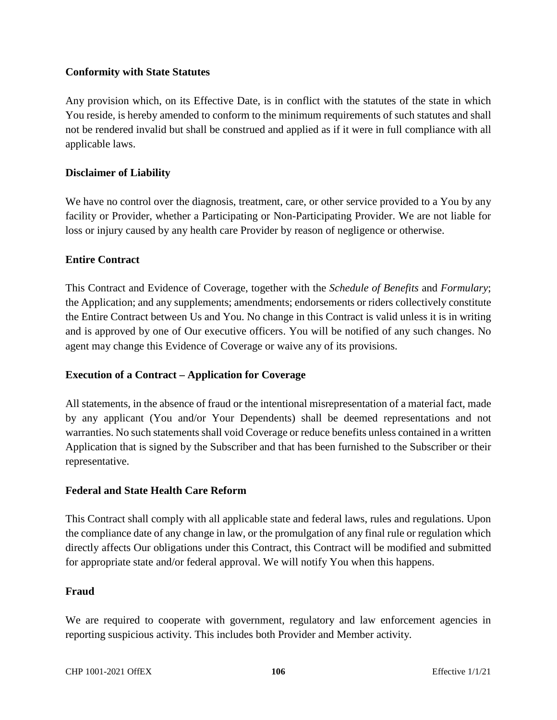# **Conformity with State Statutes**

Any provision which, on its Effective Date, is in conflict with the statutes of the state in which You reside, is hereby amended to conform to the minimum requirements of such statutes and shall not be rendered invalid but shall be construed and applied as if it were in full compliance with all applicable laws.

## **Disclaimer of Liability**

We have no control over the diagnosis, treatment, care, or other service provided to a You by any facility or Provider, whether a Participating or Non-Participating Provider. We are not liable for loss or injury caused by any health care Provider by reason of negligence or otherwise.

#### **Entire Contract**

This Contract and Evidence of Coverage, together with the *Schedule of Benefits* and *Formulary*; the Application; and any supplements; amendments; endorsements or riders collectively constitute the Entire Contract between Us and You. No change in this Contract is valid unless it is in writing and is approved by one of Our executive officers. You will be notified of any such changes. No agent may change this Evidence of Coverage or waive any of its provisions.

# **Execution of a Contract – Application for Coverage**

All statements, in the absence of fraud or the intentional misrepresentation of a material fact, made by any applicant (You and/or Your Dependents) shall be deemed representations and not warranties. No such statements shall void Coverage or reduce benefits unless contained in a written Application that is signed by the Subscriber and that has been furnished to the Subscriber or their representative.

#### **Federal and State Health Care Reform**

This Contract shall comply with all applicable state and federal laws, rules and regulations. Upon the compliance date of any change in law, or the promulgation of any final rule or regulation which directly affects Our obligations under this Contract, this Contract will be modified and submitted for appropriate state and/or federal approval. We will notify You when this happens.

#### **Fraud**

We are required to cooperate with government, regulatory and law enforcement agencies in reporting suspicious activity. This includes both Provider and Member activity.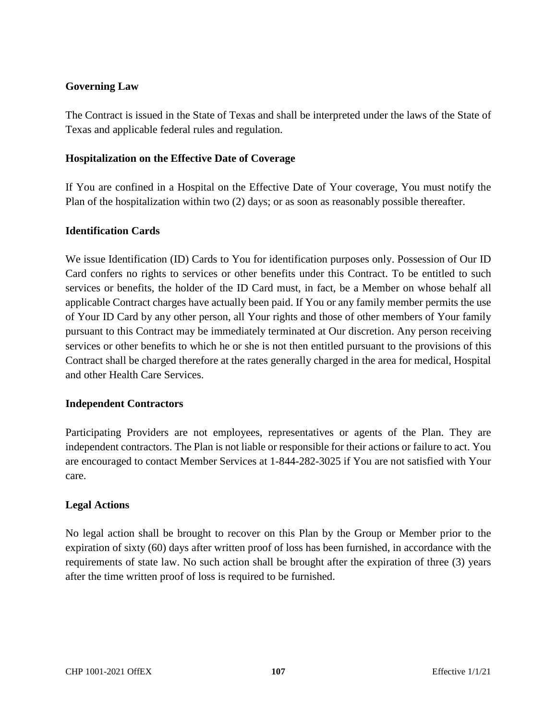## **Governing Law**

The Contract is issued in the State of Texas and shall be interpreted under the laws of the State of Texas and applicable federal rules and regulation.

## **Hospitalization on the Effective Date of Coverage**

If You are confined in a Hospital on the Effective Date of Your coverage, You must notify the Plan of the hospitalization within two (2) days; or as soon as reasonably possible thereafter.

## **Identification Cards**

We issue Identification (ID) Cards to You for identification purposes only. Possession of Our ID Card confers no rights to services or other benefits under this Contract. To be entitled to such services or benefits, the holder of the ID Card must, in fact, be a Member on whose behalf all applicable Contract charges have actually been paid. If You or any family member permits the use of Your ID Card by any other person, all Your rights and those of other members of Your family pursuant to this Contract may be immediately terminated at Our discretion. Any person receiving services or other benefits to which he or she is not then entitled pursuant to the provisions of this Contract shall be charged therefore at the rates generally charged in the area for medical, Hospital and other Health Care Services.

# **Independent Contractors**

Participating Providers are not employees, representatives or agents of the Plan. They are independent contractors. The Plan is not liable or responsible for their actions or failure to act. You are encouraged to contact Member Services at 1-844-282-3025 if You are not satisfied with Your care.

# **Legal Actions**

No legal action shall be brought to recover on this Plan by the Group or Member prior to the expiration of sixty (60) days after written proof of loss has been furnished, in accordance with the requirements of state law. No such action shall be brought after the expiration of three (3) years after the time written proof of loss is required to be furnished.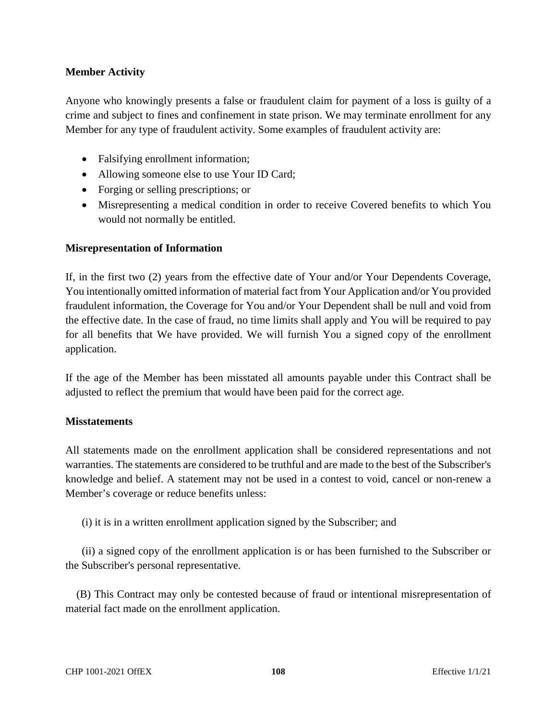# **Member Activity**

Anyone who knowingly presents a false or fraudulent claim for payment of a loss is guilty of a crime and subject to fines and confinement in state prison. We may terminate enrollment for any Member for any type of fraudulent activity. Some examples of fraudulent activity are:

- Falsifying enrollment information;
- Allowing someone else to use Your ID Card;
- Forging or selling prescriptions; or
- Misrepresenting a medical condition in order to receive Covered benefits to which You would not normally be entitled.

## **Misrepresentation of Information**

If, in the first two (2) years from the effective date of Your and/or Your Dependents Coverage, You intentionally omitted information of material fact from Your Application and/or You provided fraudulent information, the Coverage for You and/or Your Dependent shall be null and void from the effective date. In the case of fraud, no time limits shall apply and You will be required to pay for all benefits that We have provided. We will furnish You a signed copy of the enrollment application.

If the age of the Member has been misstated all amounts payable under this Contract shall be adjusted to reflect the premium that would have been paid for the correct age.

#### **Misstatements**

All statements made on the enrollment application shall be considered representations and not warranties. The statements are considered to be truthful and are made to the best of the Subscriber's knowledge and belief. A statement may not be used in a contest to void, cancel or non-renew a Member's coverage or reduce benefits unless:

(i) it is in a written enrollment application signed by the Subscriber; and

 (ii) a signed copy of the enrollment application is or has been furnished to the Subscriber or the Subscriber's personal representative.

 (B) This Contract may only be contested because of fraud or intentional misrepresentation of material fact made on the enrollment application.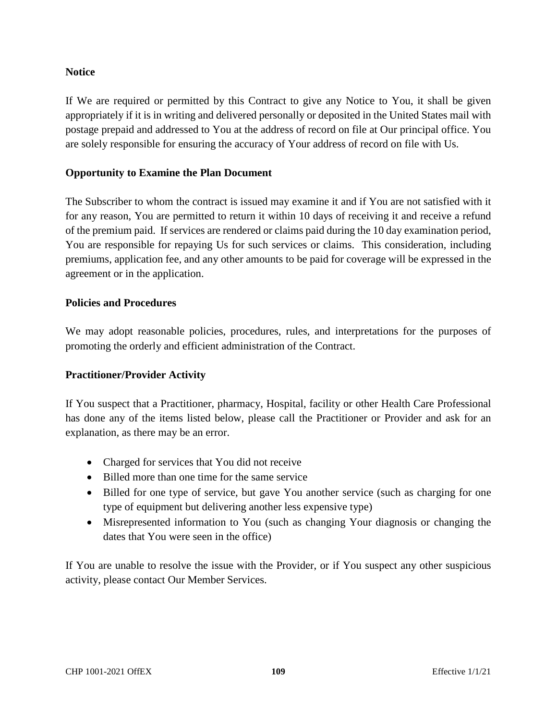## **Notice**

If We are required or permitted by this Contract to give any Notice to You, it shall be given appropriately if it is in writing and delivered personally or deposited in the United States mail with postage prepaid and addressed to You at the address of record on file at Our principal office. You are solely responsible for ensuring the accuracy of Your address of record on file with Us.

## **Opportunity to Examine the Plan Document**

The Subscriber to whom the contract is issued may examine it and if You are not satisfied with it for any reason, You are permitted to return it within 10 days of receiving it and receive a refund of the premium paid. If services are rendered or claims paid during the 10 day examination period, You are responsible for repaying Us for such services or claims. This consideration, including premiums, application fee, and any other amounts to be paid for coverage will be expressed in the agreement or in the application.

#### **Policies and Procedures**

We may adopt reasonable policies, procedures, rules, and interpretations for the purposes of promoting the orderly and efficient administration of the Contract.

#### **Practitioner/Provider Activity**

If You suspect that a Practitioner, pharmacy, Hospital, facility or other Health Care Professional has done any of the items listed below, please call the Practitioner or Provider and ask for an explanation, as there may be an error.

- Charged for services that You did not receive
- Billed more than one time for the same service
- Billed for one type of service, but gave You another service (such as charging for one type of equipment but delivering another less expensive type)
- Misrepresented information to You (such as changing Your diagnosis or changing the dates that You were seen in the office)

If You are unable to resolve the issue with the Provider, or if You suspect any other suspicious activity, please contact Our Member Services.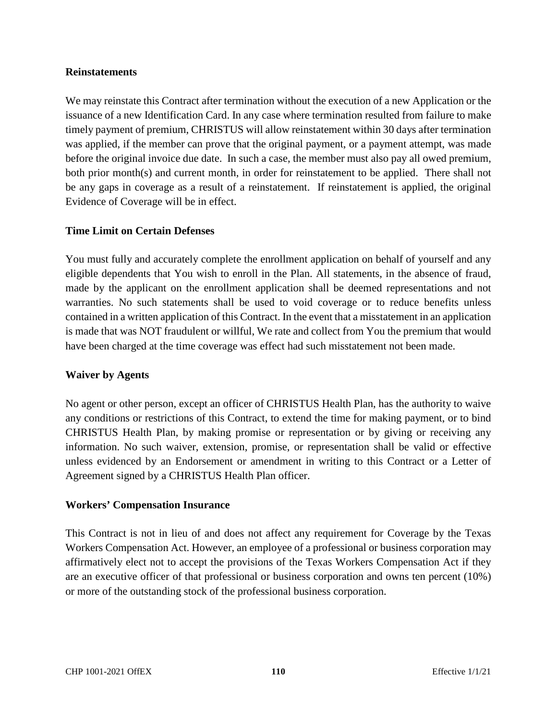#### **Reinstatements**

We may reinstate this Contract after termination without the execution of a new Application or the issuance of a new Identification Card. In any case where termination resulted from failure to make timely payment of premium, CHRISTUS will allow reinstatement within 30 days after termination was applied, if the member can prove that the original payment, or a payment attempt, was made before the original invoice due date. In such a case, the member must also pay all owed premium, both prior month(s) and current month, in order for reinstatement to be applied. There shall not be any gaps in coverage as a result of a reinstatement. If reinstatement is applied, the original Evidence of Coverage will be in effect.

#### **Time Limit on Certain Defenses**

You must fully and accurately complete the enrollment application on behalf of yourself and any eligible dependents that You wish to enroll in the Plan. All statements, in the absence of fraud, made by the applicant on the enrollment application shall be deemed representations and not warranties. No such statements shall be used to void coverage or to reduce benefits unless contained in a written application of this Contract. In the event that a misstatement in an application is made that was NOT fraudulent or willful, We rate and collect from You the premium that would have been charged at the time coverage was effect had such misstatement not been made.

#### **Waiver by Agents**

No agent or other person, except an officer of CHRISTUS Health Plan, has the authority to waive any conditions or restrictions of this Contract, to extend the time for making payment, or to bind CHRISTUS Health Plan, by making promise or representation or by giving or receiving any information. No such waiver, extension, promise, or representation shall be valid or effective unless evidenced by an Endorsement or amendment in writing to this Contract or a Letter of Agreement signed by a CHRISTUS Health Plan officer.

#### **Workers' Compensation Insurance**

This Contract is not in lieu of and does not affect any requirement for Coverage by the Texas Workers Compensation Act. However, an employee of a professional or business corporation may affirmatively elect not to accept the provisions of the Texas Workers Compensation Act if they are an executive officer of that professional or business corporation and owns ten percent (10%) or more of the outstanding stock of the professional business corporation.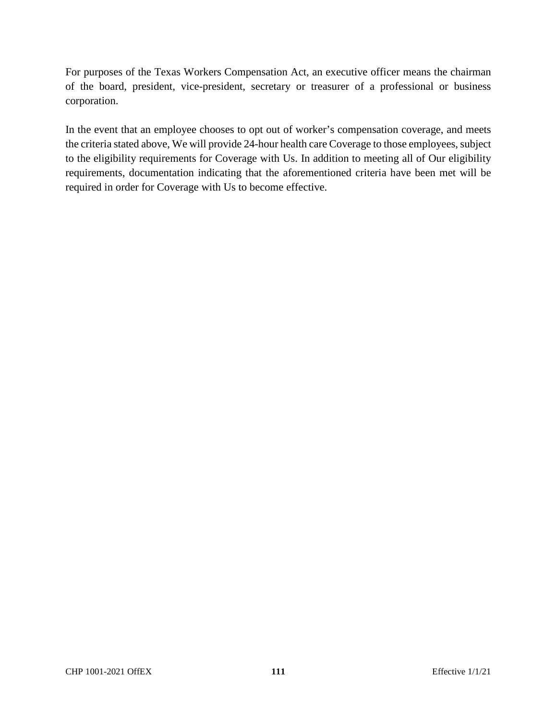For purposes of the Texas Workers Compensation Act, an executive officer means the chairman of the board, president, vice-president, secretary or treasurer of a professional or business corporation.

In the event that an employee chooses to opt out of worker's compensation coverage, and meets the criteria stated above, We will provide 24-hour health care Coverage to those employees, subject to the eligibility requirements for Coverage with Us. In addition to meeting all of Our eligibility requirements, documentation indicating that the aforementioned criteria have been met will be required in order for Coverage with Us to become effective.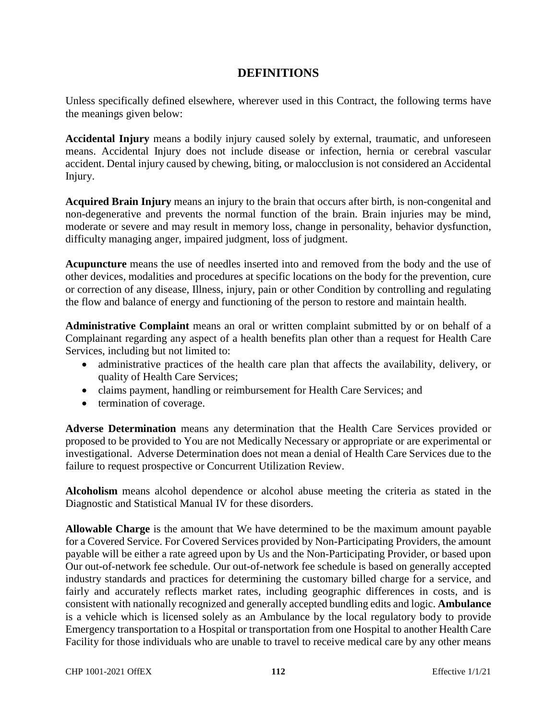# **DEFINITIONS**

Unless specifically defined elsewhere, wherever used in this Contract, the following terms have the meanings given below:

**Accidental Injury** means a bodily injury caused solely by external, traumatic, and unforeseen means. Accidental Injury does not include disease or infection, hernia or cerebral vascular accident. Dental injury caused by chewing, biting, or malocclusion is not considered an Accidental Injury.

**Acquired Brain Injury** means an injury to the brain that occurs after birth, is non-congenital and non-degenerative and prevents the normal function of the brain. Brain injuries may be mind, moderate or severe and may result in memory loss, change in personality, behavior dysfunction, difficulty managing anger, impaired judgment, loss of judgment.

**Acupuncture** means the use of needles inserted into and removed from the body and the use of other devices, modalities and procedures at specific locations on the body for the prevention, cure or correction of any disease, Illness, injury, pain or other Condition by controlling and regulating the flow and balance of energy and functioning of the person to restore and maintain health.

**Administrative Complaint** means an oral or written complaint submitted by or on behalf of a Complainant regarding any aspect of a health benefits plan other than a request for Health Care Services, including but not limited to:

- administrative practices of the health care plan that affects the availability, delivery, or quality of Health Care Services;
- claims payment, handling or reimbursement for Health Care Services; and
- termination of coverage.

**Adverse Determination** means any determination that the Health Care Services provided or proposed to be provided to You are not Medically Necessary or appropriate or are experimental or investigational. Adverse Determination does not mean a denial of Health Care Services due to the failure to request prospective or Concurrent Utilization Review.

**Alcoholism** means alcohol dependence or alcohol abuse meeting the criteria as stated in the Diagnostic and Statistical Manual IV for these disorders.

**Allowable Charge** is the amount that We have determined to be the maximum amount payable for a Covered Service. For Covered Services provided by Non-Participating Providers, the amount payable will be either a rate agreed upon by Us and the Non-Participating Provider, or based upon Our out-of-network fee schedule. Our out-of-network fee schedule is based on generally accepted industry standards and practices for determining the customary billed charge for a service, and fairly and accurately reflects market rates, including geographic differences in costs, and is consistent with nationally recognized and generally accepted bundling edits and logic. **Ambulance** is a vehicle which is licensed solely as an Ambulance by the local regulatory body to provide Emergency transportation to a Hospital or transportation from one Hospital to another Health Care Facility for those individuals who are unable to travel to receive medical care by any other means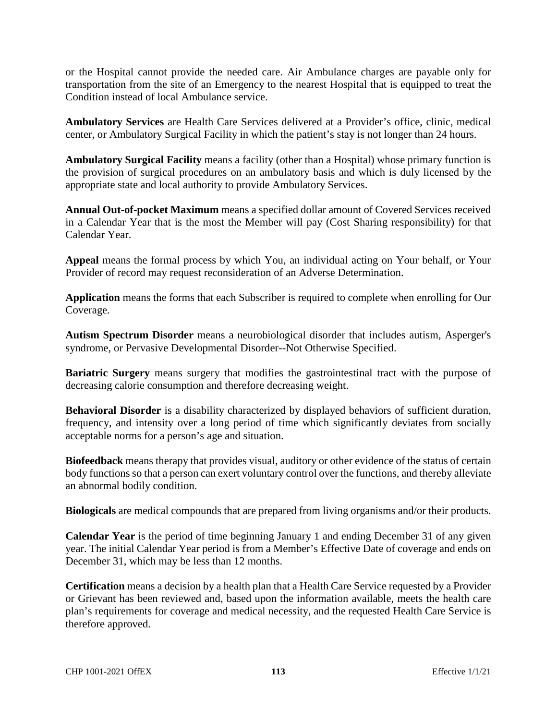or the Hospital cannot provide the needed care. Air Ambulance charges are payable only for transportation from the site of an Emergency to the nearest Hospital that is equipped to treat the Condition instead of local Ambulance service.

**Ambulatory Services** are Health Care Services delivered at a Provider's office, clinic, medical center, or Ambulatory Surgical Facility in which the patient's stay is not longer than 24 hours.

**Ambulatory Surgical Facility** means a facility (other than a Hospital) whose primary function is the provision of surgical procedures on an ambulatory basis and which is duly licensed by the appropriate state and local authority to provide Ambulatory Services.

**Annual Out-of-pocket Maximum** means a specified dollar amount of Covered Services received in a Calendar Year that is the most the Member will pay (Cost Sharing responsibility) for that Calendar Year.

**Appeal** means the formal process by which You, an individual acting on Your behalf, or Your Provider of record may request reconsideration of an Adverse Determination.

**Application** means the forms that each Subscriber is required to complete when enrolling for Our Coverage.

**Autism Spectrum Disorder** means a neurobiological disorder that includes autism, Asperger's syndrome, or Pervasive Developmental Disorder--Not Otherwise Specified.

**Bariatric Surgery** means surgery that modifies the gastrointestinal tract with the purpose of decreasing calorie consumption and therefore decreasing weight.

**Behavioral Disorder** is a disability characterized by displayed behaviors of sufficient duration, frequency, and intensity over a long period of time which significantly deviates from socially acceptable norms for a person's age and situation.

**Biofeedback** means therapy that provides visual, auditory or other evidence of the status of certain body functions so that a person can exert voluntary control over the functions, and thereby alleviate an abnormal bodily condition.

**Biologicals** are medical compounds that are prepared from living organisms and/or their products.

**Calendar Year** is the period of time beginning January 1 and ending December 31 of any given year. The initial Calendar Year period is from a Member's Effective Date of coverage and ends on December 31, which may be less than 12 months.

**Certification** means a decision by a health plan that a Health Care Service requested by a Provider or Grievant has been reviewed and, based upon the information available, meets the health care plan's requirements for coverage and medical necessity, and the requested Health Care Service is therefore approved.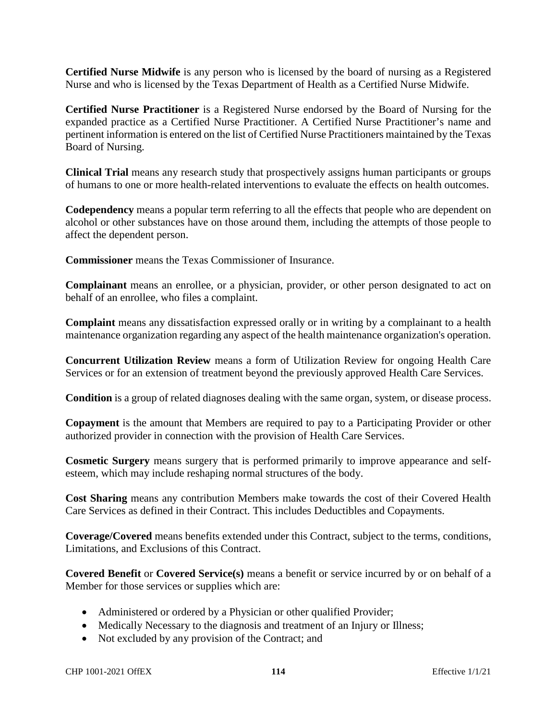**Certified Nurse Midwife** is any person who is licensed by the board of nursing as a Registered Nurse and who is licensed by the Texas Department of Health as a Certified Nurse Midwife.

**Certified Nurse Practitioner** is a Registered Nurse endorsed by the Board of Nursing for the expanded practice as a Certified Nurse Practitioner. A Certified Nurse Practitioner's name and pertinent information is entered on the list of Certified Nurse Practitioners maintained by the Texas Board of Nursing.

**Clinical Trial** means any research study that prospectively assigns human participants or groups of humans to one or more health-related interventions to evaluate the effects on health outcomes.

**Codependency** means a popular term referring to all the effects that people who are dependent on alcohol or other substances have on those around them, including the attempts of those people to affect the dependent person.

**Commissioner** means the Texas Commissioner of Insurance.

**Complainant** means an enrollee, or a physician, provider, or other person designated to act on behalf of an enrollee, who files a complaint.

**Complaint** means any dissatisfaction expressed orally or in writing by a complainant to a health maintenance organization regarding any aspect of the health maintenance organization's operation.

**Concurrent Utilization Review** means a form of Utilization Review for ongoing Health Care Services or for an extension of treatment beyond the previously approved Health Care Services.

**Condition** is a group of related diagnoses dealing with the same organ, system, or disease process.

**Copayment** is the amount that Members are required to pay to a Participating Provider or other authorized provider in connection with the provision of Health Care Services.

**Cosmetic Surgery** means surgery that is performed primarily to improve appearance and selfesteem, which may include reshaping normal structures of the body.

**Cost Sharing** means any contribution Members make towards the cost of their Covered Health Care Services as defined in their Contract. This includes Deductibles and Copayments.

**Coverage/Covered** means benefits extended under this Contract, subject to the terms, conditions, Limitations, and Exclusions of this Contract.

**Covered Benefit** or **Covered Service(s)** means a benefit or service incurred by or on behalf of a Member for those services or supplies which are:

- Administered or ordered by a Physician or other qualified Provider;
- Medically Necessary to the diagnosis and treatment of an Injury or Illness;
- Not excluded by any provision of the Contract; and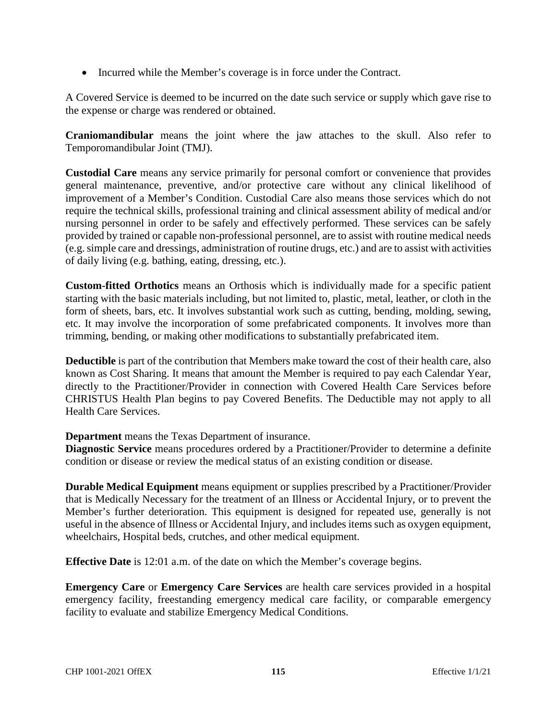• Incurred while the Member's coverage is in force under the Contract.

A Covered Service is deemed to be incurred on the date such service or supply which gave rise to the expense or charge was rendered or obtained.

**Craniomandibular** means the joint where the jaw attaches to the skull. Also refer to Temporomandibular Joint (TMJ).

**Custodial Care** means any service primarily for personal comfort or convenience that provides general maintenance, preventive, and/or protective care without any clinical likelihood of improvement of a Member's Condition. Custodial Care also means those services which do not require the technical skills, professional training and clinical assessment ability of medical and/or nursing personnel in order to be safely and effectively performed. These services can be safely provided by trained or capable non-professional personnel, are to assist with routine medical needs (e.g. simple care and dressings, administration of routine drugs, etc.) and are to assist with activities of daily living (e.g. bathing, eating, dressing, etc.).

**Custom-fitted Orthotics** means an Orthosis which is individually made for a specific patient starting with the basic materials including, but not limited to, plastic, metal, leather, or cloth in the form of sheets, bars, etc. It involves substantial work such as cutting, bending, molding, sewing, etc. It may involve the incorporation of some prefabricated components. It involves more than trimming, bending, or making other modifications to substantially prefabricated item.

**Deductible** is part of the contribution that Members make toward the cost of their health care, also known as Cost Sharing. It means that amount the Member is required to pay each Calendar Year, directly to the Practitioner/Provider in connection with Covered Health Care Services before CHRISTUS Health Plan begins to pay Covered Benefits. The Deductible may not apply to all Health Care Services.

**Department** means the Texas Department of insurance.

**Diagnostic Service** means procedures ordered by a Practitioner/Provider to determine a definite condition or disease or review the medical status of an existing condition or disease.

**Durable Medical Equipment** means equipment or supplies prescribed by a Practitioner/Provider that is Medically Necessary for the treatment of an Illness or Accidental Injury, or to prevent the Member's further deterioration. This equipment is designed for repeated use, generally is not useful in the absence of Illness or Accidental Injury, and includes items such as oxygen equipment, wheelchairs, Hospital beds, crutches, and other medical equipment.

**Effective Date** is 12:01 a.m. of the date on which the Member's coverage begins.

**Emergency Care** or **Emergency Care Services** are health care services provided in a hospital emergency facility, freestanding emergency medical care facility, or comparable emergency facility to evaluate and stabilize Emergency Medical Conditions.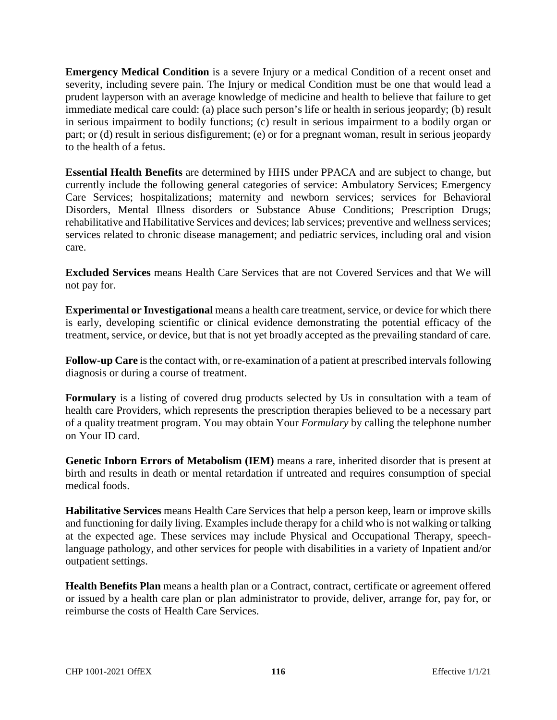**Emergency Medical Condition** is a severe Injury or a medical Condition of a recent onset and severity, including severe pain. The Injury or medical Condition must be one that would lead a prudent layperson with an average knowledge of medicine and health to believe that failure to get immediate medical care could: (a) place such person's life or health in serious jeopardy; (b) result in serious impairment to bodily functions; (c) result in serious impairment to a bodily organ or part; or (d) result in serious disfigurement; (e) or for a pregnant woman, result in serious jeopardy to the health of a fetus.

**Essential Health Benefits** are determined by HHS under PPACA and are subject to change, but currently include the following general categories of service: Ambulatory Services; Emergency Care Services; hospitalizations; maternity and newborn services; services for Behavioral Disorders, Mental Illness disorders or Substance Abuse Conditions; Prescription Drugs; rehabilitative and Habilitative Services and devices; lab services; preventive and wellness services; services related to chronic disease management; and pediatric services, including oral and vision care.

**Excluded Services** means Health Care Services that are not Covered Services and that We will not pay for.

**Experimental or Investigational** means a health care treatment, service, or device for which there is early, developing scientific or clinical evidence demonstrating the potential efficacy of the treatment, service, or device, but that is not yet broadly accepted as the prevailing standard of care.

**Follow-up Care** is the contact with, or re-examination of a patient at prescribed intervals following diagnosis or during a course of treatment.

**Formulary** is a listing of covered drug products selected by Us in consultation with a team of health care Providers, which represents the prescription therapies believed to be a necessary part of a quality treatment program. You may obtain Your *Formulary* by calling the telephone number on Your ID card.

**Genetic Inborn Errors of Metabolism (IEM)** means a rare, inherited disorder that is present at birth and results in death or mental retardation if untreated and requires consumption of special medical foods.

**Habilitative Services** means Health Care Services that help a person keep, learn or improve skills and functioning for daily living. Examples include therapy for a child who is not walking or talking at the expected age. These services may include Physical and Occupational Therapy, speechlanguage pathology, and other services for people with disabilities in a variety of Inpatient and/or outpatient settings.

**Health Benefits Plan** means a health plan or a Contract, contract, certificate or agreement offered or issued by a health care plan or plan administrator to provide, deliver, arrange for, pay for, or reimburse the costs of Health Care Services.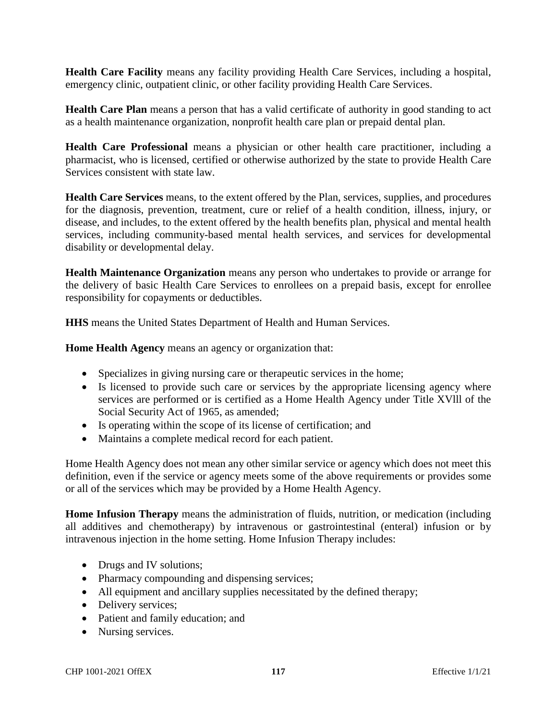**Health Care Facility** means any facility providing Health Care Services, including a hospital, emergency clinic, outpatient clinic, or other facility providing Health Care Services.

**Health Care Plan** means a person that has a valid certificate of authority in good standing to act as a health maintenance organization, nonprofit health care plan or prepaid dental plan.

**Health Care Professional** means a physician or other health care practitioner, including a pharmacist, who is licensed, certified or otherwise authorized by the state to provide Health Care Services consistent with state law.

**Health Care Services** means, to the extent offered by the Plan, services, supplies, and procedures for the diagnosis, prevention, treatment, cure or relief of a health condition, illness, injury, or disease, and includes, to the extent offered by the health benefits plan, physical and mental health services, including community-based mental health services, and services for developmental disability or developmental delay.

**Health Maintenance Organization** means any person who undertakes to provide or arrange for the delivery of basic Health Care Services to enrollees on a prepaid basis, except for enrollee responsibility for copayments or deductibles.

**HHS** means the United States Department of Health and Human Services.

**Home Health Agency** means an agency or organization that:

- Specializes in giving nursing care or therapeutic services in the home;
- Is licensed to provide such care or services by the appropriate licensing agency where services are performed or is certified as a Home Health Agency under Title XVlll of the Social Security Act of 1965, as amended;
- Is operating within the scope of its license of certification; and
- Maintains a complete medical record for each patient.

Home Health Agency does not mean any other similar service or agency which does not meet this definition, even if the service or agency meets some of the above requirements or provides some or all of the services which may be provided by a Home Health Agency.

**Home Infusion Therapy** means the administration of fluids, nutrition, or medication (including all additives and chemotherapy) by intravenous or gastrointestinal (enteral) infusion or by intravenous injection in the home setting. Home Infusion Therapy includes:

- Drugs and IV solutions;
- Pharmacy compounding and dispensing services;
- All equipment and ancillary supplies necessitated by the defined therapy;
- Delivery services;
- Patient and family education; and
- Nursing services.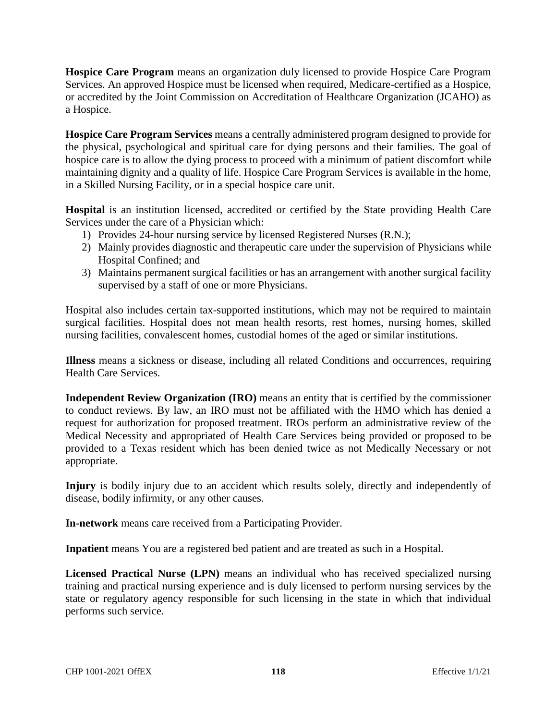**Hospice Care Program** means an organization duly licensed to provide Hospice Care Program Services. An approved Hospice must be licensed when required, Medicare-certified as a Hospice, or accredited by the Joint Commission on Accreditation of Healthcare Organization (JCAHO) as a Hospice.

**Hospice Care Program Services** means a centrally administered program designed to provide for the physical, psychological and spiritual care for dying persons and their families. The goal of hospice care is to allow the dying process to proceed with a minimum of patient discomfort while maintaining dignity and a quality of life. Hospice Care Program Services is available in the home, in a Skilled Nursing Facility, or in a special hospice care unit.

**Hospital** is an institution licensed, accredited or certified by the State providing Health Care Services under the care of a Physician which:

- 1) Provides 24-hour nursing service by licensed Registered Nurses (R.N.);
- 2) Mainly provides diagnostic and therapeutic care under the supervision of Physicians while Hospital Confined; and
- 3) Maintains permanent surgical facilities or has an arrangement with another surgical facility supervised by a staff of one or more Physicians.

Hospital also includes certain tax-supported institutions, which may not be required to maintain surgical facilities. Hospital does not mean health resorts, rest homes, nursing homes, skilled nursing facilities, convalescent homes, custodial homes of the aged or similar institutions.

**Illness** means a sickness or disease, including all related Conditions and occurrences, requiring Health Care Services.

**Independent Review Organization (IRO)** means an entity that is certified by the commissioner to conduct reviews. By law, an IRO must not be affiliated with the HMO which has denied a request for authorization for proposed treatment. IROs perform an administrative review of the Medical Necessity and appropriated of Health Care Services being provided or proposed to be provided to a Texas resident which has been denied twice as not Medically Necessary or not appropriate.

**Injury** is bodily injury due to an accident which results solely, directly and independently of disease, bodily infirmity, or any other causes.

**In-network** means care received from a Participating Provider.

**Inpatient** means You are a registered bed patient and are treated as such in a Hospital.

**Licensed Practical Nurse (LPN)** means an individual who has received specialized nursing training and practical nursing experience and is duly licensed to perform nursing services by the state or regulatory agency responsible for such licensing in the state in which that individual performs such service.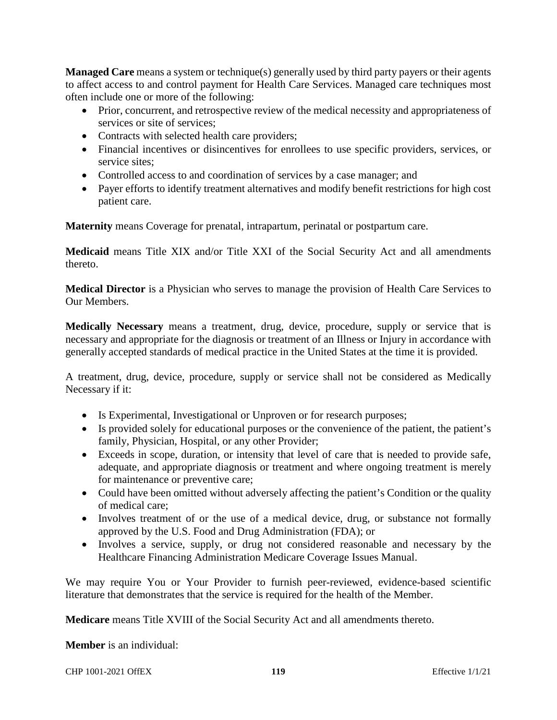**Managed Care** means a system or technique(s) generally used by third party payers or their agents to affect access to and control payment for Health Care Services. Managed care techniques most often include one or more of the following:

- Prior, concurrent, and retrospective review of the medical necessity and appropriateness of services or site of services;
- Contracts with selected health care providers;
- Financial incentives or disincentives for enrollees to use specific providers, services, or service sites;
- Controlled access to and coordination of services by a case manager; and
- Payer efforts to identify treatment alternatives and modify benefit restrictions for high cost patient care.

**Maternity** means Coverage for prenatal, intrapartum, perinatal or postpartum care.

**Medicaid** means Title XIX and/or Title XXI of the Social Security Act and all amendments thereto.

**Medical Director** is a Physician who serves to manage the provision of Health Care Services to Our Members.

**Medically Necessary** means a treatment, drug, device, procedure, supply or service that is necessary and appropriate for the diagnosis or treatment of an Illness or Injury in accordance with generally accepted standards of medical practice in the United States at the time it is provided.

A treatment, drug, device, procedure, supply or service shall not be considered as Medically Necessary if it:

- Is Experimental, Investigational or Unproven or for research purposes;
- Is provided solely for educational purposes or the convenience of the patient, the patient's family, Physician, Hospital, or any other Provider;
- Exceeds in scope, duration, or intensity that level of care that is needed to provide safe, adequate, and appropriate diagnosis or treatment and where ongoing treatment is merely for maintenance or preventive care;
- Could have been omitted without adversely affecting the patient's Condition or the quality of medical care;
- Involves treatment of or the use of a medical device, drug, or substance not formally approved by the U.S. Food and Drug Administration (FDA); or
- Involves a service, supply, or drug not considered reasonable and necessary by the Healthcare Financing Administration Medicare Coverage Issues Manual.

We may require You or Your Provider to furnish peer-reviewed, evidence-based scientific literature that demonstrates that the service is required for the health of the Member.

**Medicare** means Title XVIII of the Social Security Act and all amendments thereto.

**Member** is an individual:

CHP 1001-2021 OffEX **119** Effective 1/1/21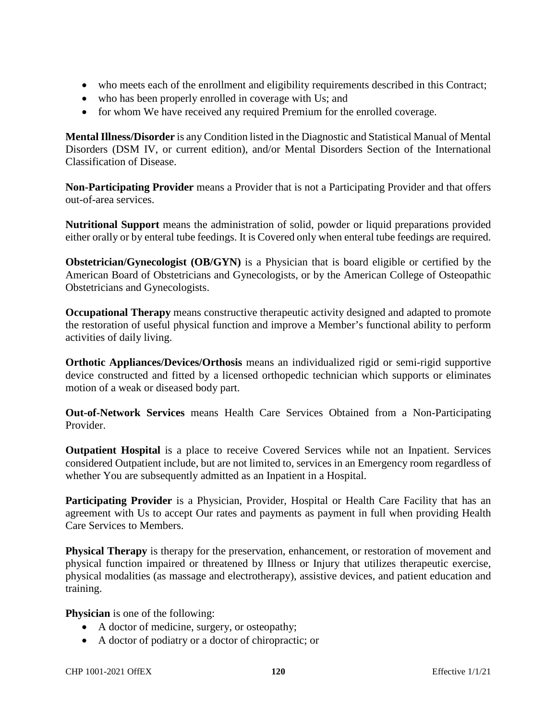- who meets each of the enrollment and eligibility requirements described in this Contract;
- who has been properly enrolled in coverage with Us; and
- for whom We have received any required Premium for the enrolled coverage.

**Mental Illness/Disorder** is any Condition listed in the Diagnostic and Statistical Manual of Mental Disorders (DSM IV, or current edition), and/or Mental Disorders Section of the International Classification of Disease.

**Non-Participating Provider** means a Provider that is not a Participating Provider and that offers out-of-area services.

**Nutritional Support** means the administration of solid, powder or liquid preparations provided either orally or by enteral tube feedings. It is Covered only when enteral tube feedings are required.

**Obstetrician/Gynecologist (OB/GYN)** is a Physician that is board eligible or certified by the American Board of Obstetricians and Gynecologists, or by the American College of Osteopathic Obstetricians and Gynecologists.

**Occupational Therapy** means constructive therapeutic activity designed and adapted to promote the restoration of useful physical function and improve a Member's functional ability to perform activities of daily living.

**Orthotic Appliances/Devices/Orthosis** means an individualized rigid or semi-rigid supportive device constructed and fitted by a licensed orthopedic technician which supports or eliminates motion of a weak or diseased body part.

**Out-of-Network Services** means Health Care Services Obtained from a Non-Participating Provider.

**Outpatient Hospital** is a place to receive Covered Services while not an Inpatient. Services considered Outpatient include, but are not limited to, services in an Emergency room regardless of whether You are subsequently admitted as an Inpatient in a Hospital.

**Participating Provider** is a Physician, Provider, Hospital or Health Care Facility that has an agreement with Us to accept Our rates and payments as payment in full when providing Health Care Services to Members.

**Physical Therapy** is therapy for the preservation, enhancement, or restoration of movement and physical function impaired or threatened by Illness or Injury that utilizes therapeutic exercise, physical modalities (as massage and electrotherapy), assistive devices, and patient education and training.

**Physician** is one of the following:

- A doctor of medicine, surgery, or osteopathy;
- A doctor of podiatry or a doctor of chiropractic; or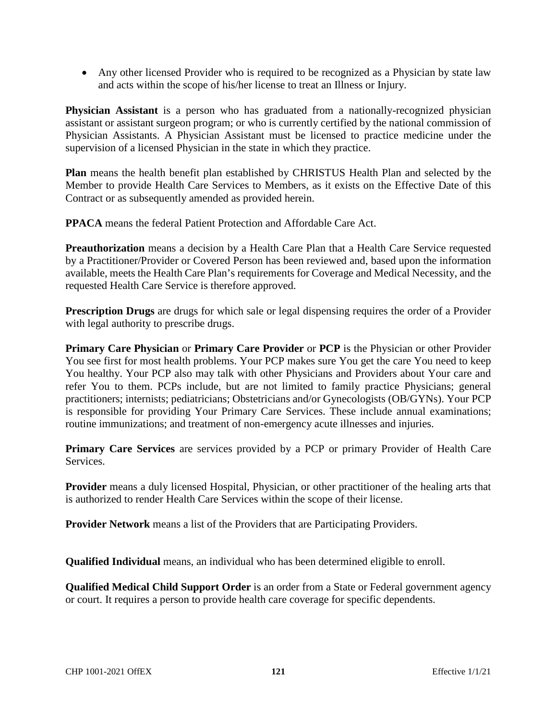Any other licensed Provider who is required to be recognized as a Physician by state law and acts within the scope of his/her license to treat an Illness or Injury.

**Physician Assistant** is a person who has graduated from a nationally-recognized physician assistant or assistant surgeon program; or who is currently certified by the national commission of Physician Assistants. A Physician Assistant must be licensed to practice medicine under the supervision of a licensed Physician in the state in which they practice.

**Plan** means the health benefit plan established by CHRISTUS Health Plan and selected by the Member to provide Health Care Services to Members, as it exists on the Effective Date of this Contract or as subsequently amended as provided herein.

**PPACA** means the federal Patient Protection and Affordable Care Act.

**Preauthorization** means a decision by a Health Care Plan that a Health Care Service requested by a Practitioner/Provider or Covered Person has been reviewed and, based upon the information available, meets the Health Care Plan's requirements for Coverage and Medical Necessity, and the requested Health Care Service is therefore approved.

**Prescription Drugs** are drugs for which sale or legal dispensing requires the order of a Provider with legal authority to prescribe drugs.

**Primary Care Physician** or **Primary Care Provider** or **PCP** is the Physician or other Provider You see first for most health problems. Your PCP makes sure You get the care You need to keep You healthy. Your PCP also may talk with other Physicians and Providers about Your care and refer You to them. PCPs include, but are not limited to family practice Physicians; general practitioners; internists; pediatricians; Obstetricians and/or Gynecologists (OB/GYNs). Your PCP is responsible for providing Your Primary Care Services. These include annual examinations; routine immunizations; and treatment of non-emergency acute illnesses and injuries.

**Primary Care Services** are services provided by a PCP or primary Provider of Health Care Services.

**Provider** means a duly licensed Hospital, Physician, or other practitioner of the healing arts that is authorized to render Health Care Services within the scope of their license.

**Provider Network** means a list of the Providers that are Participating Providers.

**Qualified Individual** means, an individual who has been determined eligible to enroll.

**Qualified Medical Child Support Order** is an order from a State or Federal government agency or court. It requires a person to provide health care coverage for specific dependents.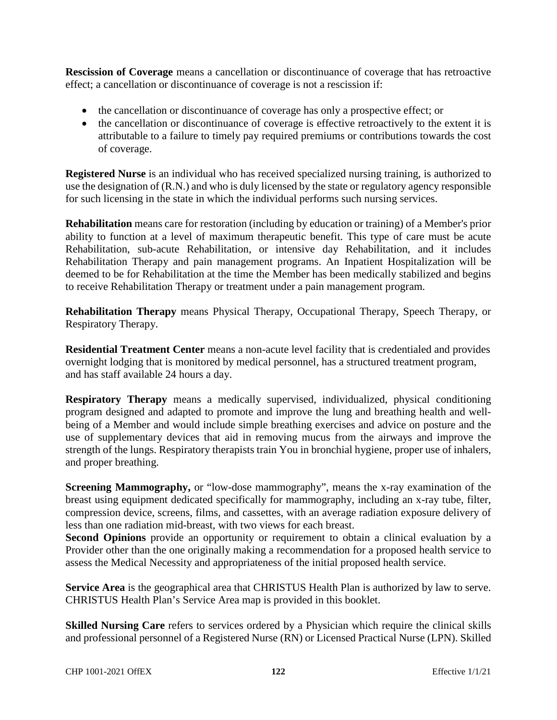**Rescission of Coverage** means a cancellation or discontinuance of coverage that has retroactive effect; a cancellation or discontinuance of coverage is not a rescission if:

- the cancellation or discontinuance of coverage has only a prospective effect; or
- the cancellation or discontinuance of coverage is effective retroactively to the extent it is attributable to a failure to timely pay required premiums or contributions towards the cost of coverage.

**Registered Nurse** is an individual who has received specialized nursing training, is authorized to use the designation of (R.N.) and who is duly licensed by the state or regulatory agency responsible for such licensing in the state in which the individual performs such nursing services.

**Rehabilitation** means care for restoration (including by education or training) of a Member's prior ability to function at a level of maximum therapeutic benefit. This type of care must be acute Rehabilitation, sub-acute Rehabilitation, or intensive day Rehabilitation, and it includes Rehabilitation Therapy and pain management programs. An Inpatient Hospitalization will be deemed to be for Rehabilitation at the time the Member has been medically stabilized and begins to receive Rehabilitation Therapy or treatment under a pain management program.

**Rehabilitation Therapy** means Physical Therapy, Occupational Therapy, Speech Therapy, or Respiratory Therapy.

**Residential Treatment Center** means a non-acute level facility that is credentialed and provides overnight lodging that is monitored by medical personnel, has a structured treatment program, and has staff available 24 hours a day.

**Respiratory Therapy** means a medically supervised, individualized, physical conditioning program designed and adapted to promote and improve the lung and breathing health and wellbeing of a Member and would include simple breathing exercises and advice on posture and the use of supplementary devices that aid in removing mucus from the airways and improve the strength of the lungs. Respiratory therapists train You in bronchial hygiene, proper use of inhalers, and proper breathing.

**Screening Mammography,** or "low-dose mammography", means the x-ray examination of the breast using equipment dedicated specifically for mammography, including an x-ray tube, filter, compression device, screens, films, and cassettes, with an average radiation exposure delivery of less than one radiation mid-breast, with two views for each breast.

**Second Opinions** provide an opportunity or requirement to obtain a clinical evaluation by a Provider other than the one originally making a recommendation for a proposed health service to assess the Medical Necessity and appropriateness of the initial proposed health service.

**Service Area** is the geographical area that CHRISTUS Health Plan is authorized by law to serve. CHRISTUS Health Plan's Service Area map is provided in this booklet.

**Skilled Nursing Care** refers to services ordered by a Physician which require the clinical skills and professional personnel of a Registered Nurse (RN) or Licensed Practical Nurse (LPN). Skilled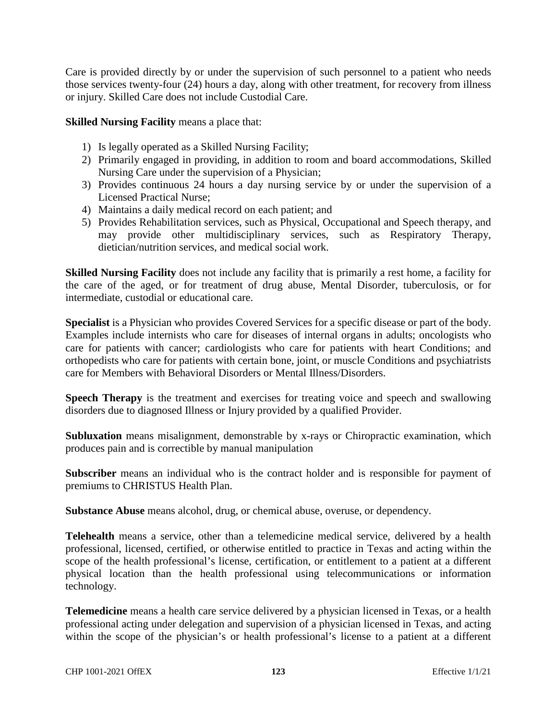Care is provided directly by or under the supervision of such personnel to a patient who needs those services twenty-four (24) hours a day, along with other treatment, for recovery from illness or injury. Skilled Care does not include Custodial Care.

**Skilled Nursing Facility** means a place that:

- 1) Is legally operated as a Skilled Nursing Facility;
- 2) Primarily engaged in providing, in addition to room and board accommodations, Skilled Nursing Care under the supervision of a Physician;
- 3) Provides continuous 24 hours a day nursing service by or under the supervision of a Licensed Practical Nurse;
- 4) Maintains a daily medical record on each patient; and
- 5) Provides Rehabilitation services, such as Physical, Occupational and Speech therapy, and may provide other multidisciplinary services, such as Respiratory Therapy, dietician/nutrition services, and medical social work.

**Skilled Nursing Facility** does not include any facility that is primarily a rest home, a facility for the care of the aged, or for treatment of drug abuse, Mental Disorder, tuberculosis, or for intermediate, custodial or educational care.

**Specialist** is a Physician who provides Covered Services for a specific disease or part of the body. Examples include internists who care for diseases of internal organs in adults; oncologists who care for patients with cancer; cardiologists who care for patients with heart Conditions; and orthopedists who care for patients with certain bone, joint, or muscle Conditions and psychiatrists care for Members with Behavioral Disorders or Mental Illness/Disorders.

**Speech Therapy** is the treatment and exercises for treating voice and speech and swallowing disorders due to diagnosed Illness or Injury provided by a qualified Provider.

**Subluxation** means misalignment, demonstrable by x-rays or Chiropractic examination, which produces pain and is correctible by manual manipulation

**Subscriber** means an individual who is the contract holder and is responsible for payment of premiums to CHRISTUS Health Plan.

**Substance Abuse** means alcohol, drug, or chemical abuse, overuse, or dependency.

**Telehealth** means a service, other than a telemedicine medical service, delivered by a health professional, licensed, certified, or otherwise entitled to practice in Texas and acting within the scope of the health professional's license, certification, or entitlement to a patient at a different physical location than the health professional using telecommunications or information technology.

**Telemedicine** means a health care service delivered by a physician licensed in Texas, or a health professional acting under delegation and supervision of a physician licensed in Texas, and acting within the scope of the physician's or health professional's license to a patient at a different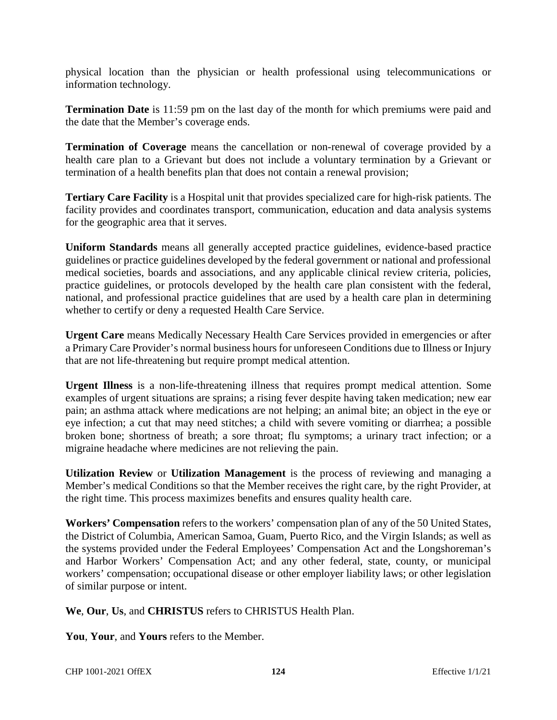physical location than the physician or health professional using telecommunications or information technology.

**Termination Date** is 11:59 pm on the last day of the month for which premiums were paid and the date that the Member's coverage ends.

**Termination of Coverage** means the cancellation or non-renewal of coverage provided by a health care plan to a Grievant but does not include a voluntary termination by a Grievant or termination of a health benefits plan that does not contain a renewal provision;

**Tertiary Care Facility** is a Hospital unit that provides specialized care for high-risk patients. The facility provides and coordinates transport, communication, education and data analysis systems for the geographic area that it serves.

**Uniform Standards** means all generally accepted practice guidelines, evidence-based practice guidelines or practice guidelines developed by the federal government or national and professional medical societies, boards and associations, and any applicable clinical review criteria, policies, practice guidelines, or protocols developed by the health care plan consistent with the federal, national, and professional practice guidelines that are used by a health care plan in determining whether to certify or deny a requested Health Care Service.

**Urgent Care** means Medically Necessary Health Care Services provided in emergencies or after a Primary Care Provider's normal business hours for unforeseen Conditions due to Illness or Injury that are not life-threatening but require prompt medical attention.

**Urgent Illness** is a non-life-threatening illness that requires prompt medical attention. Some examples of urgent situations are sprains; a rising fever despite having taken medication; new ear pain; an asthma attack where medications are not helping; an animal bite; an object in the eye or eye infection; a cut that may need stitches; a child with severe vomiting or diarrhea; a possible broken bone; shortness of breath; a sore throat; flu symptoms; a urinary tract infection; or a migraine headache where medicines are not relieving the pain.

**Utilization Review** or **Utilization Management** is the process of reviewing and managing a Member's medical Conditions so that the Member receives the right care, by the right Provider, at the right time. This process maximizes benefits and ensures quality health care.

**Workers' Compensation** refers to the workers' compensation plan of any of the 50 United States, the District of Columbia, American Samoa, Guam, Puerto Rico, and the Virgin Islands; as well as the systems provided under the Federal Employees' Compensation Act and the Longshoreman's and Harbor Workers' Compensation Act; and any other federal, state, county, or municipal workers' compensation; occupational disease or other employer liability laws; or other legislation of similar purpose or intent.

**We**, **Our**, **Us**, and **CHRISTUS** refers to CHRISTUS Health Plan.

**You**, **Your**, and **Yours** refers to the Member.